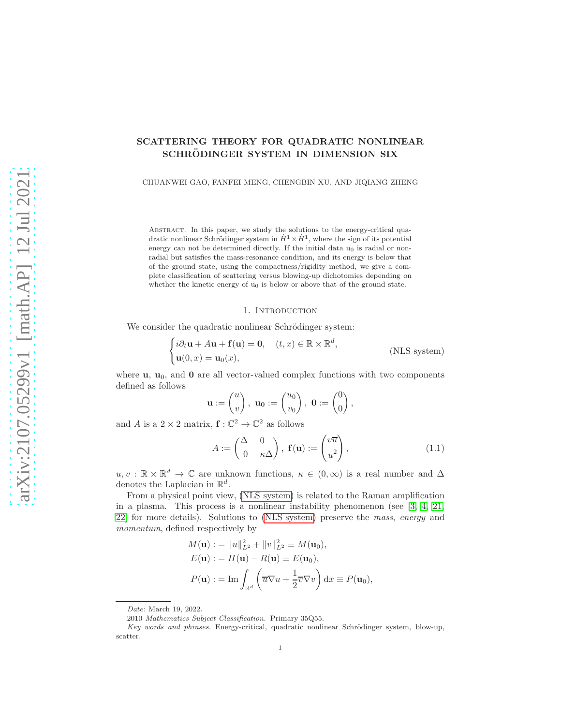# SCATTERING THEORY FOR QUADRATIC NONLINEAR SCHRÖDINGER SYSTEM IN DIMENSION SIX

CHUANWEI GAO, FANFEI MENG, CHENGBIN XU, AND JIQIANG ZHENG

ABSTRACT. In this paper, we study the solutions to the energy-critical quadratic nonlinear Schrödinger system in  $\dot{H}^1 \times \dot{H}^1$ , where the sign of its potential energy can not be determined directly. If the initial data  $u_0$  is radial or nonradial but satisfies the mass-resonance condition, and its energy is below that of the ground state, using the compactness/rigidity method, we give a complete classification of scattering versus blowing-up dichotomies depending on whether the kinetic energy of  $u_0$  is below or above that of the ground state.

### <span id="page-0-0"></span>1. INTRODUCTION

We consider the quadratic nonlinear Schrödinger system:

$$
\begin{cases}\ni\partial_t \mathbf{u} + A\mathbf{u} + \mathbf{f}(\mathbf{u}) = \mathbf{0}, & (t, x) \in \mathbb{R} \times \mathbb{R}^d, \\
\mathbf{u}(0, x) = \mathbf{u}_0(x), & (\text{NLS system})\n\end{cases}
$$

where  $\mathbf{u}, \mathbf{u}_0$ , and  $\mathbf{0}$  are all vector-valued complex functions with two components defined as follows

$$
\mathbf{u} := \begin{pmatrix} u \\ v \end{pmatrix}, \ \mathbf{u_0} := \begin{pmatrix} u_0 \\ v_0 \end{pmatrix}, \ \mathbf{0} := \begin{pmatrix} 0 \\ 0 \end{pmatrix},
$$

and A is a  $2 \times 2$  matrix,  $\mathbf{f} : \mathbb{C}^2 \to \mathbb{C}^2$  as follows

$$
A := \begin{pmatrix} \Delta & 0 \\ 0 & \kappa \Delta \end{pmatrix}, \ \mathbf{f}(\mathbf{u}) := \begin{pmatrix} v\overline{u} \\ u^2 \end{pmatrix}, \tag{1.1}
$$

 $u, v : \mathbb{R} \times \mathbb{R}^d \to \mathbb{C}$  are unknown functions,  $\kappa \in (0, \infty)$  is a real number and  $\Delta$ denotes the Laplacian in  $\mathbb{R}^d$ .

From a physical point view, [\(NLS system\)](#page-0-0) is related to the Raman amplification in a plasma. This process is a nonlinear instability phenomenon (see [\[3,](#page-31-0) [4,](#page-31-1) [21,](#page-32-0) [22\]](#page-32-1) for more details). Solutions to [\(NLS system\)](#page-0-0) preserve the *mass*, *energy* and *momentum*, defined respectively by

$$
M(\mathbf{u}) := ||u||_{L^2}^2 + ||v||_{L^2}^2 \equiv M(\mathbf{u}_0),
$$
  
\n
$$
E(\mathbf{u}) := H(\mathbf{u}) - R(\mathbf{u}) \equiv E(\mathbf{u}_0),
$$
  
\n
$$
P(\mathbf{u}) := \text{Im} \int_{\mathbb{R}^d} \left( \overline{u} \nabla u + \frac{1}{2} \overline{v} \nabla v \right) dx \equiv P(\mathbf{u}_0),
$$

Date: March 19, 2022.

<sup>2010</sup> Mathematics Subject Classification. Primary 35Q55.

Key words and phrases. Energy-critical, quadratic nonlinear Schrödinger system, blow-up, scatter.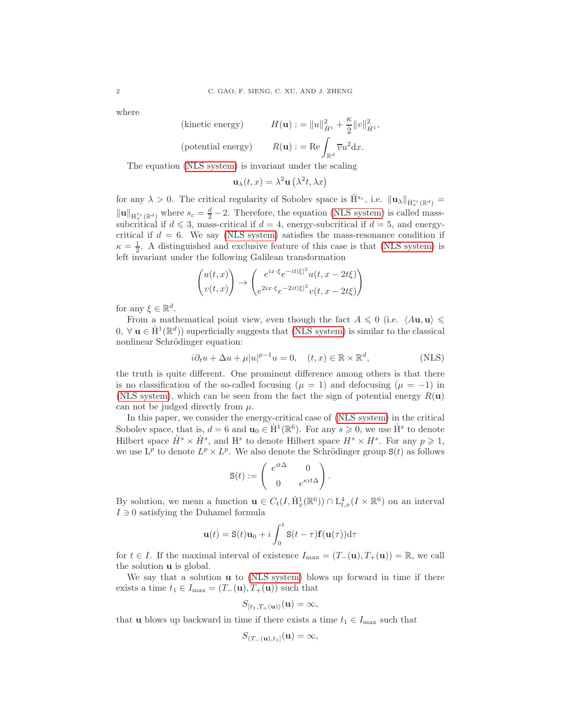where

(kinetic energy) 
$$
H(\mathbf{u}) := ||u||_{\dot{H}^1}^2 + \frac{\kappa}{2} ||v||_{\dot{H}^1}^2,
$$
  
(potential energy) 
$$
R(\mathbf{u}) := \text{Re} \int_{\mathbb{R}^d} \overline{v} u^2 \, dx.
$$

The equation [\(NLS system\)](#page-0-0) is invariant under the scaling

$$
\mathbf{u}_{\lambda}(t,x) = \lambda^2 \mathbf{u}\left(\lambda^2 t, \lambda x\right)
$$

for any  $\lambda > 0$ . The critical regularity of Sobolev space is  $\dot{H}^{s_c}$ , i.e.  $\|\mathbf{u}_{\lambda}\|_{\dot{H}^{s_c}_x(\mathbb{R}^d)} =$  $\|\mathbf{u}\|_{\dot{\mathbf{H}}_{x}^{sc}(\mathbb{R}^d)}$  where  $s_c = \frac{d}{2} - 2$ . Therefore, the equation [\(NLS system\)](#page-0-0) is called masssubcritical if  $d \leq 3$ , mass-critical if  $d = 4$ , energy-subcritical if  $d = 5$ , and energycritical if  $d = 6$ . We say [\(NLS system\)](#page-0-0) satisfies the mass-resonance condition if  $\kappa = \frac{1}{2}$ . A distinguished and exclusive feature of this case is that [\(NLS system\)](#page-0-0) is left invariant under the following Galilean transformation

$$
\begin{pmatrix} u(t,x) \\ v(t,x) \end{pmatrix} \rightarrow \begin{pmatrix} e^{ix\cdot\xi}e^{-it|\xi|^2}u(t,x-2t\xi) \\ e^{2ix\cdot\xi}e^{-2it|\xi|^2}v(t,x-2t\xi) \end{pmatrix}
$$

for any  $\xi \in \mathbb{R}^d$ .

From a mathematical point view, even though the fact  $A \leq 0$  (i.e.  $\langle A\mathbf{u}, \mathbf{u} \rangle \leq$ 0,  $\forall$ **u** ∈  $\dot{H}^1(\mathbb{R}^d)$ ) superficially suggests that [\(NLS system\)](#page-0-0) is similar to the classical nonlinear Schrödinger equation:

$$
i\partial_t u + \Delta u + \mu |u|^{p-1} u = 0, \quad (t, x) \in \mathbb{R} \times \mathbb{R}^d,
$$
 (NLS)

the truth is quite different. One prominent difference among others is that there is no classification of the so-called focusing ( $\mu = 1$ ) and defocusing ( $\mu = -1$ ) in [\(NLS system\)](#page-0-0), which can be seen from the fact the sign of potential energy  $R(\mathbf{u})$ can not be judged directly from  $\mu$ .

In this paper, we consider the energy-critical case of [\(NLS system\)](#page-0-0) in the critical Sobolev space, that is,  $d = 6$  and  $\mathbf{u}_0 \in \dot{H}^1(\mathbb{R}^6)$ . For any  $s \geq 0$ , we use  $\dot{H}^s$  to denote Hilbert space  $\dot{H}^s \times \dot{H}^s$ , and H<sup>s</sup> to denote Hilbert space  $H^s \times H^s$ . For any  $p \geq 1$ , we use  $L^p$  to denote  $L^p \times L^p$ . We also denote the Schrödinger group  $S(t)$  as follows

<span id="page-1-0"></span>
$$
\mathbf{S}(t) := \begin{pmatrix} e^{it\Delta} & 0 \\ 0 & e^{\kappa it\Delta} \end{pmatrix}.
$$

By solution, we mean a function  $\mathbf{u} \in C_t(I, \dot{H}_x^1(\mathbb{R}^6)) \cap L_{t,x}^4(I \times \mathbb{R}^6)$  on an interval  $I \ni 0$  satisfying the Duhamel formula

$$
\mathbf{u}(t) = \mathbf{S}(t)\mathbf{u}_0 + i \int_0^t \mathbf{S}(t-\tau)\mathbf{f}(\mathbf{u}(\tau))\mathrm{d}\tau
$$

for  $t \in I$ . If the maximal interval of existence  $I_{\text{max}} = (T_{-}(\mathbf{u}), T_{+}(\mathbf{u})) = \mathbb{R}$ , we call the solution u is global.

We say that a solution **u** to [\(NLS system\)](#page-0-0) blows up forward in time if there exists a time  $t_1 \in I_{\text{max}} = (T_-(\mathbf{u}), T_+(\mathbf{u}))$  such that

$$
S_{[t_1,T_+(\mathbf{u}))}(\mathbf{u})=\infty,
$$

that **u** blows up backward in time if there exists a time  $t_1 \in I_{\text{max}}$  such that

$$
S_{(T-(\mathbf{u}),t_1]}(\mathbf{u})=\infty,
$$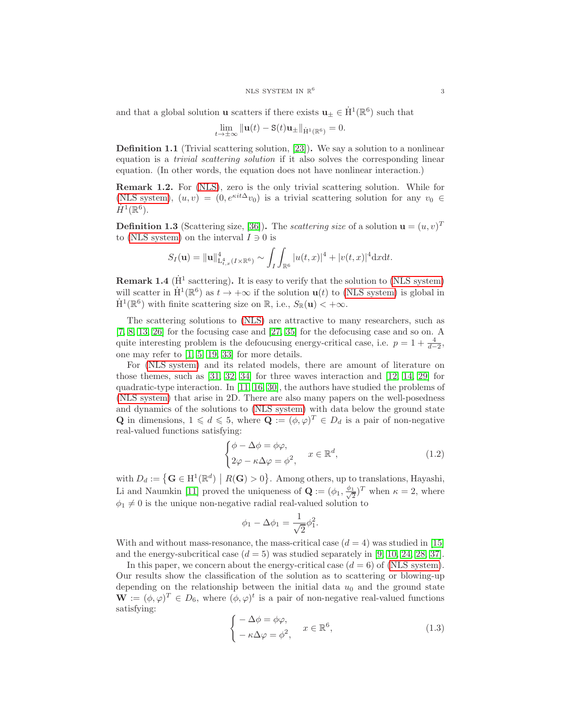and that a global solution **u** scatters if there exists  $\mathbf{u}_{\pm} \in \dot{H}^1(\mathbb{R}^6)$  such that

$$
\lim_{t\to\pm\infty}\|\mathbf{u}(t)-\mathbf{S}(t)\mathbf{u}_{\pm}\|_{\dot{\mathbf{H}}^1(\mathbb{R}^6)}=0.
$$

Definition 1.1 (Trivial scattering solution, [\[23\]](#page-32-2)). We say a solution to a nonlinear equation is a *trivial scattering solution* if it also solves the corresponding linear equation. (In other words, the equation does not have nonlinear interaction.)

Remark 1.2. For [\(NLS\)](#page-1-0), zero is the only trivial scattering solution. While for [\(NLS system\)](#page-0-0),  $(u, v) = (0, e^{\kappa i t \Delta} v_0)$  is a trivial scattering solution for any  $v_0 \in$  $\dot{H}^1(\mathbb{R}^6)$ .

**Definition 1.3** (Scattering size, [\[36\]](#page-33-0)). The *scattering size* of a solution  $\mathbf{u} = (u, v)^T$ to [\(NLS system\)](#page-0-0) on the interval  $I \ni 0$  is

$$
S_I(\mathbf{u}) = \|\mathbf{u}\|_{\mathrm{L}_{t,x}^4(I \times \mathbb{R}^6)}^4 \sim \int_I \int_{\mathbb{R}^6} |u(t,x)|^4 + |v(t,x)|^4 \mathrm{d}x \mathrm{d}t.
$$

<span id="page-2-2"></span>**Remark 1.4** ( $\dot{H}^1$  sacttering). It is easy to verify that the solution to [\(NLS system\)](#page-0-0) will scatter in  $\dot{H}^1(\mathbb{R}^6)$  as  $t \to +\infty$  if the solution  $\mathbf{u}(t)$  to [\(NLS system\)](#page-0-0) is global in  $\dot{H}^{1}(\mathbb{R}^{6})$  with finite scattering size on  $\mathbb{R}$ , i.e.,  $S_{\mathbb{R}}(\mathbf{u}) < +\infty$ .

The scattering solutions to [\(NLS\)](#page-1-0) are attractive to many researchers, such as [\[7,](#page-31-2) [8,](#page-31-3) [13,](#page-32-3) [26\]](#page-32-4) for the focusing case and [\[27,](#page-32-5) [35\]](#page-32-6) for the defocusing case and so on. A quite interesting problem is the defoucusing energy-critical case, i.e.  $p = 1 + \frac{4}{d-2}$ , one may refer to [\[1,](#page-31-4) [5,](#page-31-5) [19,](#page-32-7) [33\]](#page-32-8) for more details.

For [\(NLS system\)](#page-0-0) and its related models, there are amount of literature on those themes, such as [\[31,](#page-32-9) [32,](#page-32-10) [34\]](#page-32-11) for three waves interaction and [\[12,](#page-32-12) [14,](#page-32-13) [29\]](#page-32-14) for quadratic-type interaction. In [\[11,](#page-32-15) [16,](#page-32-16) [30\]](#page-32-17), the authors have studied the problems of [\(NLS system\)](#page-0-0) that arise in 2D. There are also many papers on the well-posedness and dynamics of the solutions to [\(NLS system\)](#page-0-0) with data below the ground state **Q** in dimensions,  $1 \leq d \leq 5$ , where  $\mathbf{Q} := (\phi, \varphi)^T \in D_d$  is a pair of non-negative real-valued functions satisfying:

<span id="page-2-0"></span>
$$
\begin{cases}\n\phi - \Delta \phi = \phi \varphi, \\
2\varphi - \kappa \Delta \varphi = \phi^2, \quad x \in \mathbb{R}^d,\n\end{cases}
$$
\n(1.2)

with  $D_d := \{ \mathbf{G} \in H^1(\mathbb{R}^d) \mid R(\mathbf{G}) > 0 \}$ . Among others, up to translations, Hayashi, Li and Naumkin [\[11\]](#page-32-15) proved the uniqueness of  $\mathbf{Q} := (\phi_1, \frac{\phi_1}{\sqrt{2}})$  $(\frac{1}{2})^T$  when  $\kappa = 2$ , where  $\phi_1 \neq 0$  is the unique non-negative radial real-valued solution to

$$
\phi_1 - \Delta \phi_1 = \frac{1}{\sqrt{2}} \phi_1^2.
$$

With and without mass-resonance, the mass-critical case  $(d = 4)$  was studied in [\[15\]](#page-32-18) and the energy-subcritical case  $(d = 5)$  was studied separately in [\[9,](#page-31-6) [10,](#page-32-19) [24,](#page-32-20) [28,](#page-32-21) [37\]](#page-33-1).

In this paper, we concern about the energy-critical case  $(d = 6)$  of [\(NLS system\)](#page-0-0). Our results show the classification of the solution as to scattering or blowing-up depending on the relationship between the initial data  $u_0$  and the ground state  $\mathbf{W} := (\phi, \varphi)^T \in D_6$ , where  $(\phi, \varphi)^t$  is a pair of non-negative real-valued functions satisfying:

<span id="page-2-1"></span>
$$
\begin{cases}\n-\Delta \phi = \phi \varphi, \\
-\kappa \Delta \varphi = \phi^2, \quad x \in \mathbb{R}^6,\n\end{cases}
$$
\n(1.3)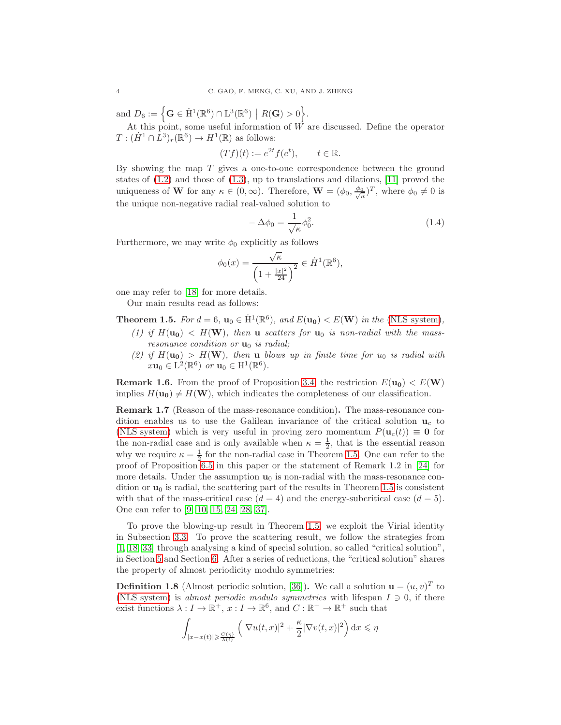and  $D_6 := \left\{ \mathbf{G} \in \dot{H}^1(\mathbb{R}^6) \cap L^3(\mathbb{R}^6) \middle| R(\mathbf{G}) > 0 \right\}.$ 

At this point, some useful information of  $\tilde{W}$  are discussed. Define the operator  $T: (\dot{H}^1 \cap L^3)_r(\mathbb{R}^6) \to H^1(\mathbb{R})$  as follows:

$$
(Tf)(t) := e^{2t} f(e^t), \qquad t \in \mathbb{R}.
$$

By showing the map  $T$  gives a one-to-one correspondence between the ground states of  $(1.2)$  and those of  $(1.3)$ , up to translations and dilations,  $[11]$  proved the uniqueness of **W** for any  $\kappa \in (0, \infty)$ . Therefore,  $\mathbf{W} = (\phi_0, \frac{\phi_0}{\sqrt{\kappa}})^T$ , where  $\phi_0 \neq 0$  is the unique non-negative radial real-valued solution to

<span id="page-3-1"></span>
$$
-\Delta\phi_0 = \frac{1}{\sqrt{\kappa}}\phi_0^2.
$$
\n(1.4)

Furthermore, we may write  $\phi_0$  explicitly as follows

$$
\phi_0(x) = \frac{\sqrt{\kappa}}{\left(1 + \frac{|x|^2}{24}\right)^2} \in \dot{H}^1(\mathbb{R}^6),
$$

one may refer to [\[18\]](#page-32-22) for more details.

Our main results read as follows:

<span id="page-3-0"></span>**Theorem 1.5.** *For*  $d = 6$ ,  $\mathbf{u}_0 \in \dot{H}^1(\mathbb{R}^6)$ , and  $E(\mathbf{u_0}) < E(\mathbf{W})$  in the [\(NLS system\)](#page-0-0),

- (1) if  $H(\mathbf{u_0}) < H(\mathbf{W})$ , then **u** *scatters for*  $\mathbf{u_0}$  *is non-radial with the massresonance condition or*  $\mathbf{u}_0$  *is radial;*
- (2) if  $H(\mathbf{u_0}) > H(\mathbf{W})$ , then **u** blows up in finite time for  $u_0$  is radial with  $x\mathbf{u}_0 \in \mathrm{L}^2(\mathbb{R}^6)$  or  $\mathbf{u}_0 \in \mathrm{H}^1(\mathbb{R}^6)$ .

**Remark 1.6.** From the proof of Proposition [3.4,](#page-10-0) the restriction  $E(\mathbf{u_0}) < E(\mathbf{W})$ implies  $H(\mathbf{u_0}) \neq H(\mathbf{W})$ , which indicates the completeness of our classification.

Remark 1.7 (Reason of the mass-resonance condition). The mass-resonance condition enables us to use the Galilean invariance of the critical solution  $\mathbf{u}_c$  to [\(NLS system\)](#page-0-0) which is very useful in proving zero momentum  $P(\mathbf{u}_c(t)) \equiv \mathbf{0}$  for the non-radial case and is only available when  $\kappa = \frac{1}{2}$ , that is the essential reason why we require  $\kappa = \frac{1}{2}$  for the non-radial case in Theorem [1.5.](#page-3-0) One can refer to the proof of Proposition [6.5](#page-28-0) in this paper or the statement of Remark 1.2 in [\[24\]](#page-32-20) for more details. Under the assumption  $\mathbf{u}_0$  is non-radial with the mass-resonance condition or  $\mathbf{u}_0$  is radial, the scattering part of the results in Theorem [1.5](#page-3-0) is consistent with that of the mass-critical case  $(d = 4)$  and the energy-subcritical case  $(d = 5)$ . One can refer to [\[9,](#page-31-6) [10,](#page-32-19) [15,](#page-32-18) [24,](#page-32-20) [28,](#page-32-21) [37\]](#page-33-1).

To prove the blowing-up result in Theorem [1.5,](#page-3-0) we exploit the Virial identity in Subsection [3.3.](#page-13-0) To prove the scattering result, we follow the strategies from [\[1,](#page-31-4) [18,](#page-32-22) [33\]](#page-32-8) through analysing a kind of special solution, so called "critical solution", in Section [5](#page-21-0) and Section [6.](#page-23-0) After a series of reductions, the "critical solution" shares the property of almost periodicity modulo symmetries:

<span id="page-3-2"></span>**Definition 1.8** (Almost periodic solution, [\[36\]](#page-33-0)). We call a solution  $\mathbf{u} = (u, v)^T$  to [\(NLS system\)](#page-0-0) is *almost periodic modulo symmetries* with lifespan  $I \ni 0$ , if there exist functions  $\lambda: I \to \mathbb{R}^+$ ,  $x: I \to \mathbb{R}^6$ , and  $C: \mathbb{R}^+ \to \mathbb{R}^+$  such that

$$
\int_{|x-x(t)| \geqslant \frac{C(\eta)}{\lambda(t)}} \left( |\nabla u(t,x)|^2 + \frac{\kappa}{2} |\nabla v(t,x)|^2 \right) dx \leqslant \eta
$$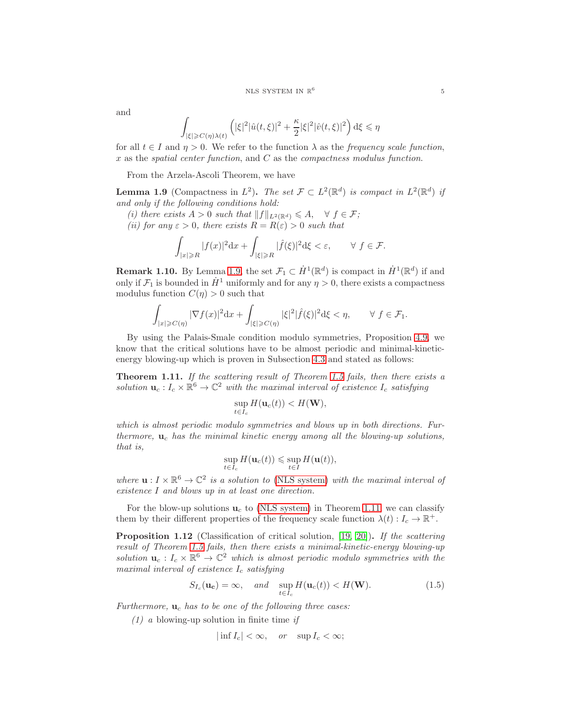and

$$
\int_{|\xi|\geqslant C(\eta)\lambda(t)}\left(|\xi|^2|\hat{u}(t,\xi)|^2+\frac{\kappa}{2}|\xi|^2|\hat{v}(t,\xi)|^2\right)\mathrm{d}\xi\leqslant\eta
$$

for all  $t \in I$  and  $\eta > 0$ . We refer to the function  $\lambda$  as the *frequency scale function*, x as the *spatial center function*, and C as the *compactness modulus function*.

From the Arzela-Ascoli Theorem, we have

<span id="page-4-0"></span>**Lemma 1.9** (Compactness in  $L^2$ ). The set  $\mathcal{F} \subset L^2(\mathbb{R}^d)$  is compact in  $L^2(\mathbb{R}^d)$  if *and only if the following conditions hold:*

*(i) there exists*  $A > 0$  *such that*  $||f||_{L^2(\mathbb{R}^d)} \leq A$ ,  $\forall f \in \mathcal{F}$ ;

*(ii) for any*  $\varepsilon > 0$ *, there exists*  $R = R(\varepsilon) > 0$  *such that* 

$$
\int_{|x|\geqslant R}|f(x)|^2{\rm d}x+\int_{|\xi|\geqslant R}|\widehat{f}(\xi)|^2{\rm d}\xi<\varepsilon,\qquad\forall\ f\in\mathcal{F}.
$$

<span id="page-4-3"></span>**Remark 1.10.** By Lemma [1.9,](#page-4-0) the set  $\mathcal{F}_1 \subset \dot{H}^1(\mathbb{R}^d)$  is compact in  $\dot{H}^1(\mathbb{R}^d)$  if and only if  $\mathcal{F}_1$  is bounded in  $\dot{H}^1$  uniformly and for any  $\eta > 0$ , there exists a compactness modulus function  $C(\eta) > 0$  such that

$$
\int_{|x|\geqslant C(\eta)}|\nabla f(x)|^2{\rm d}x+\int_{|\xi|\geqslant C(\eta)}|\xi|^2|\widehat{f}(\xi)|^2{\rm d}\xi<\eta,\qquad\forall\ f\in\mathcal{F}_1.
$$

By using the Palais-Smale condition modulo symmetries, Proposition [4.9,](#page-19-0) we know that the critical solutions have to be almost periodic and minimal-kineticenergy blowing-up which is proven in Subsection [4.3](#page-19-1) and stated as follows:

<span id="page-4-1"></span>Theorem 1.11. *If the scattering result of Theorem [1.5](#page-3-0) fails, then there exists a solution*  $\mathbf{u}_c: I_c \times \mathbb{R}^6 \to \mathbb{C}^2$  *with the maximal interval of existence*  $I_c$  *satisfying* 

$$
\sup_{t\in I_c} H(\mathbf{u}_c(t)) < H(\mathbf{W}),
$$

*which is almost periodic modulo symmetries and blows up in both directions. Furthermore,* u<sup>c</sup> *has the minimal kinetic energy among all the blowing-up solutions, that is,*

$$
\sup_{t\in I_c} H(\mathbf{u}_c(t)) \leq \sup_{t\in I} H(\mathbf{u}(t)),
$$

where  $\mathbf{u}: I \times \mathbb{R}^6 \to \mathbb{C}^2$  is a solution to [\(NLS system\)](#page-0-0) *with the maximal interval of existence* I *and blows up in at least one direction.*

For the blow-up solutions  $\mathbf{u}_c$  to [\(NLS system\)](#page-0-0) in Theorem [1.11,](#page-4-1) we can classify them by their different properties of the frequency scale function  $\lambda(t): I_c \to \mathbb{R}^+$ .

<span id="page-4-2"></span>Proposition 1.12 (Classification of critical solution, [\[19,](#page-32-7) [20\]](#page-32-23)). *If the scattering result of Theorem [1.5](#page-3-0) fails, then there exists a minimal-kinetic-energy blowing-up* solution  $\mathbf{u}_c: I_c \times \mathbb{R}^6 \to \mathbb{C}^2$  which is almost periodic modulo symmetries with the *maximal interval of existence*  $I_c$  *satisfying* 

<span id="page-4-4"></span>
$$
S_{I_c}(\mathbf{u_c}) = \infty, \quad and \quad \sup_{t \in I_c} H(\mathbf{u}_c(t)) < H(\mathbf{W}). \tag{1.5}
$$

*Furthermore,*  $\mathbf{u}_c$  *has to be one of the following three cases:* 

*(1) a* blowing-up solution in finite time *if*

$$
|\inf I_c| < \infty, \quad or \quad \sup I_c < \infty;
$$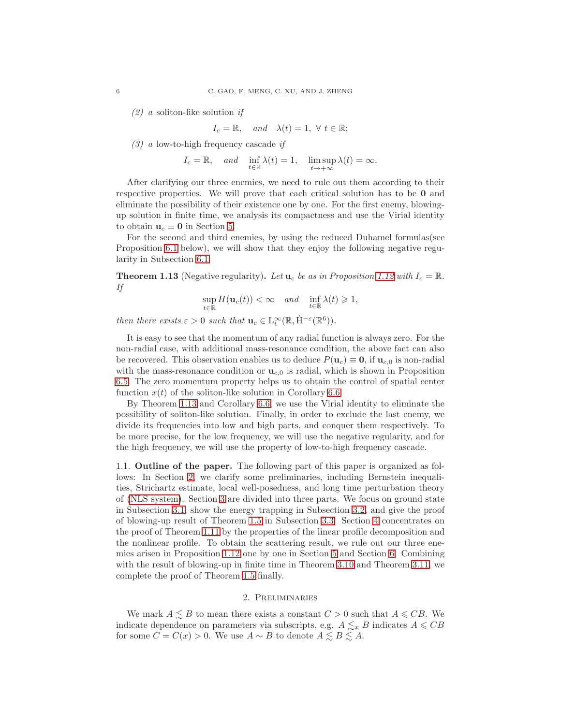*(2) a* soliton-like solution *if*

$$
I_c = \mathbb{R}, \quad and \quad \lambda(t) = 1, \ \forall \ t \in \mathbb{R};
$$

*(3) a* low-to-high frequency cascade *if*

$$
I_c = \mathbb{R}
$$
, and  $\inf_{t \in \mathbb{R}} \lambda(t) = 1$ ,  $\limsup_{t \to +\infty} \lambda(t) = \infty$ .

After clarifying our three enemies, we need to rule out them according to their respective properties. We will prove that each critical solution has to be 0 and eliminate the possibility of their existence one by one. For the first enemy, blowingup solution in finite time, we analysis its compactness and use the Virial identity to obtain  $u_c \equiv 0$  in Section [5.](#page-21-0)

For the second and third enemies, by using the reduced Duhamel formulas(see Proposition [6.1](#page-24-0) below), we will show that they enjoy the following negative regularity in Subsection [6.1.](#page-24-1)

<span id="page-5-0"></span>**Theorem 1.13** (Negative regularity). Let  $\mathbf{u}_c$  be as in Proposition [1.12](#page-4-2) with  $I_c = \mathbb{R}$ . *If*

$$
\sup_{t\in\mathbb{R}} H(\mathbf{u}_c(t)) < \infty \quad and \quad \inf_{t\in\mathbb{R}} \lambda(t) \geq 1,
$$

*then there exists*  $\varepsilon > 0$  *such that*  $\mathbf{u}_c \in L_t^{\infty}(\mathbb{R}, \dot{H}^{-\varepsilon}(\mathbb{R}^6)).$ 

It is easy to see that the momentum of any radial function is always zero. For the non-radial case, with additional mass-resonance condition, the above fact can also be recovered. This observation enables us to deduce  $P(\mathbf{u}_c) \equiv \mathbf{0}$ , if  $\mathbf{u}_{c,0}$  is non-radial with the mass-resonance condition or  $\mathbf{u}_{c,0}$  is radial, which is shown in Proposition [6.5.](#page-28-0) The zero momentum property helps us to obtain the control of spatial center function  $x(t)$  of the soliton-like solution in Corollary [6.6.](#page-29-0)

By Theorem [1.13](#page-5-0) and Corollary [6.6,](#page-29-0) we use the Virial identity to eliminate the possibility of soliton-like solution. Finally, in order to exclude the last enemy, we divide its frequencies into low and high parts, and conquer them respectively. To be more precise, for the low frequency, we will use the negative regularity, and for the high frequency, we will use the property of low-to-high frequency cascade.

1.1. Outline of the paper. The following part of this paper is organized as follows: In Section [2,](#page-5-1) we clarify some preliminaries, including Bernstein inequalities, Strichartz estimate, local well-posedness, and long time perturbation theory of [\(NLS system\)](#page-0-0). Section [3](#page-9-0) are divided into three parts. We focus on ground state in Subsection [3.1,](#page-9-1) show the energy trapping in Subsection [3.2,](#page-11-0) and give the proof of blowing-up result of Theorem [1.5](#page-3-0) in Subsection [3.3.](#page-13-0) Section [4](#page-15-0) concentrates on the proof of Theorem [1.11](#page-4-1) by the properties of the linear profile decomposition and the nonlinear profile. To obtain the scattering result, we rule out our three enemies arisen in Proposition [1.12](#page-4-2) one by one in Section [5](#page-21-0) and Section [6.](#page-23-0) Combining with the result of blowing-up in finite time in Theorem [3.10](#page-14-0) and Theorem [3.11,](#page-14-1) we complete the proof of Theorem [1.5](#page-3-0) finally.

## 2. Preliminaries

<span id="page-5-1"></span>We mark  $A \leq B$  to mean there exists a constant  $C > 0$  such that  $A \leq CB$ . We indicate dependence on parameters via subscripts, e.g.  $A \lesssim_{x} B$  indicates  $A \leq CB$ for some  $C = C(x) > 0$ . We use  $A \sim B$  to denote  $A \lesssim B \lesssim A$ .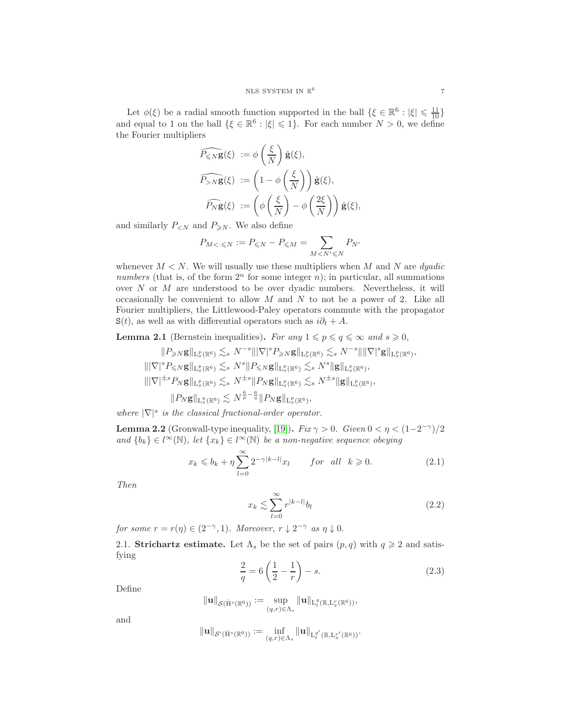Let  $\phi(\xi)$  be a radial smooth function supported in the ball  $\{\xi \in \mathbb{R}^6 : |\xi| \leq \frac{11}{10}\}$  and equal to 1 on the ball  $\{\xi \in \mathbb{R}^6 : |\xi| \leq 1\}$ . For each number  $N > 0$ , we define the Fourier multipliers

$$
\widehat{P_{\leq N}\mathbf{g}}(\xi) := \phi\left(\frac{\xi}{N}\right)\hat{\mathbf{g}}(\xi),
$$
  

$$
\widehat{P_{>N}\mathbf{g}}(\xi) := \left(1 - \phi\left(\frac{\xi}{N}\right)\right)\hat{\mathbf{g}}(\xi),
$$
  

$$
\widehat{P_{N}\mathbf{g}}(\xi) := \left(\phi\left(\frac{\xi}{N}\right) - \phi\left(\frac{2\xi}{N}\right)\right)\hat{\mathbf{g}}(\xi),
$$

and similarly  $P_{\leq N}$  and  $P_{\geq N}$ . We also define

$$
P_{M < \cdot \leqslant N} := P_{\leqslant N} - P_{\leqslant M} = \sum_{M < N' \leqslant N} P_{N'}
$$

whenever  $M \leq N$ . We will usually use these multipliers when M and N are *dyadic numbers* (that is, of the form  $2^n$  for some integer n); in particular, all summations over  $N$  or  $M$  are understood to be over dyadic numbers. Nevertheless, it will occasionally be convenient to allow  $M$  and  $N$  to not be a power of 2. Like all Fourier multipliers, the Littlewood-Paley operators commute with the propagator  $S(t)$ , as well as with differential operators such as  $i\partial_t + A$ .

<span id="page-6-0"></span>**Lemma 2.1** (Bernstein inequalities). For any  $1 \leq p \leq q \leq \infty$  and  $s \geq 0$ ,

$$
\|P_{\geq N}\mathbf{g}\|_{\mathbf{L}_x^p(\mathbb{R}^6)} \lesssim_s N^{-s} \|\nabla|^s P_{\geq N}\mathbf{g}\|_{\mathbf{L}_x^p(\mathbb{R}^6)} \lesssim_s N^{-s} \|\|\nabla|^s \mathbf{g}\|_{\mathbf{L}_x^p(\mathbb{R}^6)},
$$
  

$$
\|\nabla|^s P_{\leq N}\mathbf{g}\|_{\mathbf{L}_x^p(\mathbb{R}^6)} \lesssim_s N^s \|P_{\leq N}\mathbf{g}\|_{\mathbf{L}_x^p(\mathbb{R}^6)} \lesssim_s N^s \|\mathbf{g}\|_{\mathbf{L}_x^p(\mathbb{R}^6)},
$$
  

$$
\|\nabla|^{\pm s} P_N\mathbf{g}\|_{\mathbf{L}_x^p(\mathbb{R}^6)} \lesssim_s N^{\pm s} \|P_N\mathbf{g}\|_{\mathbf{L}_x^p(\mathbb{R}^6)} \lesssim_s N^{\pm s} \|\mathbf{g}\|_{\mathbf{L}_x^p(\mathbb{R}^6)},
$$
  

$$
\|P_N\mathbf{g}\|_{\mathbf{L}_x^q(\mathbb{R}^6)} \lesssim N^{\frac{6}{p} - \frac{6}{q}} \|P_N\mathbf{g}\|_{\mathbf{L}_x^p(\mathbb{R}^6)},
$$

*where*  $|\nabla|^s$  *is the classical fractional-order operator.* 

<span id="page-6-1"></span>**Lemma 2.2** (Gronwall-type inequality, [\[19\]](#page-32-7)). *Fix*  $\gamma > 0$ . *Given*  $0 < \eta < (1-2^{-\gamma})/2$ *and*  ${b_k} ∈ l^∞(N)$ *, let*  ${x_k} ∈ l^∞(N)$  *be a non-negative sequence obeying* 

$$
x_k \leqslant b_k + \eta \sum_{l=0}^{\infty} 2^{-\gamma|k-l|} x_l \qquad \text{for all} \ \ k \geqslant 0. \tag{2.1}
$$

*Then*

$$
x_k \lesssim \sum_{l=0}^{\infty} r^{|k-l|} b_l \tag{2.2}
$$

*for some*  $r = r(\eta) \in (2^{-\gamma}, 1)$ *. Moreover,*  $r \downarrow 2^{-\gamma}$  *as*  $\eta \downarrow 0$ *.* 

2.1. Strichartz estimate. Let  $\Lambda_s$  be the set of pairs  $(p, q)$  with  $q \geq 2$  and satisfying

$$
\frac{2}{q} = 6\left(\frac{1}{2} - \frac{1}{r}\right) - s.\tag{2.3}
$$

Define

$$
\|\mathbf{u}\|_{\mathcal{S}(\dot{\mathrm{H}}^s(\mathbb{R}^6))} := \sup_{(q,r)\in\Lambda_s} \|\mathbf{u}\|_{\mathrm{L}_t^q(\mathbb{R},\mathrm{L}_x^r(\mathbb{R}^6))},
$$

and

$$
\|\mathbf{u}\|_{\mathcal{S}'(\dot{\mathrm{H}}^s(\mathbb{R}^6))} := \inf_{(q,r)\in\Lambda_s} \|\mathbf{u}\|_{\mathrm{L}_t^{q'}(\mathbb{R},\mathrm{L}_x^{r'}(\mathbb{R}^6))}.
$$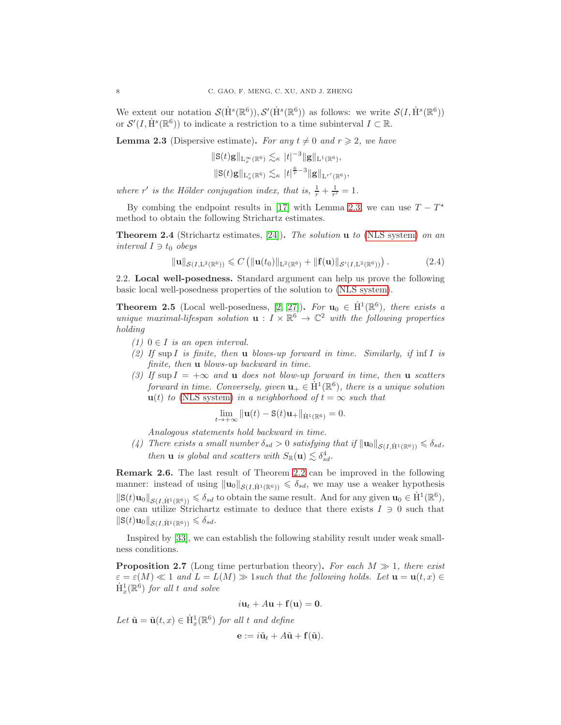We extent our notation  $\mathcal{S}(\dot{H}^s(\mathbb{R}^6)), \mathcal{S}'(\dot{H}^s(\mathbb{R}^6))$  as follows: we write  $\mathcal{S}(I, \dot{H}^s(\mathbb{R}^6))$ or  $\mathcal{S}'(I, \dot{H}^s(\mathbb{R}^6))$  to indicate a restriction to a time subinterval  $I \subset \mathbb{R}$ .

<span id="page-7-0"></span>**Lemma 2.3** (Dispersive estimate). For any  $t \neq 0$  and  $r \geq 2$ , we have

$$
\begin{aligned} \|\mathbf{S}(t)\mathbf{g}\|_{\mathcal{L}_x^{\infty}(\mathbb{R}^6)} &\lesssim_{\kappa} |t|^{-3} \|\mathbf{g}\|_{\mathcal{L}^1(\mathbb{R}^6)},\\ \|\mathbf{S}(t)\mathbf{g}\|_{\mathcal{L}_x^r(\mathbb{R}^6)} &\lesssim_{\kappa} |t|^{\frac{6}{r}-3} \|\mathbf{g}\|_{\mathcal{L}^{r'}(\mathbb{R}^6)} \end{aligned}
$$

where r' is the Hölder conjugation index, that is,  $\frac{1}{r} + \frac{1}{r'} = 1$ .

By combing the endpoint results in [\[17\]](#page-32-24) with Lemma [2.3,](#page-7-0) we can use  $T - T^*$ method to obtain the following Strichartz estimates.

<span id="page-7-2"></span>Theorem 2.4 (Strichartz estimates, [\[24\]](#page-32-20)). *The solution* u *to* [\(NLS system\)](#page-0-0) *on an interval*  $I \ni t_0$  *obeys* 

$$
\|\mathbf{u}\|_{\mathcal{S}(I,\mathbf{L}^2(\mathbb{R}^6))} \leqslant C \left( \|\mathbf{u}(t_0)\|_{\mathbf{L}^2(\mathbb{R}^6)} + \|\mathbf{f}(\mathbf{u})\|_{\mathcal{S}'(I,\mathbf{L}^2(\mathbb{R}^6))} \right). \tag{2.4}
$$

,

<span id="page-7-1"></span>2.2. Local well-posedness. Standard argument can help us prove the following basic local well-posedness properties of the solution to [\(NLS system\)](#page-0-0).

<span id="page-7-3"></span>**Theorem 2.5** (Local well-posedness,  $[2, 27]$  $[2, 27]$ ). For  $\mathbf{u}_0 \in \dot{H}^1(\mathbb{R}^6)$ , there exists a *unique maximal-lifespan solution*  $\mathbf{u} : I \times \mathbb{R}^6 \to \mathbb{C}^2$  *with the following properties holding*

- $(1)$  0 ∈ *I is an open interval.*
- *(2) If* sup I *is finite, then* u *blows-up forward in time. Similarly, if* inf I *is finite, then* u *blows-up backward in time.*
- *(3)* If sup  $I = +\infty$  and **u** does not blow-up forward in time, then **u** scatters *forward in time. Conversely, given*  $\mathbf{u}_{+} \in \dot{H}^{1}(\mathbb{R}^{6})$ *, there is a unique solution*  $u(t)$  *to* [\(NLS system\)](#page-0-0) *in a neighborhood of*  $t = \infty$  *such that*

$$
\lim_{t \to +\infty} \|\mathbf{u}(t) - \mathbf{S}(t)\mathbf{u}_+\|_{\dot{\mathbf{H}}^1(\mathbb{R}^6)} = 0.
$$

*Analogous statements hold backward in time.*

*(4) There exists a small number*  $\delta_{sd} > 0$  *satisfying that if*  $||\mathbf{u}_0||_{\mathcal{S}(I|\dot{H}^1(\mathbb{R}^6))} \leq \delta_{sd}$ , *then* **u** *is global and scatters with*  $S_{\mathbb{R}}(\mathbf{u}) \lesssim \delta_{sd}^4$ .

Remark 2.6. The last result of Theorem [2.2](#page-7-1) can be improved in the following manner: instead of using  $\|\mathbf{u}_0\|_{\mathcal{S}(I,\dot{H}^1(\mathbb{R}^6))} \leq \delta_{sd}$ , we may use a weaker hypothesis  $\|\mathbf{S}(t)\mathbf{u}_0\|_{\mathcal{S}(I,\dot{H}^1(\mathbb{R}^6))} \leq \delta_{sd}$  to obtain the same result. And for any given  $\mathbf{u}_0 \in \dot{H}^1(\mathbb{R}^6)$ , one can utilize Strichartz estimate to deduce that there exists  $I \ni 0$  such that  $\|\mathbf{S}(t)\mathbf{u}_0\|_{\mathcal{S}(I,\dot{H}^1(\mathbb{R}^6))} \leq \delta_{sd}.$ 

Inspired by [\[33\]](#page-32-8), we can establish the following stability result under weak smallness conditions.

<span id="page-7-4"></span>Proposition 2.7 (Long time perturbation theory). *For each* M ≫ 1*, there exist*  $\varepsilon = \varepsilon(M) \ll 1$  and  $L = L(M) \gg 1$  *such that the following holds. Let*  $\mathbf{u} = \mathbf{u}(t, x) \in$  $\dot{\mathrm{H}}_x^1(\mathbb{R}^6)$  *for all t and solve* 

$$
i\mathbf{u}_t + A\mathbf{u} + \mathbf{f}(\mathbf{u}) = \mathbf{0}.
$$

*Let*  $\tilde{\mathbf{u}} = \tilde{\mathbf{u}}(t, x) \in \dot{H}_x^1(\mathbb{R}^6)$  *for all t and define* 

$$
\mathbf{e} := i\tilde{\mathbf{u}}_t + A\tilde{\mathbf{u}} + \mathbf{f}(\tilde{\mathbf{u}}).
$$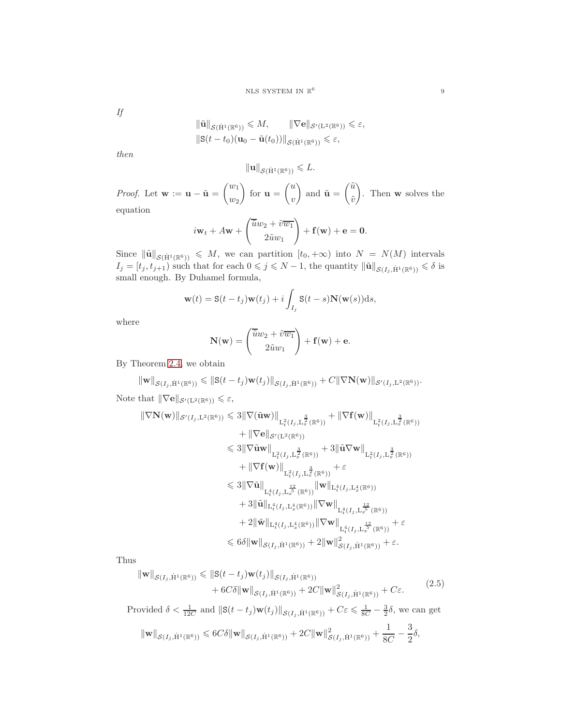*If*

$$
\begin{aligned} \|\tilde{\mathbf{u}}\|_{\mathcal{S}(\dot{\mathbf{H}}^1(\mathbb{R}^6))} &\leq M, & \|\nabla \mathbf{e}\|_{\mathcal{S}'(\mathbf{L}^2(\mathbb{R}^6))} \leq \varepsilon, \\ \|\mathbf{S}(t-t_0)(\mathbf{u}_0 - \tilde{\mathbf{u}}(t_0))\|_{\mathcal{S}(\dot{\mathbf{H}}^1(\mathbb{R}^6))} &\leq \varepsilon, \end{aligned}
$$

*then*

$$
\|\mathbf{u}\|_{\mathcal{S}(\dot{\mathrm{H}}^1(\mathbb{R}^6))} \leq L.
$$

*Proof.* Let  $\mathbf{w} := \mathbf{u} - \tilde{\mathbf{u}} =$  $\sqrt{w_1}$  $w_2$  $\setminus$ for  $\mathbf{u} =$  $\sqrt{u}$  $\overline{v}$  $\setminus$ and  $\tilde{\mathbf{u}} =$  $\tilde{u}$  $\tilde{v}$  $\setminus$ . Then w solves the equation

$$
i\mathbf{w}_t + A\mathbf{w} + \begin{pmatrix} \overline{\tilde{u}}w_2 + \tilde{v}\overline{w_1} \\ 2\tilde{u}w_1 \end{pmatrix} + \mathbf{f}(\mathbf{w}) + \mathbf{e} = \mathbf{0}.
$$

Since  $\|\tilde{\mathbf{u}}\|_{\mathcal{S}(\dot{H}^1(\mathbb{R}^6))} \leq M$ , we can partition  $[t_0, +\infty)$  into  $N = N(M)$  intervals  $I_j = [t_j, t_{j+1})$  such that for each  $0 \leq j \leq N-1$ , the quantity  $\|\tilde{\mathbf{u}}\|_{\mathcal{S}(I_j, \dot{H}^1(\mathbb{R}^6))} \leq \delta$  is small enough. By Duhamel formula,

$$
\mathbf{w}(t) = \mathbf{S}(t - t_j)\mathbf{w}(t_j) + i \int_{I_j} \mathbf{S}(t - s)\mathbf{N}(\mathbf{w}(s))ds,
$$

where

$$
\mathbf{N}(\mathbf{w}) = \begin{pmatrix} \overline{\tilde{u}}w_2 + \tilde{v}\overline{w_1} \\ 2\tilde{u}w_1 \end{pmatrix} + \mathbf{f}(\mathbf{w}) + \mathbf{e}.
$$

By Theorem [2.4,](#page-7-2) we obtain

$$
\|\mathbf{w}\|_{\mathcal{S}(I_j,\dot{\mathrm{H}}^1(\mathbb{R}^6))} \leq \|\mathbf{S}(t-t_j)\mathbf{w}(t_j)\|_{\mathcal{S}(I_j,\dot{\mathrm{H}}^1(\mathbb{R}^6))} + C\|\nabla \mathbf{N}(\mathbf{w})\|_{\mathcal{S}'(I_j,\mathrm{L}^2(\mathbb{R}^6))}.
$$

Note that  $\|\nabla \mathbf{e}\|_{\mathcal{S}'(\mathbf{L}^2(\mathbb{R}^6))} \leq \varepsilon$ ,

$$
\|\nabla \mathbf{N}(\mathbf{w})\|_{\mathcal{S}'(I_j, L^2(\mathbb{R}^6))} \leq 3\|\nabla(\tilde{\mathbf{u}}\mathbf{w})\|_{L^2_t(I_j, L^{\frac{3}{2}}_x(\mathbb{R}^6))} + \|\nabla \mathbf{f}(\mathbf{w})\|_{L^2_t(I_j, L^{\frac{3}{2}}_x(\mathbb{R}^6))}
$$
  
\n
$$
+ \|\nabla \mathbf{e}\|_{\mathcal{S}'(L^2(\mathbb{R}^6))} + 3\|\tilde{\mathbf{u}}\nabla \mathbf{w}\|_{L^2_t(I_j, L^{\frac{3}{2}}_x(\mathbb{R}^6))}
$$
  
\n
$$
\leq 3\|\nabla \tilde{\mathbf{u}}\mathbf{w}\|_{L^2_t(I_j, L^{\frac{3}{2}}_x(\mathbb{R}^6))} + 3\|\tilde{\mathbf{u}}\nabla \mathbf{w}\|_{L^2_t(I_j, L^{\frac{3}{2}}_x(\mathbb{R}^6))}
$$
  
\n
$$
+ \|\nabla \mathbf{f}(\mathbf{w})\|_{L^2_t(I_j, L^{\frac{12}{3}}_x(\mathbb{R}^6))} + \varepsilon
$$
  
\n
$$
\leq 3\|\nabla \tilde{\mathbf{u}}\|_{L^4_t(I_j, L^{\frac{4}{3}}_x(\mathbb{R}^6))}\|\mathbf{w}\|_{L^4_t(I_j, L^4_x(\mathbb{R}^6))}
$$
  
\n
$$
+ 3\|\tilde{\mathbf{u}}\|_{L^4_t(I_j, L^4_x(\mathbb{R}^6))}\|\nabla \mathbf{w}\|_{L^4_t(I_j, L^{\frac{12}{3}}_x(\mathbb{R}^6))}
$$
  
\n
$$
+ 2\|\tilde{\mathbf{w}}\|_{L^4_t(I_j, L^4_x(\mathbb{R}^6))}\|\nabla \mathbf{w}\|_{L^4_t(I_j, L^{\frac{12}{3}}_x(\mathbb{R}^6))} + \varepsilon
$$
  
\n
$$
\leq 6\delta \|\mathbf{w}\|_{\mathcal{S}(I_j, \dot{\mathbf{H}}^1(\mathbb{R}^6))} +
$$

Thus

$$
\|\mathbf{w}\|_{\mathcal{S}(I_j, \dot{\mathbf{H}}^1(\mathbb{R}^6))} \leq \|S(t - t_j)\mathbf{w}(t_j)\|_{\mathcal{S}(I_j, \dot{\mathbf{H}}^1(\mathbb{R}^6))} + 6C\delta \|\mathbf{w}\|_{\mathcal{S}(I_j, \dot{\mathbf{H}}^1(\mathbb{R}^6))} + 2C \|\mathbf{w}\|_{\mathcal{S}(I_j, \dot{\mathbf{H}}^1(\mathbb{R}^6))}^2 + C\epsilon.
$$
\n(2.5)

Provided  $\delta < \frac{1}{12C}$  and  $||\mathbf{S}(t - t_j)\mathbf{w}(t_j)||_{\mathcal{S}(I_j, \dot{H}^1(\mathbb{R}^6))} + C\varepsilon \leq \frac{1}{8C} - \frac{3}{2}\delta$ , we can get  $\|\mathbf{w}\|_{\mathcal{S}(I_j, \dot{\mathrm{H}}^1(\mathbb{R}^6))} \leqslant 6C\delta \|\mathbf{w}\|_{\mathcal{S}(I_j, \dot{\mathrm{H}}^1(\mathbb{R}^6))} + 2C \|\mathbf{w}\|_{\mathcal{S}(I_j, \dot{\mathrm{H}}^1(\mathbb{R}^6))}^2 + \frac{1}{8C}$  $\overline{8C}$  – 3  $\frac{5}{2}\delta,$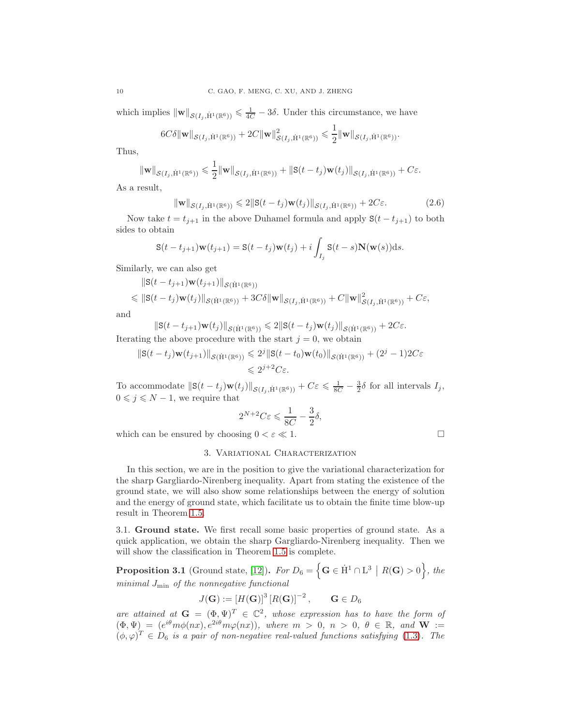which implies  $\|\mathbf{w}\|_{\mathcal{S}(I_j, \dot{H}^1(\mathbb{R}^6))} \leq \frac{1}{4C} - 3\delta$ . Under this circumstance, we have

$$
6C\delta \|\mathbf{w}\|_{\mathcal{S}(I_j, \dot{H}^1(\mathbb{R}^6))} + 2C \|\mathbf{w}\|_{\mathcal{S}(I_j, \dot{H}^1(\mathbb{R}^6))}^2 \leq \frac{1}{2} \|\mathbf{w}\|_{\mathcal{S}(I_j, \dot{H}^1(\mathbb{R}^6))}.
$$

Thus,

$$
\|\mathbf{w}\|_{\mathcal{S}(I_j,\dot{H}^1(\mathbb{R}^6))} \leq \frac{1}{2} \|\mathbf{w}\|_{\mathcal{S}(I_j,\dot{H}^1(\mathbb{R}^6))} + \|S(t-t_j)\mathbf{w}(t_j)\|_{\mathcal{S}(I_j,\dot{H}^1(\mathbb{R}^6))} + C\varepsilon.
$$

As a result,

$$
\|\mathbf{w}\|_{\mathcal{S}(I_j,\dot{\mathbf{H}}^1(\mathbb{R}^6))} \leq 2\|\mathbf{S}(t-t_j)\mathbf{w}(t_j)\|_{\mathcal{S}(I_j,\dot{\mathbf{H}}^1(\mathbb{R}^6))} + 2C\varepsilon.
$$
 (2.6)

Now take  $t = t_{j+1}$  in the above Duhamel formula and apply  $S(t - t_{j+1})$  to both sides to obtain

$$
\mathbf{S}(t-t_{j+1})\mathbf{w}(t_{j+1}) = \mathbf{S}(t-t_j)\mathbf{w}(t_j) + i \int_{I_j} \mathbf{S}(t-s)\mathbf{N}(\mathbf{w}(s))ds.
$$

Similarly, we can also get

$$
\|S(t-t_{j+1})w(t_{j+1})\|_{\mathcal{S}(\dot{H}^1(\mathbb{R}^6))}
$$
  
\$\leqslant \|\mathbf{S}(t-t\_j)\mathbf{w}(t\_j)\|\_{\mathcal{S}(\dot{H}^1(\mathbb{R}^6))} + 3C\delta\|\mathbf{w}\|\_{\mathcal{S}(I\_j,\dot{H}^1(\mathbb{R}^6))} + C\|\mathbf{w}\|\_{\mathcal{S}(I\_j,\dot{H}^1(\mathbb{R}^6))}^2 + C\epsilon\$,

and

$$
\|\mathbf{S}(t-t_{j+1})\mathbf{w}(t_j)\|_{\mathcal{S}(\dot{\mathbf{H}}^1(\mathbb{R}^6))} \leq 2\|\mathbf{S}(t-t_j)\mathbf{w}(t_j)\|_{\mathcal{S}(\dot{\mathbf{H}}^1(\mathbb{R}^6))} + 2C\epsilon.
$$

Iterating the above procedure with the start  $j = 0$ , we obtain

$$
\|\mathbf{S}(t-t_j)\mathbf{w}(t_{j+1})\|_{\mathcal{S}(\dot{\mathbf{H}}^1(\mathbb{R}^6))} \leq 2^j \|\mathbf{S}(t-t_0)\mathbf{w}(t_0)\|_{\mathcal{S}(\dot{\mathbf{H}}^1(\mathbb{R}^6))} + (2^j - 1)2C\varepsilon
$$
  

$$
\leq 2^{j+2}C\varepsilon.
$$

To accommodate  $||\mathbf{S}(t - t_j)\mathbf{w}(t_j)||_{\mathcal{S}(I_j, \dot{H}^1(\mathbb{R}^6))} + C\varepsilon \leq \frac{1}{8C} - \frac{3}{2}\delta$  for all intervals  $I_j$ ,  $0 \leq j \leq N-1$ , we require that

$$
2^{N+2}C\varepsilon \leqslant \frac{1}{8C} - \frac{3}{2}\delta,
$$

<span id="page-9-0"></span>which can be ensured by choosing  $0 < \varepsilon \ll 1$ .

# 3. Variational Characterization

In this section, we are in the position to give the variational characterization for the sharp Gargliardo-Nirenberg inequality. Apart from stating the existence of the ground state, we will also show some relationships between the energy of solution and the energy of ground state, which facilitate us to obtain the finite time blow-up result in Theorem [1.5.](#page-3-0)

<span id="page-9-1"></span>3.1. Ground state. We first recall some basic properties of ground state. As a quick application, we obtain the sharp Gargliardo-Nirenberg inequality. Then we will show the classification in Theorem [1.5](#page-3-0) is complete.

<span id="page-9-2"></span>**Proposition 3.1** (Ground state, [\[12\]](#page-32-12)). For  $D_6 = \left\{ \mathbf{G} \in \dot{H}^1 \cap L^3 \, | \, R(\mathbf{G}) > 0 \right\}$ , the *minimal* Jmin *of the nonnegative functional*

$$
J(\mathbf{G}) := [H(\mathbf{G})]^3 [R(\mathbf{G})]^{-2}, \qquad \mathbf{G} \in D_6
$$

*are attained at*  $G = (\Phi, \Psi)^T \in \mathbb{C}^2$ , whose expression has to have the form of  $(\Phi, \Psi) = (e^{i\theta} m\phi(nx), e^{2i\theta} m\varphi(nx)),$  where  $m > 0, n > 0, \theta \in \mathbb{R}$ , and  $W :=$  $(\phi, \varphi)^T \in D_6$  *is a pair of non-negative real-valued functions satisfying* [\(1.3\)](#page-2-1)*. The*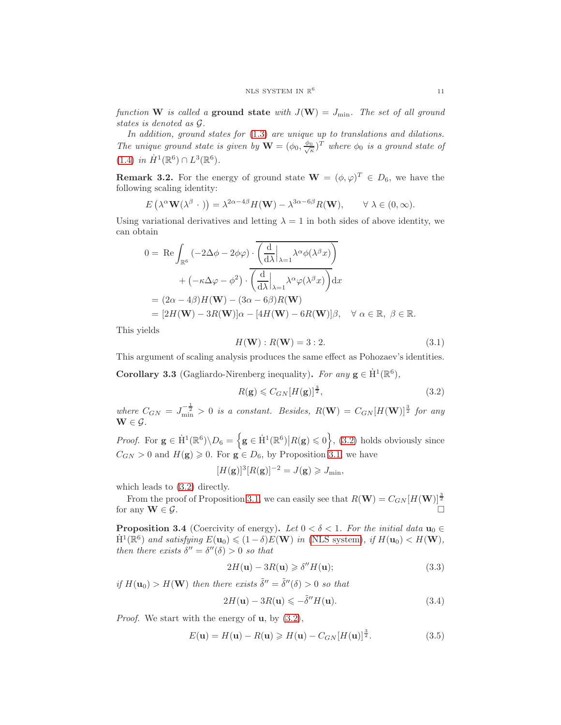*function* W *is called a* ground state *with*  $J(\mathbf{W}) = J_{\text{min}}$ *. The set of all ground states is denoted as* G*.*

*In addition, ground states for* [\(1.3\)](#page-2-1) *are unique up to translations and dilations. The unique ground state is given by*  $\mathbf{W} = (\phi_0, \frac{\phi_0}{\sqrt{\kappa}})^T$  *where*  $\phi_0$  *is a ground state of*  $(1.4)$  *in*  $\dot{H}^1(\mathbb{R}^6) \cap L^3(\mathbb{R}^6)$ .

<span id="page-10-2"></span>**Remark 3.2.** For the energy of ground state  $\mathbf{W} = (\phi, \varphi)^T \in D_6$ , we have the following scaling identity:

$$
E\left(\lambda^{\alpha}\mathbf{W}(\lambda^{\beta}\cdot)\right) = \lambda^{2\alpha-4\beta}H(\mathbf{W}) - \lambda^{3\alpha-6\beta}R(\mathbf{W}), \qquad \forall \lambda \in (0, \infty).
$$

Using variational derivatives and letting  $\lambda = 1$  in both sides of above identity, we can obtain

$$
0 = \text{Re} \int_{\mathbb{R}^6} \left( -2\Delta\phi - 2\phi\varphi \right) \cdot \overline{\left( \frac{d}{d\lambda} \Big|_{\lambda=1} \lambda^\alpha \phi(\lambda^\beta x) \right)}
$$
  
+  $\left( -\kappa\Delta\varphi - \phi^2 \right) \cdot \overline{\left( \frac{d}{d\lambda} \Big|_{\lambda=1} \lambda^\alpha \varphi(\lambda^\beta x) \right)} dx$   
=  $(2\alpha - 4\beta)H(\mathbf{W}) - (3\alpha - 6\beta)R(\mathbf{W})$   
=  $[2H(\mathbf{W}) - 3R(\mathbf{W})]\alpha - [4H(\mathbf{W}) - 6R(\mathbf{W})]\beta, \quad \forall \alpha \in \mathbb{R}, \ \beta \in \mathbb{R}.$ 

This yields

$$
H(\mathbf{W}) : R(\mathbf{W}) = 3 : 2.
$$
 (3.1)

This argument of scaling analysis produces the same effect as Pohozaev's identities.

<span id="page-10-3"></span>**Corollary 3.3** (Gagliardo-Nirenberg inequality). For any  $g \in \dot{H}^1(\mathbb{R}^6)$ ,

<span id="page-10-1"></span>
$$
R(\mathbf{g}) \leqslant C_{GN} [H(\mathbf{g})]^{\frac{3}{2}},\tag{3.2}
$$

where  $C_{GN} = J_{\text{min}}^{-\frac{1}{2}} > 0$  is a constant. Besides,  $R(\mathbf{W}) = C_{GN}[H(\mathbf{W})]^{\frac{3}{2}}$  for any  $\mathbf{W} \in \mathcal{G}$ .

*Proof.* For  $g \in \dot{H}^1(\mathbb{R}^6) \backslash D_6 = \Big\{ g \in \dot{H}^1(\mathbb{R}^6) \Big| R(g) \leqslant 0 \Big\}$ , [\(3.2\)](#page-10-1) holds obviously since  $C_{GN} > 0$  and  $H(g) \geq 0$ . For  $g \in D_6$ , by Proposition [3.1,](#page-9-2) we have

$$
[H(\mathbf{g})]^3 [R(\mathbf{g})]^{-2} = J(\mathbf{g}) \geq J_{\min},
$$

which leads to [\(3.2\)](#page-10-1) directly.

From the proof of Proposition [3.1,](#page-9-2) we can easily see that  $R(\mathbf{W}) = C_{GN}[H(\mathbf{W})]^{\frac{3}{2}}$ for any  $\mathbf{W} \in \mathcal{G}$ .

<span id="page-10-0"></span>**Proposition 3.4** (Coercivity of energy). Let  $0 < \delta < 1$ . For the initial data  $\mathbf{u}_0 \in$  $\dot{H}^{1}(\mathbb{R}^{6})$  *and satisfying*  $E(\mathbf{u}_{0}) \leq (1 - \delta)E(\mathbf{W})$  *in* [\(NLS system\)](#page-0-0)*, if*  $H(\mathbf{u}_{0}) < H(\mathbf{W})$ *, then there exists*  $\delta'' = \delta''(\delta) > 0$  *so that* 

$$
2H(\mathbf{u}) - 3R(\mathbf{u}) \geq \delta'' H(\mathbf{u});\tag{3.3}
$$

*if*  $H(\mathbf{u}_0) > H(\mathbf{W})$  *then there exists*  $\tilde{\delta}'' = \tilde{\delta}''(\delta) > 0$  *so that* 

$$
2H(\mathbf{u}) - 3R(\mathbf{u}) \leqslant -\tilde{\delta}''H(\mathbf{u}).\tag{3.4}
$$

*Proof.* We start with the energy of **u**, by  $(3.2)$ ,

<span id="page-10-4"></span>
$$
E(\mathbf{u}) = H(\mathbf{u}) - R(\mathbf{u}) \ge H(\mathbf{u}) - C_{GN}[H(\mathbf{u})]^{\frac{3}{2}}.
$$
\n(3.5)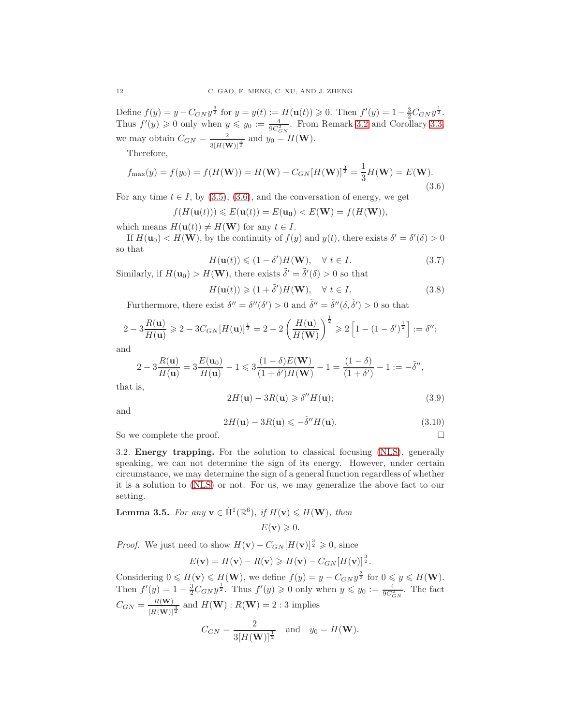Define  $f(y) = y - C_{GN} y^{\frac{3}{2}}$  for  $y = y(t) := H(\mathbf{u}(t)) \ge 0$ . Then  $f'(y) = 1 - \frac{3}{2} C_{GN} y^{\frac{1}{2}}$ . Thus  $f'(y) \geq 0$  only when  $y \leq y_0 := \frac{4}{9C_{GN}^2}$ . From Remark [3.2](#page-10-2) and Corollary [3.3,](#page-10-3) we may obtain  $C_{GN} = \frac{2}{3[H(\mathbf{W})]^{\frac{1}{2}}}$  and  $y_0 = H(\mathbf{W})$ .

Therefore,

<span id="page-11-1"></span>
$$
f_{\max}(y) = f(y_0) = f(H(\mathbf{W})) = H(\mathbf{W}) - C_{GN}[H(\mathbf{W})]^{\frac{3}{2}} = \frac{1}{3}H(\mathbf{W}) = E(\mathbf{W}).
$$
\n(3.6)

For any time  $t \in I$ , by [\(3.5\)](#page-10-4), [\(3.6\)](#page-11-1), and the conversation of energy, we get

$$
f(H(\mathbf{u}(t))) \leqslant E(\mathbf{u}(t)) = E(\mathbf{u_0}) < E(\mathbf{W}) = f(H(\mathbf{W})),
$$

which means  $H(\mathbf{u}(t)) \neq H(\mathbf{W})$  for any  $t \in I$ .

If  $H(\mathbf{u}_0) < H(\mathbf{W})$ , by the continuity of  $f(y)$  and  $y(t)$ , there exists  $\delta' = \delta'(\delta) > 0$ so that

<span id="page-11-2"></span>
$$
H(\mathbf{u}(t)) \leq (1 - \delta')H(\mathbf{W}), \quad \forall \ t \in I.
$$
\n
$$
(3.7)
$$

Similarly, if  $H(\mathbf{u}_0) > H(\mathbf{W})$ , there exists  $\tilde{\delta}' = \tilde{\delta}'(\delta) > 0$  so that

<span id="page-11-3"></span>
$$
H(\mathbf{u}(t)) \geq (1 + \tilde{\delta}')H(\mathbf{W}), \quad \forall \ t \in I.
$$
 (3.8)

Furthermore, there exist  $\delta'' = \delta''(\delta') > 0$  and  $\tilde{\delta}'' = \tilde{\delta}''(\delta, \tilde{\delta}') > 0$  so that

$$
2 - 3\frac{R(\mathbf{u})}{H(\mathbf{u})} \ge 2 - 3C_{GN}[H(\mathbf{u})]^{\frac{1}{2}} = 2 - 2\left(\frac{H(\mathbf{u})}{H(\mathbf{W})}\right)^{\frac{1}{2}} \ge 2\left[1 - (1 - \delta')^{\frac{1}{2}}\right] := \delta'';
$$

and

$$
2 - 3\frac{R(\mathbf{u})}{H(\mathbf{u})} = 3\frac{E(\mathbf{u}_0)}{H(\mathbf{u})} - 1 \le 3\frac{(1 - \delta)E(\mathbf{W})}{(1 + \delta')H(\mathbf{W})} - 1 = \frac{(1 - \delta)}{(1 + \delta')} - 1 := -\tilde{\delta}'',
$$

that is,

$$
2H(\mathbf{u}) - 3R(\mathbf{u}) \geq \delta'' H(\mathbf{u});\tag{3.9}
$$

and

$$
2H(\mathbf{u}) - 3R(\mathbf{u}) \leqslant -\tilde{\delta}''H(\mathbf{u}).\tag{3.10}
$$

<span id="page-11-0"></span>So we complete the proof.

3.2. Energy trapping. For the solution to classical focusing [\(NLS\)](#page-1-0), generally speaking, we can not determine the sign of its energy. However, under certain circumstance, we may determine the sign of a general function regardless of whether it is a solution to [\(NLS\)](#page-1-0) or not. For us, we may generalize the above fact to our setting.

**Lemma 3.5.** *For any*  $\mathbf{v} \in \dot{H}^1(\mathbb{R}^6)$ *, if*  $H(\mathbf{v}) \le H(\mathbf{W})$ *, then* 

 $E(\mathbf{v}) \geqslant 0.$ 

*Proof.* We just need to show  $H(\mathbf{v}) - C_{GN}[H(\mathbf{v})]^{\frac{3}{2}} \geq 0$ , since

$$
E(\mathbf{v}) = H(\mathbf{v}) - R(\mathbf{v}) \ge H(\mathbf{v}) - C_{GN}[H(\mathbf{v})]^{\frac{3}{2}}.
$$

Considering  $0 \le H(\mathbf{v}) \le H(\mathbf{W})$ , we define  $f(y) = y - C_{GN} y^{\frac{3}{2}}$  for  $0 \le y \le H(\mathbf{W})$ . Then  $f'(y) = 1 - \frac{3}{2}C_{GN}y^{\frac{1}{2}}$ . Thus  $f'(y) \ge 0$  only when  $y \le y_0 := \frac{4}{9C_{GN}^2}$ . The fact  $C_{GN} = \frac{R(\mathbf{W})}{H(\mathbf{W})}$  $\frac{R(\mathbf{W})}{[H(\mathbf{W})]^{\frac{3}{2}}}$  and  $H(\mathbf{W}): R(\mathbf{W}) = 2:3$  implies

$$
C_{GN} = \frac{2}{3[H(\mathbf{W})]^{\frac{1}{2}}}
$$
 and  $y_0 = H(\mathbf{W})$ .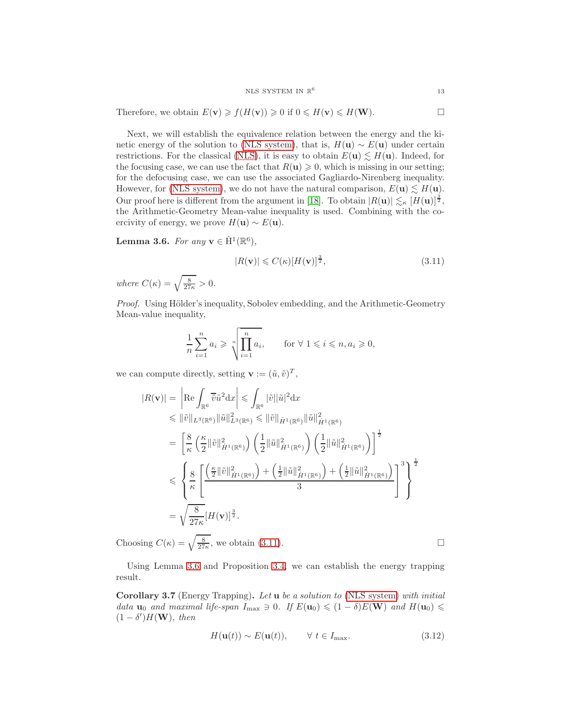Therefore, we obtain  $E(\mathbf{v}) \geq f(H(\mathbf{v})) \geq 0$  if  $0 \leq H(\mathbf{v}) \leq H(\mathbf{W})$ .

Next, we will establish the equivalence relation between the energy and the ki-netic energy of the solution to [\(NLS system\)](#page-0-0), that is,  $H(\mathbf{u}) \sim E(\mathbf{u})$  under certain restrictions. For the classical [\(NLS\)](#page-1-0), it is easy to obtain  $E(\mathbf{u}) \lesssim H(\mathbf{u})$ . Indeed, for the focusing case, we can use the fact that  $R(\mathbf{u}) \geq 0$ , which is missing in our setting; for the defocusing case, we can use the associated Gagliardo-Nirenberg inequality. However, for [\(NLS system\)](#page-0-0), we do not have the natural comparison,  $E(\mathbf{u}) \lesssim H(\mathbf{u})$ . Our proof here is different from the argument in [\[18\]](#page-32-22). To obtain  $|R(\mathbf{u})| \lesssim_{\kappa} [H(\mathbf{u})]^{\frac{3}{2}}$ , the Arithmetic-Geometry Mean-value inequality is used. Combining with the coercivity of energy, we prove  $H(\mathbf{u}) \sim E(\mathbf{u})$ .

<span id="page-12-1"></span>Lemma 3.6. *For any*  $\mathbf{v} \in \dot{\mathbf{H}}^1(\mathbb{R}^6)$ ,

<span id="page-12-0"></span>
$$
|R(\mathbf{v})| \leqslant C(\kappa)[H(\mathbf{v})]^{\frac{3}{2}},\tag{3.11}
$$

*where*  $C(\kappa) = \sqrt{\frac{8}{27\kappa}} > 0$ .

*Proof.* Using Hölder's inequality, Sobolev embedding, and the Arithmetic-Geometry Mean-value inequality,

$$
\frac{1}{n}\sum_{i=1}^{n}a_i \geqslant \sqrt[n]{\prod_{i=1}^{n}a_i}, \qquad \text{for } \forall 1 \leqslant i \leqslant n, a_i \geqslant 0,
$$

we can compute directly, setting  $\mathbf{v} := (\tilde{u}, \tilde{v})^T$ ,

$$
|R(\mathbf{v})| = \left| \operatorname{Re} \int_{\mathbb{R}^6} \overline{\tilde{v}} \tilde{u}^2 dx \right| \leq \int_{\mathbb{R}^6} |\tilde{v}| |\tilde{u}|^2 dx
$$
  
\n
$$
\leq \| \tilde{v} \|_{L^3(\mathbb{R}^6)} \| \tilde{u} \|_{L^3(\mathbb{R}^6)}^2 \leq \| \tilde{v} \|_{\dot{H}^1(\mathbb{R}^6)} \| \tilde{u} \|_{\dot{H}^1(\mathbb{R}^6)}^2
$$
  
\n
$$
= \left[ \frac{8}{\kappa} \left( \frac{\kappa}{2} \|\tilde{v}\|_{\dot{H}^1(\mathbb{R}^6)}^2 \right) \left( \frac{1}{2} \|\tilde{u}\|_{\dot{H}^1(\mathbb{R}^6)}^2 \right) \left( \frac{1}{2} \|\tilde{u}\|_{\dot{H}^1(\mathbb{R}^6)}^2 \right) \right]^{\frac{1}{2}}
$$
  
\n
$$
\leq \left\{ \frac{8}{\kappa} \left[ \frac{\left( \frac{\kappa}{2} \|\tilde{v}\|_{\dot{H}^1(\mathbb{R}^6)}^2 \right) + \left( \frac{1}{2} \|\tilde{u}\|_{\dot{H}^1(\mathbb{R}^6)}^2 \right) + \left( \frac{1}{2} \|\tilde{u}\|_{\dot{H}^1(\mathbb{R}^6)}^2 \right)}{\frac{3}{2}} \right]^{\frac{1}{2}}
$$
  
\n
$$
= \sqrt{\frac{8}{27\kappa}} [H(\mathbf{v})]^{\frac{3}{2}}.
$$

Choosing  $C(\kappa) = \sqrt{\frac{8}{27\kappa}}$ , we obtain [\(3.11\)](#page-12-0).

Using Lemma [3.6](#page-12-1) and Proposition [3.4,](#page-10-0) we can establish the energy trapping result.

<span id="page-12-3"></span>Corollary 3.7 (Energy Trapping). *Let* u *be a solution to* [\(NLS system\)](#page-0-0) *with initial data*  $u_0$  *and maximal life-span*  $I_{\text{max}} \ni 0$ *. If*  $E(u_0) \leq (1 - \delta)E(W)$  *and*  $H(u_0) \leq$  $(1 - \delta')H(\mathbf{W})$ *, then* 

<span id="page-12-2"></span>
$$
H(\mathbf{u}(t)) \sim E(\mathbf{u}(t)), \qquad \forall \ t \in I_{\text{max}}.\tag{3.12}
$$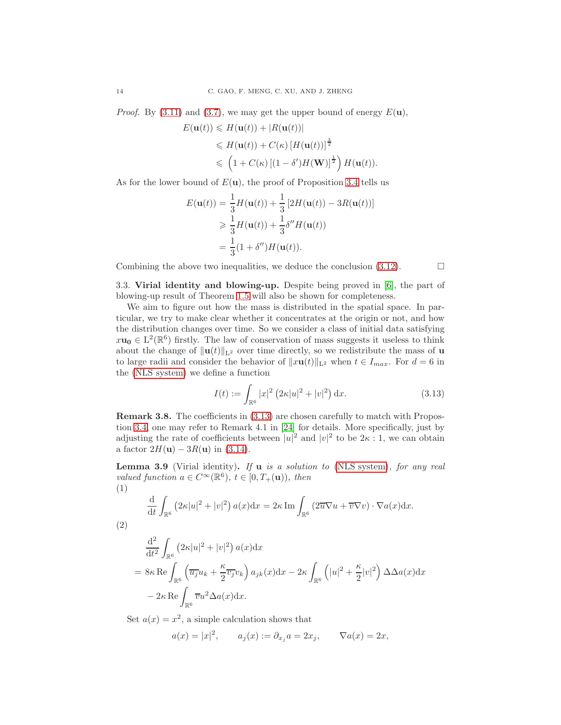*Proof.* By [\(3.11\)](#page-12-0) and [\(3.7\)](#page-11-2), we may get the upper bound of energy  $E(\mathbf{u})$ ,

$$
E(\mathbf{u}(t)) \leq H(\mathbf{u}(t)) + |R(\mathbf{u}(t))|
$$
  
\n
$$
\leq H(\mathbf{u}(t)) + C(\kappa) [H(\mathbf{u}(t))]^{\frac{3}{2}}
$$
  
\n
$$
\leq (1 + C(\kappa) [(1 - \delta')H(\mathbf{W})]^{\frac{1}{2}}) H(\mathbf{u}(t)).
$$

As for the lower bound of  $E(\mathbf{u})$ , the proof of Proposition [3.4](#page-10-0) tells us

$$
E(\mathbf{u}(t)) = \frac{1}{3}H(\mathbf{u}(t)) + \frac{1}{3}[2H(\mathbf{u}(t)) - 3R(\mathbf{u}(t))]
$$
  
\n
$$
\geq \frac{1}{3}H(\mathbf{u}(t)) + \frac{1}{3}\delta''H(\mathbf{u}(t))
$$
  
\n
$$
= \frac{1}{3}(1 + \delta'')H(\mathbf{u}(t)).
$$

<span id="page-13-0"></span>Combining the above two inequalities, we deduce the conclusion  $(3.12)$ .

3.3. Virial identity and blowing-up. Despite being proved in [\[6\]](#page-31-8), the part of blowing-up result of Theorem [1.5](#page-3-0) will also be shown for completeness.

We aim to figure out how the mass is distributed in the spatial space. In particular, we try to make clear whether it concentrates at the origin or not, and how the distribution changes over time. So we consider a class of initial data satisfying  $x\mathbf{u_0} \in \mathrm{L}^2(\mathbb{R}^6)$  firstly. The law of conservation of mass suggests it useless to think about the change of  $\|\mathbf{u}(t)\|_{\mathbf{L}^2}$  over time directly, so we redistribute the mass of **u** to large radii and consider the behavior of  $||x\mathbf{u}(t)||_{\mathbf{L}^2}$  when  $t \in I_{max}$ . For  $d = 6$  in the [\(NLS system\)](#page-0-0) we define a function

<span id="page-13-1"></span>
$$
I(t) := \int_{\mathbb{R}^6} |x|^2 (2\kappa |u|^2 + |v|^2) dx.
$$
 (3.13)

Remark 3.8. The coefficients in [\(3.13\)](#page-13-1) are chosen carefully to match with Propostion [3.4,](#page-10-0) one may refer to Remark 4.1 in [\[24\]](#page-32-20) for details. More specifically, just by adjusting the rate of coefficients between  $|u|^2$  and  $|v|^2$  to be  $2\kappa:1$ , we can obtain a factor  $2H(u) - 3R(u)$  in [\(3.14\)](#page-14-2).

<span id="page-13-2"></span>Lemma 3.9 (Virial identity). *If* u *is a solution to* [\(NLS system\)](#page-0-0)*, for any real valued function*  $a \in C^{\infty}(\mathbb{R}^6)$ ,  $t \in [0, T_+(\mathbf{u}))$ , then (1)

$$
\frac{\mathrm{d}}{\mathrm{d}t} \int_{\mathbb{R}^6} \left( 2\kappa |u|^2 + |v|^2 \right) a(x) \mathrm{d}x = 2\kappa \operatorname{Im} \int_{\mathbb{R}^6} \left( 2\overline{u} \nabla u + \overline{v} \nabla v \right) \cdot \nabla a(x) \mathrm{d}x.
$$

(2)

$$
\frac{\mathrm{d}^2}{\mathrm{d}t^2} \int_{\mathbb{R}^6} \left( 2\kappa |u|^2 + |v|^2 \right) a(x) \mathrm{d}x
$$
\n
$$
= 8\kappa \operatorname{Re} \int_{\mathbb{R}^6} \left( \overline{u_j} u_k + \frac{\kappa}{2} \overline{v_j} v_k \right) a_{jk}(x) \mathrm{d}x - 2\kappa \int_{\mathbb{R}^6} \left( |u|^2 + \frac{\kappa}{2} |v|^2 \right) \Delta \Delta a(x) \mathrm{d}x
$$
\n
$$
- 2\kappa \operatorname{Re} \int_{\mathbb{R}^6} \overline{v} u^2 \Delta a(x) \mathrm{d}x.
$$

Set  $a(x) = x^2$ , a simple calculation shows that

$$
a(x) = |x|^2
$$
,  $a_j(x) := \partial_{x_j} a = 2x_j$ ,  $\nabla a(x) = 2x$ ,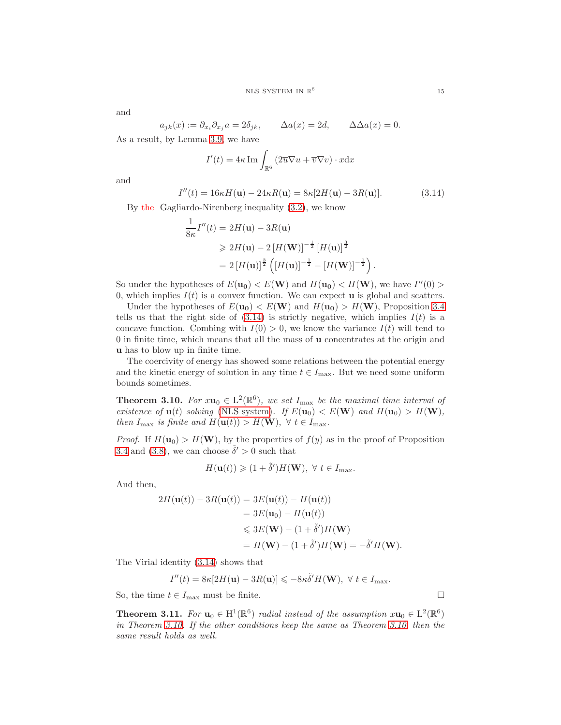and

$$
a_{jk}(x) := \partial_{x_i} \partial_{x_j} a = 2\delta_{jk}, \qquad \Delta a(x) = 2d, \qquad \Delta \Delta a(x) = 0.
$$

As a result, by Lemma [3.9,](#page-13-2) we have

$$
I'(t) = 4\kappa \operatorname{Im} \int_{\mathbb{R}^6} \left( 2\overline{u} \nabla u + \overline{v} \nabla v \right) \cdot x \mathrm{d}x
$$

and

<span id="page-14-2"></span>
$$
I''(t) = 16\kappa H(\mathbf{u}) - 24\kappa R(\mathbf{u}) = 8\kappa [2H(\mathbf{u}) - 3R(\mathbf{u})]. \tag{3.14}
$$

By the Gagliardo-Nirenberg inequality [\(3.2\)](#page-10-1), we know

$$
\frac{1}{8\kappa}I''(t) = 2H(\mathbf{u}) - 3R(\mathbf{u})
$$
  
\n
$$
\geq 2H(\mathbf{u}) - 2[H(\mathbf{W})]^{-\frac{1}{2}}[H(\mathbf{u})]^{\frac{3}{2}}
$$
  
\n
$$
= 2[H(\mathbf{u})]^{\frac{3}{2}}([H(\mathbf{u})]^{-\frac{1}{2}} - [H(\mathbf{W})]^{-\frac{1}{2}}).
$$

So under the hypotheses of  $E(\mathbf{u_0}) < E(\mathbf{W})$  and  $H(\mathbf{u_0}) < H(\mathbf{W})$ , we have  $I''(0) >$ 0, which implies  $I(t)$  is a convex function. We can expect **u** is global and scatters.

Under the hypotheses of  $E(\mathbf{u_0}) < E(\mathbf{W})$  and  $H(\mathbf{u_0}) > H(\mathbf{W})$ , Proposition [3.4](#page-10-0) tells us that the right side of  $(3.14)$  is strictly negative, which implies  $I(t)$  is a concave function. Combing with  $I(0) > 0$ , we know the variance  $I(t)$  will tend to 0 in finite time, which means that all the mass of u concentrates at the origin and u has to blow up in finite time.

The coercivity of energy has showed some relations between the potential energy and the kinetic energy of solution in any time  $t \in I_{\text{max}}$ . But we need some uniform bounds sometimes.

<span id="page-14-0"></span>**Theorem 3.10.** *For*  $x\mathbf{u}_0 \in L^2(\mathbb{R}^6)$ , we set  $I_{\text{max}}$  be the maximal time interval of *existence of*  $u(t)$  *solving* [\(NLS system\)](#page-0-0)*. If*  $E(u_0) < E(W)$  *and*  $H(u_0) > H(W)$ *, then*  $I_{\text{max}}$  *is finite and*  $H(\mathbf{u}(t)) > H(\mathbf{W}), \ \forall \ t \in I_{\text{max}}.$ 

*Proof.* If  $H(\mathbf{u}_0) > H(\mathbf{W})$ , by the properties of  $f(y)$  as in the proof of Proposition [3.4](#page-10-0) and [\(3.8\)](#page-11-3), we can choose  $\tilde{\delta}' > 0$  such that

$$
H(\mathbf{u}(t)) \geqslant (1+\tilde{\delta}')H(\mathbf{W}), \ \forall \ t \in I_{\max}.
$$

And then,

$$
2H(\mathbf{u}(t)) - 3R(\mathbf{u}(t)) = 3E(\mathbf{u}(t)) - H(\mathbf{u}(t))
$$
  
= 3E(\mathbf{u}\_0) - H(\mathbf{u}(t))  

$$
\leq 3E(\mathbf{W}) - (1 + \tilde{\delta}')H(\mathbf{W})
$$
  
= H(\mathbf{W}) - (1 + \tilde{\delta}')H(\mathbf{W}) = -\tilde{\delta}'H(\mathbf{W}).

The Virial identity [\(3.14\)](#page-14-2) shows that

$$
I''(t) = 8\kappa[2H(\mathbf{u}) - 3R(\mathbf{u})] \leqslant -8\kappa \tilde{\delta}' H(\mathbf{W}), \ \forall \ t \in I_{\max}.
$$

So, the time  $t \in I_{\text{max}}$  must be finite.

<span id="page-14-1"></span>**Theorem 3.11.** *For*  $\mathbf{u}_0 \in \mathrm{H}^1(\mathbb{R}^6)$  *radial instead of the assumption*  $x\mathbf{u}_0 \in \mathrm{L}^2(\mathbb{R}^6)$ *in Theorem [3.10.](#page-14-0) If the other conditions keep the same as Theorem [3.10,](#page-14-0) then the same result holds as well.*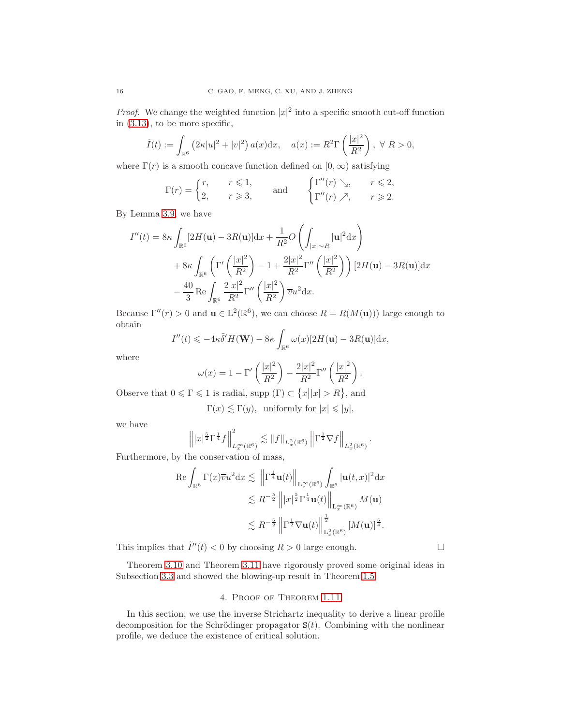*Proof.* We change the weighted function  $|x|^2$  into a specific smooth cut-off function in [\(3.13\)](#page-13-1), to be more specific,

$$
\tilde{I}(t) := \int_{\mathbb{R}^6} (2\kappa |u|^2 + |v|^2) a(x) dx, \quad a(x) := R^2 \Gamma\left(\frac{|x|^2}{R^2}\right), \ \forall \ R > 0,
$$

where  $\Gamma(r)$  is a smooth concave function defined on  $[0,\infty)$  satisfying

$$
\Gamma(r) = \begin{cases} r, & r \leq 1, \\ 2, & r \geq 3, \end{cases} \quad \text{and} \quad \begin{cases} \Gamma''(r) \searrow, & r \leq 2, \\ \Gamma''(r) \nearrow, & r \geq 2. \end{cases}
$$

By Lemma [3.9,](#page-13-2) we have

$$
I''(t) = 8\kappa \int_{\mathbb{R}^6} [2H(\mathbf{u}) - 3R(\mathbf{u})] dx + \frac{1}{R^2} O\left(\int_{|x| \sim R} |\mathbf{u}|^2 dx\right)
$$
  
+ 8\kappa \int\_{\mathbb{R}^6} \left(\Gamma'\left(\frac{|x|^2}{R^2}\right) - 1 + \frac{2|x|^2}{R^2} \Gamma''\left(\frac{|x|^2}{R^2}\right)\right) [2H(\mathbf{u}) - 3R(\mathbf{u})] dx  
- \frac{40}{3} \text{Re} \int\_{\mathbb{R}^6} \frac{2|x|^2}{R^2} \Gamma''\left(\frac{|x|^2}{R^2}\right) \overline{v} u^2 dx.

Because  $\Gamma''(r) > 0$  and  $\mathbf{u} \in L^2(\mathbb{R}^6)$ , we can choose  $R = R(M(\mathbf{u}))$  large enough to obtain

$$
I''(t) \leqslant -4\kappa \tilde{\delta}' H(\mathbf{W}) - 8\kappa \int_{\mathbb{R}^6} \omega(x) [2H(\mathbf{u}) - 3R(\mathbf{u})] \mathrm{d}x,
$$

where

$$
\omega(x) = 1 - \Gamma' \left(\frac{|x|^2}{R^2}\right) - \frac{2|x|^2}{R^2} \Gamma'' \left(\frac{|x|^2}{R^2}\right).
$$

Observe that  $0 \le \Gamma \le 1$  is radial, supp  $(\Gamma) \subset \{x \mid |x| > R\}$ , and

 $\Gamma(x) \leq \Gamma(y)$ , uniformly for  $|x| \leq |y|$ ,

we have

$$
\left\|||x|^{\frac{5}{2}}\Gamma^{\frac{1}{4}}f\right\|_{L_x^{\infty}(\mathbb{R}^6)}^2 \lesssim \|f\|_{L_x^2(\mathbb{R}^6)} \left\|\Gamma^{\frac{1}{2}}\nabla f\right\|_{L_x^2(\mathbb{R}^6)}.
$$

Furthermore, by the conservation of mass,

$$
\begin{split} \operatorname{Re} \int_{\mathbb{R}^6} \Gamma(x)\overline{v}u^2\mathrm{d}x &\lesssim \ \left\|\Gamma^{\frac{1}{4}}\mathbf{u}(t)\right\|_{\mathrm{L}_x^\infty(\mathbb{R}^6)}\int_{\mathbb{R}^6}|\mathbf{u}(t,x)|^2\mathrm{d}x\\ &\lesssim R^{-\frac{5}{2}}\left\||x|^{\frac{5}{2}}\Gamma^{\frac{1}{4}}\mathbf{u}(t)\right\|_{\mathrm{L}_x^\infty(\mathbb{R}^6)}M(\mathbf{u})\\ &\lesssim R^{-\frac{5}{2}}\left\|\Gamma^{\frac{1}{2}}\nabla\mathbf{u}(t)\right\|_{\mathrm{L}_x^2(\mathbb{R}^6)}^{\frac{1}{2}}\left[M(\mathbf{u})\right]^{\frac{5}{4}}. \end{split}
$$

This implies that  $\tilde{I}''(t) < 0$  by choosing  $R > 0$  large enough.

<span id="page-15-0"></span>Theorem [3.10](#page-14-0) and Theorem [3.11](#page-14-1) have rigorously proved some original ideas in Subsection [3.3](#page-13-0) and showed the blowing-up result in Theorem [1.5.](#page-3-0)

## 4. Proof of Theorem [1.11](#page-4-1)

In this section, we use the inverse Strichartz inequality to derive a linear profile decomposition for the Schrödinger propagator  $S(t)$ . Combining with the nonlinear profile, we deduce the existence of critical solution.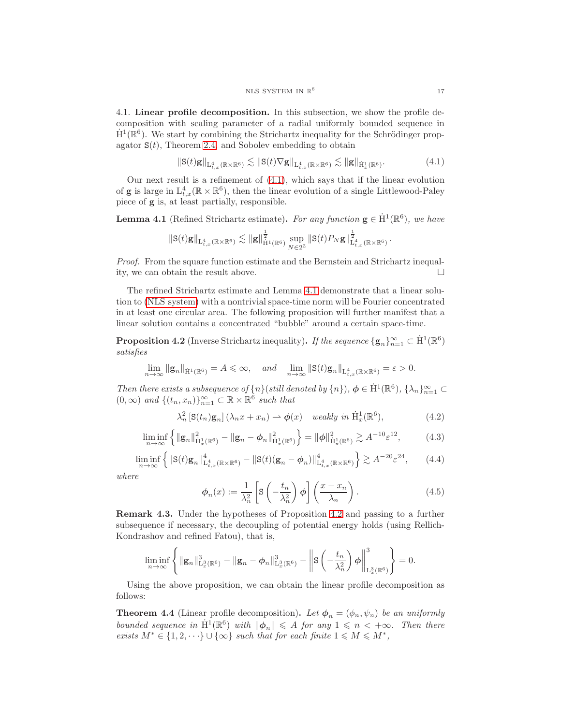4.1. Linear profile decomposition. In this subsection, we show the profile decomposition with scaling parameter of a radial uniformly bounded sequence in  $\dot{H}^1(\mathbb{R}^6)$ . We start by combining the Strichartz inequality for the Schrödinger propagator  $S(t)$ , Theorem [2.4,](#page-7-2) and Sobolev embedding to obtain

<span id="page-16-0"></span>
$$
\|\mathbf{S}(t)\mathbf{g}\|_{\mathbf{L}^4_{t,x}(\mathbb{R}\times\mathbb{R}^6)} \lesssim \|\mathbf{S}(t)\nabla\mathbf{g}\|_{\mathbf{L}^4_{t,x}(\mathbb{R}\times\mathbb{R}^6)} \lesssim \|\mathbf{g}\|_{\dot{\mathbf{H}}^1_x(\mathbb{R}^6)}.
$$
 (4.1)

Our next result is a refinement of  $(4.1)$ , which says that if the linear evolution of **g** is large in  $L_{t,x}^4(\mathbb{R} \times \mathbb{R}^6)$ , then the linear evolution of a single Littlewood-Paley piece of g is, at least partially, responsible.

<span id="page-16-1"></span>**Lemma 4.1** (Refined Strichartz estimate). *For any function*  $\mathbf{g} \in \dot{H}^1(\mathbb{R}^6)$ , we have

$$
\|{\mathbf{S}}(t){\mathbf{g}}\|_{{\mathbf{L}}_{t,x}^4(\mathbb{R}\times\mathbb{R}^6)}\lesssim \|{\mathbf{g}}\|_{\dot{\mathbf{H}}^1(\mathbb{R}^6)}^\frac{1}{2}\sup_{N\in2^\mathbb{Z}}\|{\mathbf{S}}(t)P_N{\mathbf{g}}\|_{{\mathbf{L}}_{t,x}^4(\mathbb{R}\times\mathbb{R}^6)}^\frac{1}{2}
$$

*Proof.* From the square function estimate and the Bernstein and Strichartz inequality, we can obtain the result above.

The refined Strichartz estimate and Lemma [4.1](#page-16-1) demonstrate that a linear solution to [\(NLS system\)](#page-0-0) with a nontrivial space-time norm will be Fourier concentrated in at least one circular area. The following proposition will further manifest that a linear solution contains a concentrated "bubble" around a certain space-time.

<span id="page-16-2"></span>**Proposition 4.2** (Inverse Strichartz inequality). *If the sequence*  $\{g_n\}_{n=1}^{\infty} \subset \dot{H}^1(\mathbb{R}^6)$ *satisfies*

$$
\lim_{n\to\infty}||\mathbf{g}_n||_{\dot{\mathbf{H}}^1(\mathbb{R}^6)}=A\leqslant\infty,\quad\text{and}\quad\lim_{n\to\infty}||\mathbf{S}(t)\mathbf{g}_n||_{\mathbf{L}^4_{t,x}(\mathbb{R}\times\mathbb{R}^6)}=\varepsilon>0.
$$

*Then there exists a subsequence of*  $\{n\}$  (*still denoted by*  $\{n\}$ )*,*  $\phi \in H^1(\mathbb{R}^6)$ ,  $\{\lambda_n\}_{n=1}^{\infty} \subset$  $(0, \infty)$  *and*  $\{(t_n, x_n)\}_{n=1}^{\infty} \subset \mathbb{R} \times \mathbb{R}^{\hat{6}}$  *such that* 

$$
\lambda_n^2 \left[ \mathbf{S}(t_n) \mathbf{g}_n \right] (\lambda_n x + x_n) \rightharpoonup \phi(x) \quad weakly \ in \ \dot{\mathbf{H}}_x^1(\mathbb{R}^6), \tag{4.2}
$$

$$
\liminf_{n \to \infty} \left\{ \|\mathbf{g}_n\|_{\mathcal{H}_x^1(\mathbb{R}^6)}^2 - \|\mathbf{g}_n - \phi_n\|_{\mathcal{H}_x^1(\mathbb{R}^6)}^2 \right\} = \|\phi\|_{\dot{\mathcal{H}}_x^1(\mathbb{R}^6)}^2 \gtrsim A^{-10} \varepsilon^{12},\tag{4.3}
$$

$$
\liminf_{n \to \infty} \left\{ \| \mathbf{S}(t)\mathbf{g}_n \|_{\mathcal{L}_{t,x}^4(\mathbb{R} \times \mathbb{R}^6)}^4 - \| \mathbf{S}(t)(\mathbf{g}_n - \phi_n) \|_{\mathcal{L}_{t,x}^4(\mathbb{R} \times \mathbb{R}^6)}^4 \right\} \gtrsim A^{-20} \varepsilon^{24}, \qquad (4.4)
$$

*where*

$$
\phi_n(x) := \frac{1}{\lambda_n^2} \left[ S\left(-\frac{t_n}{\lambda_n^2}\right) \phi \right] \left(\frac{x - x_n}{\lambda_n}\right). \tag{4.5}
$$

Remark 4.3. Under the hypotheses of Proposition [4.2](#page-16-2) and passing to a further subsequence if necessary, the decoupling of potential energy holds (using Rellich-Kondrashov and refined Fatou), that is,

$$
\liminf_{n\to\infty}\left\{\|\mathbf{g}_n\|_{\mathrm{L}_x^3(\mathbb{R}^6)}^3-\|\mathbf{g}_n-\phi_n\|_{\mathrm{L}_x^3(\mathbb{R}^6)}^3-\left\|\mathbf{S}\left(-\frac{t_n}{\lambda_n^2}\right)\phi\right\|_{\mathrm{L}_x^3(\mathbb{R}^6)}^3\right\}=0.
$$

Using the above proposition, we can obtain the linear profile decomposition as follows:

<span id="page-16-3"></span>**Theorem 4.4** (Linear profile decomposition). Let  $\phi_n = (\phi_n, \psi_n)$  be an uniformly *bounded sequence in*  $H^1(\mathbb{R}^6)$  *with*  $\|\phi_n\| \leq A$  *for any*  $1 \leq n \leq +\infty$ *. Then there exists*  $M^* \in \{1, 2, \dots\} \cup \{\infty\}$  *such that for each finite*  $1 \leq M \leq M^*$ ,

.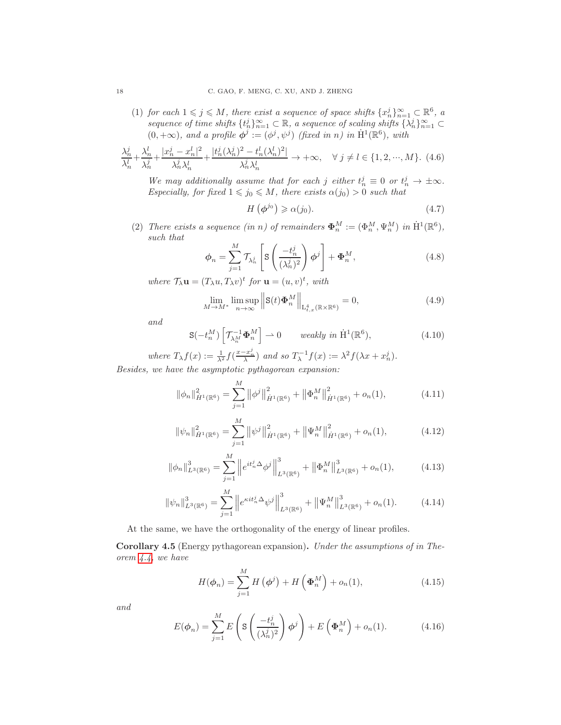(1) *for each*  $1 \leq j \leq M$ , *there exist a sequence of space shifts*  $\{x_n^j\}_{n=1}^{\infty} \subset \mathbb{R}^6$ , a *sequence of time shifts*  $\{t_n^j\}_{n=1}^{\infty} \subset \mathbb{R}$ , a sequence of scaling shifts  $\{\lambda_n^j\}_{n=1}^{\infty} \subset$  $(0, +\infty)$ *, and a profile*  $\phi^j := (\phi^j, \psi^j)$  *(fixed in n) in*  $\dot{H}^1(\mathbb{R}^6)$ *, with* 

$$
\frac{\lambda_n^j}{\lambda_n^l} + \frac{\lambda_n^l}{\lambda_n^j} + \frac{|x_n^j - x_n^l|^2}{\lambda_n^j \lambda_n^l} + \frac{|t_n^j(\lambda_n^j)^2 - t_n^l(\lambda_n^l)^2|}{\lambda_n^j \lambda_n^l} \to +\infty, \quad \forall j \neq l \in \{1, 2, \cdots, M\}. \tag{4.6}
$$

We may additionally assume that for each j either  $t_n^j \equiv 0$  or  $t_n^j \to \pm \infty$ . *Especially, for fixed*  $1 \leq j_0 \leq M$ *, there exists*  $\alpha(j_0) > 0$  *such that* 

$$
H\left(\phi^{j_0}\right) \geqslant \alpha(j_0). \tag{4.7}
$$

(2) *There exists a sequence (in n) of remainders*  $\mathbf{\Phi}_n^M := (\Phi_n^M, \Psi_n^M)$  *in*  $\dot{\mathrm{H}}^1(\mathbb{R}^6)$ , *such that*

$$
\phi_n = \sum_{j=1}^M \mathcal{T}_{\lambda_n^j} \left[ \mathbf{S} \left( \frac{-t_n^j}{(\lambda_n^j)^2} \right) \phi^j \right] + \Phi_n^M,
$$
\n(4.8)

where  $\mathcal{T}_{\lambda} \mathbf{u} = (T_{\lambda} u, T_{\lambda} v)^t$  for  $\mathbf{u} = (u, v)^t$ , with

$$
\lim_{M \to M^*} \limsup_{n \to \infty} ||\mathbf{S}(t)\mathbf{\Phi}_n^M||_{\mathcal{L}^4_{t,x}(\mathbb{R} \times \mathbb{R}^6)} = 0, \tag{4.9}
$$

*and*

$$
\mathbf{S}(-t_n^M) \left[ \mathcal{T}_{\lambda_n^M}^{-1} \boldsymbol{\Phi}_n^M \right] \rightharpoonup 0 \qquad weakly \ in \ \dot{\mathbf{H}}^1(\mathbb{R}^6), \tag{4.10}
$$

where  $T_{\lambda} f(x) := \frac{1}{\lambda^2} f(\frac{x - x_n^j}{\lambda})$  and so  $T_{\lambda}^{-1} f(x) := \lambda^2 f(\lambda x + x_n^j)$ . *Besides, we have the asymptotic pythagorean expansion:*

$$
\|\phi_n\|_{\dot{H}^1(\mathbb{R}^6)}^2 = \sum_{j=1}^M \|\phi^j\|_{\dot{H}^1(\mathbb{R}^6)}^2 + \|\Phi_n^M\|_{\dot{H}^1(\mathbb{R}^6)}^2 + o_n(1),\tag{4.11}
$$

$$
\|\psi_n\|_{\dot{H}^1(\mathbb{R}^6)}^2 = \sum_{j=1}^M \left\|\psi^j\right\|_{\dot{H}^1(\mathbb{R}^6)}^2 + \left\|\Psi_n^M\right\|_{\dot{H}^1(\mathbb{R}^6)}^2 + o_n(1),\tag{4.12}
$$

$$
\|\phi_n\|_{L^3(\mathbb{R}^6)}^3 = \sum_{j=1}^M \left\| e^{it_n^j \Delta} \phi^j \right\|_{L^3(\mathbb{R}^6)}^3 + \left\| \Phi_n^M \right\|_{L^3(\mathbb{R}^6)}^3 + o_n(1),\tag{4.13}
$$

$$
\|\psi_n\|_{L^3(\mathbb{R}^6)}^3 = \sum_{j=1}^M \left\|e^{\kappa i t_n^j \Delta} \psi^j\right\|_{L^3(\mathbb{R}^6)}^3 + \left\|\Psi_n^M\right\|_{L^3(\mathbb{R}^6)}^3 + o_n(1). \tag{4.14}
$$

At the same, we have the orthogonality of the energy of linear profiles.

Corollary 4.5 (Energy pythagorean expansion). *Under the assumptions of in Theorem [4.4,](#page-16-3) we have*

$$
H(\boldsymbol{\phi}_n) = \sum_{j=1}^{M} H(\boldsymbol{\phi}^j) + H(\boldsymbol{\Phi}_n^M) + o_n(1),
$$
\n(4.15)

*and*

$$
E(\phi_n) = \sum_{j=1}^{M} E\left(\mathbf{S}\left(\frac{-t_n^j}{(\lambda_n^j)^2}\right) \phi^j\right) + E\left(\Phi_n^M\right) + o_n(1). \tag{4.16}
$$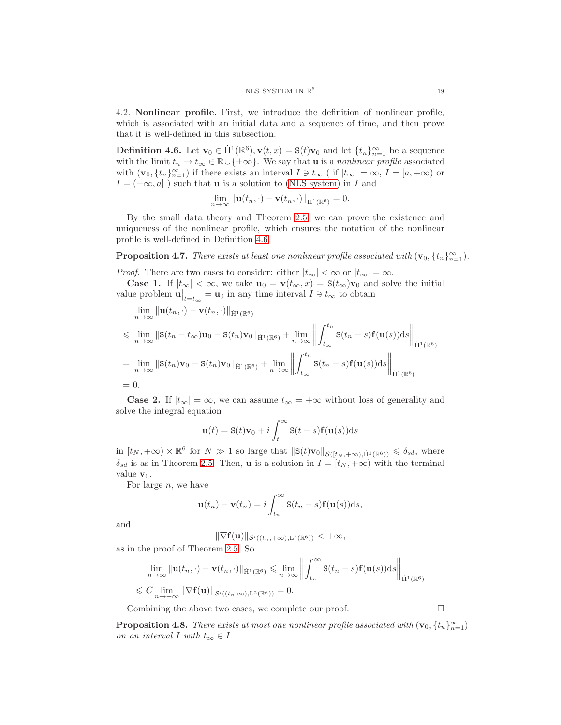4.2. Nonlinear profile. First, we introduce the definition of nonlinear profile, which is associated with an initial data and a sequence of time, and then prove that it is well-defined in this subsection.

<span id="page-18-0"></span>**Definition 4.6.** Let  $\mathbf{v}_0 \in \dot{H}^1(\mathbb{R}^6)$ ,  $\mathbf{v}(t,x) = \mathbf{S}(t)\mathbf{v}_0$  and let  $\{t_n\}_{n=1}^{\infty}$  be a sequence with the limit  $t_n \to t_\infty \in \mathbb{R} \cup {\pm \infty}$ . We say that **u** is a *nonlinear profile* associated with  $(v_0, \{t_n\}_{n=1}^{\infty})$  if there exists an interval  $I \ni t_{\infty}$  (if  $|t_{\infty}| = \infty$ ,  $I = [a, +\infty)$  or  $I = (-\infty, a]$ ) such that **u** is a solution to [\(NLS system\)](#page-0-0) in I and

$$
\lim_{n\to\infty}\|\mathbf{u}(t_n,\cdot)-\mathbf{v}(t_n,\cdot)\|_{\dot{\mathbf{H}}^1(\mathbb{R}^6)}=0.
$$

By the small data theory and Theorem [2.5,](#page-7-3) we can prove the existence and uniqueness of the nonlinear profile, which ensures the notation of the nonlinear profile is well-defined in Definition [4.6.](#page-18-0)

**Proposition 4.7.** *There exists at least one nonlinear profile associated with*  $(v_0, \{t_n\}_{n=1}^{\infty})$ *.* 

*Proof.* There are two cases to consider: either  $|t_{\infty}| < \infty$  or  $|t_{\infty}| = \infty$ .

**Case 1.** If  $|t_{\infty}| < \infty$ , we take  $\mathbf{u}_0 = \mathbf{v}(t_{\infty}, x) = \mathbf{S}(t_{\infty})\mathbf{v}_0$  and solve the initial value problem  $\mathbf{u}\Big|_{t=t_{\infty}} = \mathbf{u}_0$  in any time interval  $I \ni t_{\infty}$  to obtain

$$
\lim_{n \to \infty} \|\mathbf{u}(t_n, \cdot) - \mathbf{v}(t_n, \cdot)\|_{\dot{\mathbf{H}}^1(\mathbb{R}^6)}
$$
\n
$$
\leq \lim_{n \to \infty} \|\mathbf{S}(t_n - t_\infty)\mathbf{u}_0 - \mathbf{S}(t_n)\mathbf{v}_0\|_{\dot{\mathbf{H}}^1(\mathbb{R}^6)} + \lim_{n \to \infty} \left\| \int_{t_\infty}^{t_n} \mathbf{S}(t_n - s) \mathbf{f}(\mathbf{u}(s)) ds \right\|_{\dot{\mathbf{H}}^1(\mathbb{R}^6)}
$$
\n
$$
= \lim_{n \to \infty} \|\mathbf{S}(t_n)\mathbf{v}_0 - \mathbf{S}(t_n)\mathbf{v}_0\|_{\dot{\mathbf{H}}^1(\mathbb{R}^6)} + \lim_{n \to \infty} \left\| \int_{t_\infty}^{t_n} \mathbf{S}(t_n - s) \mathbf{f}(\mathbf{u}(s)) ds \right\|_{\dot{\mathbf{H}}^1(\mathbb{R}^6)}
$$
\n
$$
= 0.
$$

**Case 2.** If  $|t_{\infty}| = \infty$ , we can assume  $t_{\infty} = +\infty$  without loss of generality and solve the integral equation

$$
\mathbf{u}(t) = \mathbf{S}(t)\mathbf{v}_0 + i \int_t^{\infty} \mathbf{S}(t-s)\mathbf{f}(\mathbf{u}(s))ds
$$

in  $[t_N, +\infty) \times \mathbb{R}^6$  for  $N \gg 1$  so large that  $\|\mathbf{S}(t)\mathbf{v}_0\|_{\mathcal{S}([t_N, +\infty), \dot{H}^1(\mathbb{R}^6))} \leq \delta_{sd}$ , where  $\delta_{sd}$  is as in Theorem [2.5.](#page-7-3) Then, **u** is a solution in  $I = [t_N, +\infty)$  with the terminal value  $\mathbf{v}_0$ .

For large  $n$ , we have

$$
\mathbf{u}(t_n) - \mathbf{v}(t_n) = i \int_{t_n}^{\infty} \mathbf{S}(t_n - s) \mathbf{f}(\mathbf{u}(s)) \mathrm{d} s,
$$

and

$$
\|\nabla \mathbf{f}(\mathbf{u})\|_{\mathcal{S}'((t_n,+\infty),\mathbf{L}^2(\mathbb{R}^6))} < +\infty,
$$

as in the proof of Theorem [2.5.](#page-7-3) So

$$
\lim_{n \to \infty} \|\mathbf{u}(t_n, \cdot) - \mathbf{v}(t_n, \cdot)\|_{\dot{\mathbf{H}}^1(\mathbb{R}^6)} \le \lim_{n \to \infty} \left\| \int_{t_n}^{\infty} \mathbf{S}(t_n - s) \mathbf{f}(\mathbf{u}(s)) \, ds \right\|_{\dot{\mathbf{H}}^1(\mathbb{R}^6)}
$$
  

$$
\leq C \lim_{n \to +\infty} \|\nabla \mathbf{f}(\mathbf{u})\|_{\mathcal{S}'((t_n,\infty),\mathbf{L}^2(\mathbb{R}^6))} = 0.
$$

Combining the above two cases, we complete our proof. □

**Proposition 4.8.** *There exists at most one nonlinear profile associated with*  $(\mathbf{v}_0, \{t_n\}_{n=1}^{\infty})$ *on an interval I with*  $t_{\infty} \in I$ .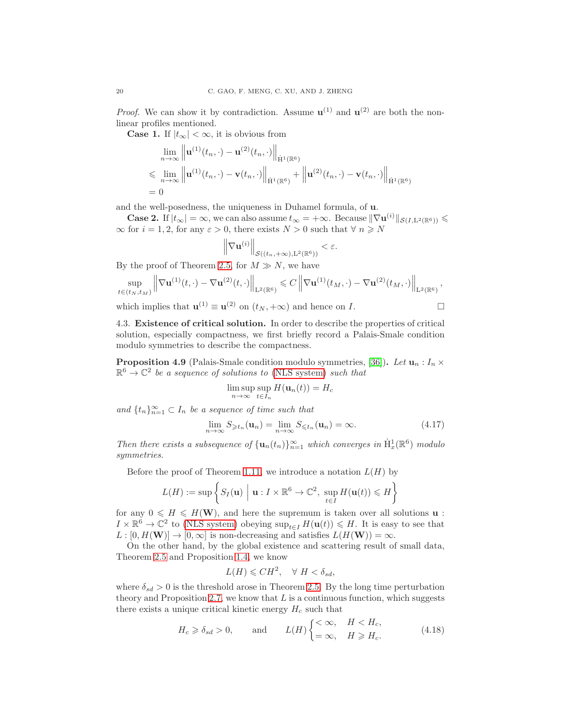*Proof.* We can show it by contradiction. Assume  $\mathbf{u}^{(1)}$  and  $\mathbf{u}^{(2)}$  are both the nonlinear profiles mentioned.

**Case 1.** If  $|t_{\infty}| < \infty$ , it is obvious from

$$
\lim_{n \to \infty} \left\| \mathbf{u}^{(1)}(t_n, \cdot) - \mathbf{u}^{(2)}(t_n, \cdot) \right\|_{\dot{\mathbf{H}}^1(\mathbb{R}^6)}
$$
\n
$$
\leq \lim_{n \to \infty} \left\| \mathbf{u}^{(1)}(t_n, \cdot) - \mathbf{v}(t_n, \cdot) \right\|_{\dot{\mathbf{H}}^1(\mathbb{R}^6)} + \left\| \mathbf{u}^{(2)}(t_n, \cdot) - \mathbf{v}(t_n, \cdot) \right\|_{\dot{\mathbf{H}}^1(\mathbb{R}^6)}
$$
\n
$$
= 0
$$

and the well-posedness, the uniqueness in Duhamel formula, of u.

**Case 2.** If  $|t_{\infty}| = \infty$ , we can also assume  $t_{\infty} = +\infty$ . Because  $\|\nabla \mathbf{u}^{(i)}\|_{\mathcal{S}(I,L^2(\mathbb{R}^6))} \leq$  $\infty$  for  $i = 1, 2$ , for any  $\varepsilon > 0$ , there exists  $N > 0$  such that  $\forall n \geq N$ 

$$
\left\|\nabla \mathbf{u}^{(i)}\right\|_{\mathcal{S}((t_n,+\infty),\mathbf{L}^2(\mathbb{R}^6))}<\varepsilon.
$$

By the proof of Theorem [2.5,](#page-7-3) for  $M \gg N$ , we have

$$
\sup_{t\in(t_N,t_M)} \left\|\nabla \mathbf{u}^{(1)}(t,\cdot) - \nabla \mathbf{u}^{(2)}(t,\cdot)\right\|_{\mathbf{L}^2(\mathbb{R}^6)} \leqslant C \left\|\nabla \mathbf{u}^{(1)}(t_M,\cdot) - \nabla \mathbf{u}^{(2)}(t_M,\cdot)\right\|_{\mathbf{L}^2(\mathbb{R}^6)},
$$

<span id="page-19-1"></span>which implies that  $\mathbf{u}^{(1)} \equiv \mathbf{u}^{(2)}$  on  $(t_N, +\infty)$  and hence on I.

4.3. Existence of critical solution. In order to describe the properties of critical solution, especially compactness, we first briefly record a Palais-Smale condition modulo symmetries to describe the compactness.

<span id="page-19-0"></span>**Proposition 4.9** (Palais-Smale condition modulo symmetries, [\[36\]](#page-33-0)). Let  $\mathbf{u}_n : I_n \times \mathbf{v}_n$  $\mathbb{R}^6 \to \mathbb{C}^2$  *be a sequence of solutions to* [\(NLS system\)](#page-0-0) *such that* 

$$
\limsup_{n \to \infty} \sup_{t \in I_n} H(\mathbf{u}_n(t)) = H_c
$$

and  ${t_n}_{n=1}^\infty$  ⊂  $I_n$  *be a sequence of time such that* 

<span id="page-19-3"></span>
$$
\lim_{n \to \infty} S_{\geqslant t_n}(\mathbf{u}_n) = \lim_{n \to \infty} S_{\leqslant t_n}(\mathbf{u}_n) = \infty.
$$
\n(4.17)

*Then there exists a subsequence of*  $\{u_n(t_n)\}_{n=1}^{\infty}$  *which converges in*  $\dot{H}^1_x(\mathbb{R}^6)$  *modulo symmetries.*

Before the proof of Theorem [1.11,](#page-4-1) we introduce a notation  $L(H)$  by

$$
L(H) := \sup \left\{ S_I(\mathbf{u}) \mid \mathbf{u} : I \times \mathbb{R}^6 \to \mathbb{C}^2, \sup_{t \in I} H(\mathbf{u}(t)) \leq H \right\}
$$

for any  $0 \le H \le H(W)$ , and here the supremum is taken over all solutions **u** :  $I \times \mathbb{R}^6 \to \mathbb{C}^2$  to [\(NLS system\)](#page-0-0) obeying  $\sup_{t \in I} H(u(t)) \leq H$ . It is easy to see that  $L : [0, H(\mathbf{W})] \to [0, \infty]$  is non-decreasing and satisfies  $L(H(\mathbf{W})) = \infty$ .

On the other hand, by the global existence and scattering result of small data, Theorem [2.5](#page-7-3) and Proposition [1.4,](#page-2-2) we know

$$
L(H) \leqslant CH^2, \quad \forall \ H < \delta_{sd},
$$

where  $\delta_{sd} > 0$  is the threshold arose in Theorem [2.5.](#page-7-3) By the long time perturbation theory and Proposition [2.7,](#page-7-4) we know that  $L$  is a continuous function, which suggests there exists a unique critical kinetic energy  $H_c$  such that

<span id="page-19-2"></span>
$$
H_c \ge \delta_{sd} > 0,
$$
 and  $L(H) \begin{cases} < \infty, & H < H_c, \\ = \infty, & H \ge H_c. \end{cases}$  (4.18)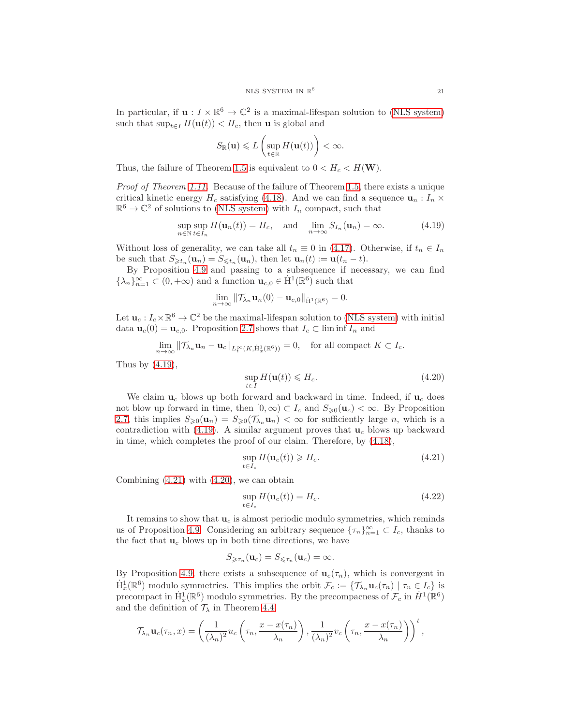In particular, if  $\mathbf{u}: I \times \mathbb{R}^6 \to \mathbb{C}^2$  is a maximal-lifespan solution to [\(NLS system\)](#page-0-0) such that  $\sup_{t\in I} H(\mathbf{u}(t)) < H_c$ , then **u** is global and

$$
S_{\mathbb{R}}(\mathbf{u}) \leqslant L\left(\sup_{t\in\mathbb{R}} H(\mathbf{u}(t))\right) < \infty.
$$

Thus, the failure of Theorem [1.5](#page-3-0) is equivalent to  $0 < H_c < H(W)$ .

*Proof of Theorem [1.11.](#page-4-1)* Because of the failure of Theorem [1.5,](#page-3-0) there exists a unique critical kinetic energy  $H_c$  satisfying [\(4.18\)](#page-19-2). And we can find a sequence  $\mathbf{u}_n : I_n \times$  $\mathbb{R}^6 \to \mathbb{C}^2$  of solutions to [\(NLS system\)](#page-0-0) with  $I_n$  compact, such that

<span id="page-20-0"></span>
$$
\sup_{n \in \mathbb{N}} \sup_{t \in I_n} H(\mathbf{u}_n(t)) = H_c, \text{ and } \lim_{n \to \infty} S_{I_n}(\mathbf{u}_n) = \infty.
$$
 (4.19)

Without loss of generality, we can take all  $t_n \equiv 0$  in [\(4.17\)](#page-19-3). Otherwise, if  $t_n \in I_n$ be such that  $S_{\geq t_n}(\mathbf{u}_n) = S_{\leq t_n}(\mathbf{u}_n)$ , then let  $\mathbf{u}_n(t) := \mathbf{u}(t_n - t)$ .

By Proposition [4.9](#page-19-0) and passing to a subsequence if necessary, we can find  $\{\lambda_n\}_{n=1}^{\infty} \subset (0, +\infty)$  and a function  $\mathbf{u}_{c,0} \in \dot{H}^1(\mathbb{R}^6)$  such that

$$
\lim_{n\to\infty}\|\mathcal{T}_{\lambda_n}\mathbf{u}_n(0)-\mathbf{u}_{c,0}\|_{\dot{\mathbf{H}}^1(\mathbb{R}^6)}=0.
$$

Let  $\mathbf{u}_c: I_c \times \mathbb{R}^6 \to \mathbb{C}^2$  be the maximal-lifespan solution to [\(NLS system\)](#page-0-0) with initial data  $\mathbf{u}_c(0) = \mathbf{u}_{c,0}$ . Proposition [2.7](#page-7-4) shows that  $I_c \subset \liminf I_n$  and

$$
\lim_{n\to\infty} \|\mathcal{T}_{\lambda_n}\mathbf{u}_n - \mathbf{u}_c\|_{L_t^{\infty}(K, \dot{\mathbf{H}}_x^1(\mathbb{R}^6))} = 0, \quad \text{for all compact } K \subset I_c.
$$

Thus by  $(4.19)$ ,

<span id="page-20-2"></span>
$$
\sup_{t \in I} H(\mathbf{u}(t)) \leq H_c.
$$
\n(4.20)

We claim  $\mathbf{u}_c$  blows up both forward and backward in time. Indeed, if  $\mathbf{u}_c$  does not blow up forward in time, then  $[0, \infty) \subset I_c$  and  $S_{\geqslant 0}(\mathbf{u}_c) < \infty$ . By Proposition [2.7,](#page-7-4) this implies  $S_{\geqslant 0}(\mathbf{u}_n) = S_{\geqslant 0}(\mathcal{T}_{\lambda_n}\mathbf{u}_n) < \infty$  for sufficiently large *n*, which is a contradiction with  $(4.19)$ . A similar argument proves that  $\mathbf{u}_c$  blows up backward in time, which completes the proof of our claim. Therefore, by [\(4.18\)](#page-19-2),

<span id="page-20-1"></span>
$$
\sup_{t \in I_c} H(\mathbf{u}_c(t)) \ge H_c.
$$
\n(4.21)

Combining [\(4.21\)](#page-20-1) with [\(4.20\)](#page-20-2), we can obtain

<span id="page-20-3"></span>
$$
\sup_{t \in I_c} H(\mathbf{u}_c(t)) = H_c.
$$
\n(4.22)

It remains to show that  $\mathbf{u}_c$  is almost periodic modulo symmetries, which reminds us of Proposition [4.9.](#page-19-0) Considering an arbitrary sequence  $\{\tau_n\}_{n=1}^{\infty} \subset I_c$ , thanks to the fact that  $\mathbf{u}_c$  blows up in both time directions, we have

$$
S_{\geqslant\tau_n}(\mathbf{u}_c)=S_{\leqslant\tau_n}(\mathbf{u}_c)=\infty.
$$

By Proposition [4.9,](#page-19-0) there exists a subsequence of  $\mathbf{u}_c(\tau_n)$ , which is convergent in  $\dot{H}_x^1(\mathbb{R}^6)$  modulo symmetries. This implies the orbit  $\mathcal{F}_c := \{ \mathcal{T}_{\lambda_n} \mathbf{u}_c(\tau_n) \mid \tau_n \in I_c \}$  is precompact in  $\dot{H}^1_x(\mathbb{R}^6)$  modulo symmetries. By the precompacness of  $\mathcal{F}_c$  in  $\dot{H}^1(\mathbb{R}^6)$ and the definition of  $\mathcal{T}_{\lambda}$  in Theorem [4.4,](#page-16-3)

$$
\mathcal{T}_{\lambda_n} \mathbf{u}_c(\tau_n, x) = \left(\frac{1}{(\lambda_n)^2} u_c\left(\tau_n, \frac{x - x(\tau_n)}{\lambda_n}\right), \frac{1}{(\lambda_n)^2} v_c\left(\tau_n, \frac{x - x(\tau_n)}{\lambda_n}\right)\right)^t,
$$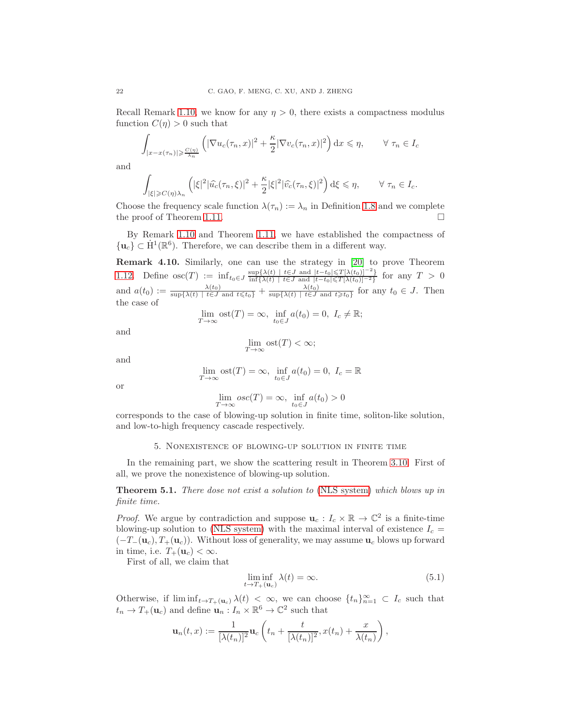Recall Remark [1.10,](#page-4-3) we know for any  $\eta > 0$ , there exists a compactness modulus function  $C(\eta) > 0$  such that

$$
\int_{|x-x(\tau_n)| \geqslant \frac{C(\eta)}{\lambda_n}} \left( |\nabla u_c(\tau_n, x)|^2 + \frac{\kappa}{2} |\nabla v_c(\tau_n, x)|^2 \right) dx \leqslant \eta, \qquad \forall \ \tau_n \in I_c
$$

and

$$
\int_{|\xi| \geq C(\eta)\lambda_n} \left( |\xi|^2 |\widehat{u_c}(\tau_n,\xi)|^2 + \frac{\kappa}{2} |\xi|^2 |\widehat{v_c}(\tau_n,\xi)|^2 \right) d\xi \leq \eta, \qquad \forall \ \tau_n \in I_c.
$$

Choose the frequency scale function  $\lambda(\tau_n) := \lambda_n$  in Definition [1.8](#page-3-2) and we complete the proof of Theorem [1.11.](#page-4-1)

By Remark [1.10](#page-4-3) and Theorem [1.11,](#page-4-1) we have established the compactness of  ${u_c} \subset \dot{H}^1(\mathbb{R}^6)$ . Therefore, we can describe them in a different way.

Remark 4.10. Similarly, one can use the strategy in [\[20\]](#page-32-23) to prove Theorem [1.12.](#page-4-2) Define  $\mathrm{osc}(T) := \inf_{t_0 \in J} \frac{\sup\{\lambda(t) \mid t \in J \text{ and } |t-t_0| \leq T[\lambda(t_0)]^{-2}\}}{\inf\{\lambda(t) \mid t \in J \text{ and } |t-t_0| \leq T[\lambda(t_0)]^{-2}\}}$  $\inf_{\{\lambda(t) \mid t \in J \text{ and } |t-t_0| \leq T[\lambda(t_0)]-2\}}$  for any  $T > 0$ and  $a(t_0) := \frac{\lambda(t_0)}{\sup\{\lambda(t) \mid t \in J \text{ and } t \leq t_0\}} + \frac{\lambda(t_0)}{\sup\{\lambda(t) \mid t \in J\}}$  $\frac{\lambda(t_0)}{\sup\{\lambda(t) \mid t \in J \text{ and } t \geq t_0\}}$  for any  $t_0 \in J$ . Then the case of

$$
\lim_{T \to \infty} \operatorname{ost}(T) = \infty, \ \inf_{t_0 \in J} a(t_0) = 0, \ I_c \neq \mathbb{R};
$$

and

$$
\lim_{T \to \infty} \text{ost}(T) < \infty;
$$

and

$$
\lim_{T \to \infty} \text{ost}(T) = \infty, \ \inf_{t_0 \in J} a(t_0) = 0, \ I_c = \mathbb{R}
$$

or

$$
\lim_{T \to \infty} osc(T) = \infty, \ \inf_{t_0 \in J} a(t_0) > 0
$$

<span id="page-21-0"></span>corresponds to the case of blowing-up solution in finite time, soliton-like solution, and low-to-high frequency cascade respectively.

### 5. Nonexistence of blowing-up solution in finite time

In the remaining part, we show the scattering result in Theorem [3.10.](#page-14-0) First of all, we prove the nonexistence of blowing-up solution.

Theorem 5.1. *There dose not exist a solution to* [\(NLS system\)](#page-0-0) *which blows up in finite time.*

*Proof.* We argue by contradiction and suppose  $\mathbf{u}_c : I_c \times \mathbb{R} \to \mathbb{C}^2$  is a finite-time blowing-up solution to [\(NLS system\)](#page-0-0) with the maximal interval of existence  $I_c =$  $(-T<sub>-</sub>(u<sub>c</sub>), T<sub>+</sub>(u<sub>c</sub>)).$  Without loss of generality, we may assume  $u<sub>c</sub>$  blows up forward in time, i.e.  $T_+(\mathbf{u}_c) < \infty$ .

First of all, we claim that

<span id="page-21-1"></span>
$$
\liminf_{t \to T_+(\mathbf{u}_c)} \lambda(t) = \infty. \tag{5.1}
$$

Otherwise, if  $\liminf_{t\to T_+(\mathbf{u}_c)} \lambda(t) < \infty$ , we can choose  $\{t_n\}_{n=1}^{\infty} \subset I_c$  such that  $t_n \to T_+(\mathbf{u}_c)$  and define  $\mathbf{u}_n : I_n \times \mathbb{R}^6 \to \mathbb{C}^2$  such that

$$
\mathbf{u}_n(t,x) := \frac{1}{[\lambda(t_n)]^2} \mathbf{u}_c\left(t_n + \frac{t}{[\lambda(t_n)]^2}, x(t_n) + \frac{x}{\lambda(t_n)}\right),\,
$$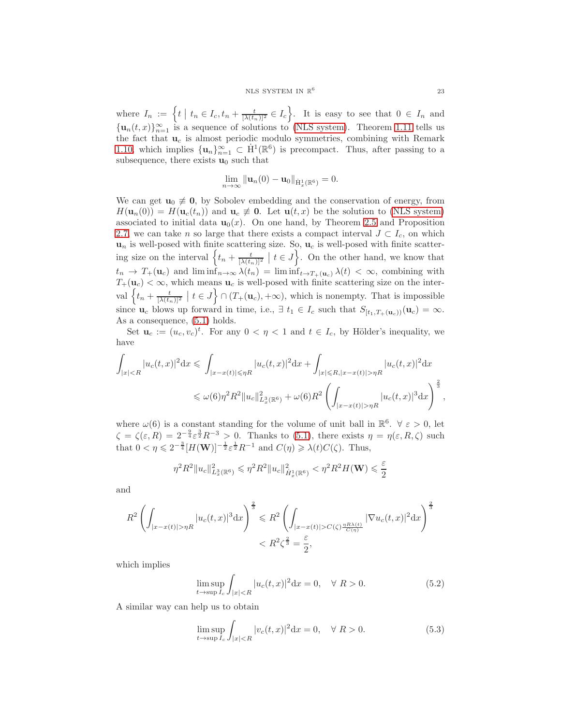where  $I_n := \left\{ t \mid t_n \in I_c, t_n + \frac{t}{[\lambda(t_n)]^2} \in I_c \right\}$ . It is easy to see that  $0 \in I_n$  and  $\{\mathbf u_n(t,x)\}_{n=1}^\infty$  is a sequence of solutions to [\(NLS system\)](#page-0-0). Theorem [1.11](#page-4-1) tells us the fact that  $\mathbf{u}_c$  is almost periodic modulo symmetries, combining with Remark [1.10,](#page-4-3) which implies  $\{u_n\}_{n=1}^{\infty} \subset \dot{H}^1(\mathbb{R}^6)$  is precompact. Thus, after passing to a subsequence, there exists  $\mathbf{u}_0$  such that

$$
\lim_{n\to\infty}\|\mathbf{u}_n(0)-\mathbf{u}_0\|_{\dot{\mathbf{H}}^1_x(\mathbb{R}^6)}=0.
$$

We can get  $u_0 \neq 0$ , by Sobolev embedding and the conservation of energy, from  $H(\mathbf{u}_n(0)) = H(\mathbf{u}_c(t_n))$  and  $\mathbf{u}_c \neq \mathbf{0}$ . Let  $\mathbf{u}(t,x)$  be the solution to [\(NLS system\)](#page-0-0) associated to initial data  $\mathbf{u}_0(x)$ . On one hand, by Theorem [2.5](#page-7-3) and Proposition [2.7,](#page-7-4) we can take n so large that there exists a compact interval  $J \subset I_c$ , on which  $\mathbf{u}_n$  is well-posed with finite scattering size. So,  $\mathbf{u}_c$  is well-posed with finite scattering size on the interval  $\left\{t_n + \frac{t}{[\lambda(t_n)]^2} \mid t \in J\right\}$ . On the other hand, we know that  $t_n \to T_+(\mathbf{u}_c)$  and  $\liminf_{n\to\infty} \lambda(t_n) = \liminf_{t\to T_+(\mathbf{u}_c)} \lambda(t) < \infty$ , combining with  $T_+(\mathbf{u}_c) < \infty$ , which means  $\mathbf{u}_c$  is well-posed with finite scattering size on the interval  $\left\{t_n + \frac{t}{[\lambda(t_n)]^2} \mid t \in J\right\} \cap (T_+(\mathbf{u}_c), +\infty)$ , which is nonempty. That is impossible since  $\mathbf{u}_c$  blows up forward in time, i.e.,  $\exists t_1 \in I_c$  such that  $S_{[t_1,T_+(\mathbf{u}_c))}(\mathbf{u}_c) = \infty$ . As a consequence, [\(5.1\)](#page-21-1) holds.

Set  $\mathbf{u}_c := (u_c, v_c)^t$ . For any  $0 < \eta < 1$  and  $t \in I_c$ , by Hölder's inequality, we have

$$
\int_{|x|\eta R} |u_c(t,x)|^2 dx
$$
  

$$
\leqslant \omega(6)\eta^2 R^2 \|u_c\|_{L_x^3(\mathbb{R}^6)}^2 + \omega(6)R^2 \left( \int_{|x-x(t)|>\eta R} |u_c(t,x)|^3 dx \right)^{\frac{2}{3}},
$$

where  $\omega(6)$  is a constant standing for the volume of unit ball in  $\mathbb{R}^6$ .  $\forall \varepsilon > 0$ , let  $\zeta = \zeta(\varepsilon, R) = 2^{-\frac{9}{4}} \varepsilon^{\frac{3}{2}} R^{-3} > 0$ . Thanks to [\(5.1\)](#page-21-1), there exists  $\eta = \eta(\varepsilon, R, \zeta)$  such that  $0 < \eta \leqslant 2^{-\frac{3}{4}} [H(\mathbf{W})]^{-\frac{1}{2}} \varepsilon^{\frac{1}{2}} R^{-1}$  and  $C(\eta) \geqslant \lambda(t) C(\zeta)$ . Thus,

$$
\eta^2 R^2 \|u_c\|_{L_x^3(\mathbb{R}^6)}^2 \leq \eta^2 R^2 \|u_c\|_{\dot{H}_x^1(\mathbb{R}^6)}^2 < \eta^2 R^2 H(\mathbf{W}) \leqslant \frac{\varepsilon}{2}
$$

and

$$
R^{2}\left(\int_{|x-x(t)|>\eta R}|u_{c}(t,x)|^{3}\mathrm{d}x\right)^{\frac{2}{3}} \leq R^{2}\left(\int_{|x-x(t)|>C(\zeta)\frac{\eta R\lambda(t)}{C(\eta)}}|\nabla u_{c}(t,x)|^{2}\mathrm{d}x\right)^{\frac{2}{3}} < R^{2}\zeta^{\frac{2}{3}} = \frac{\varepsilon}{2},
$$

which implies

<span id="page-22-0"></span>
$$
\limsup_{t \to \sup I_c} \int_{|x| < R} |u_c(t, x)|^2 \, \mathrm{d}x = 0, \quad \forall \ R > 0. \tag{5.2}
$$

A similar way can help us to obtain

<span id="page-22-1"></span>
$$
\limsup_{t \to \sup} \int_{|x| < R} |v_c(t, x)|^2 \, \mathrm{d}x = 0, \quad \forall \ R > 0. \tag{5.3}
$$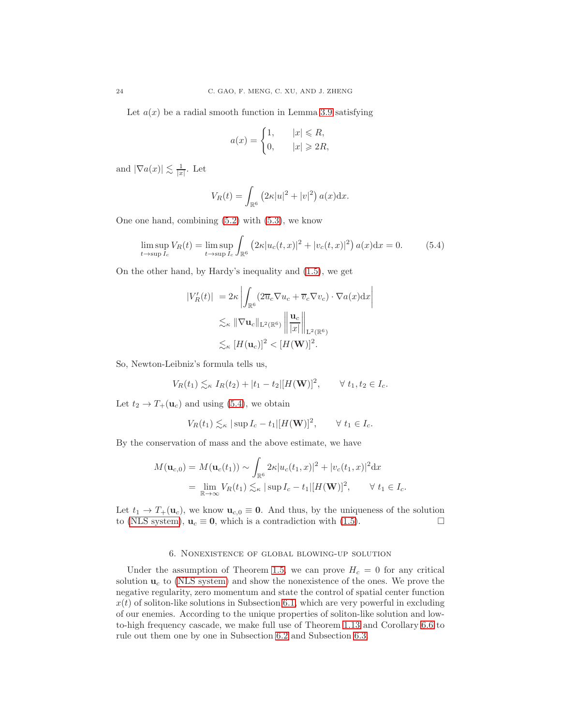Let  $a(x)$  be a radial smooth function in Lemma [3.9](#page-13-2) satisfying

$$
a(x) = \begin{cases} 1, & |x| \le R, \\ 0, & |x| \ge 2R, \end{cases}
$$

and  $|\nabla a(x)| \lesssim \frac{1}{|x|}$ . Let

$$
V_R(t) = \int_{\mathbb{R}^6} \left( 2\kappa |u|^2 + |v|^2 \right) a(x) \mathrm{d}x.
$$

One one hand, combining [\(5.2\)](#page-22-0) with [\(5.3\)](#page-22-1), we know

<span id="page-23-1"></span>
$$
\limsup_{t \to \sup I_c} V_R(t) = \limsup_{t \to \sup I_c} \int_{\mathbb{R}^6} \left( 2\kappa |u_c(t, x)|^2 + |v_c(t, x)|^2 \right) a(x) dx = 0.
$$
 (5.4)

On the other hand, by Hardy's inequality and [\(1.5\)](#page-4-4), we get

$$
|V'_{R}(t)| = 2\kappa \left| \int_{\mathbb{R}^{6}} (2\overline{u}_{c} \nabla u_{c} + \overline{v}_{c} \nabla v_{c}) \cdot \nabla a(x) dx \right|
$$
  

$$
\lesssim_{\kappa} \|\nabla \mathbf{u}_{c}\|_{\mathbf{L}^{2}(\mathbb{R}^{6})} \left\| \frac{\mathbf{u}_{c}}{|x|} \right\|_{\mathbf{L}^{2}(\mathbb{R}^{6})}
$$
  

$$
\lesssim_{\kappa} [H(\mathbf{u}_{c})]^{2} < [H(\mathbf{W})]^{2}.
$$

So, Newton-Leibniz's formula tells us,

$$
V_R(t_1) \lesssim_{\kappa} I_R(t_2) + |t_1 - t_2| [H(\mathbf{W})]^2, \qquad \forall \ t_1, t_2 \in I_c.
$$

Let  $t_2 \rightarrow T_+(\mathbf{u}_c)$  and using [\(5.4\)](#page-23-1), we obtain

$$
V_R(t_1) \lesssim_{\kappa} |\sup I_c - t_1| [H(\mathbf{W})]^2, \qquad \forall t_1 \in I_c.
$$

By the conservation of mass and the above estimate, we have

$$
M(\mathbf{u}_{c,0}) = M(\mathbf{u}_c(t_1)) \sim \int_{\mathbb{R}^6} 2\kappa |u_c(t_1, x)|^2 + |v_c(t_1, x)|^2 dx
$$
  
=  $\lim_{\mathbb{R} \to \infty} V_R(t_1) \lesssim_{\kappa} |\sup I_c - t_1| [H(\mathbf{W})]^2, \quad \forall t_1 \in I_c.$ 

Let  $t_1 \rightarrow T_+(\mathbf{u}_c)$ , we know  $\mathbf{u}_{c,0} \equiv \mathbf{0}$ . And thus, by the uniqueness of the solution to (NLS system),  $\mathbf{u}_c \equiv \mathbf{0}$ , which is a contradiction with (1.5). to [\(NLS system\)](#page-0-0),  $\mathbf{u}_c \equiv \mathbf{0}$ , which is a contradiction with [\(1.5\)](#page-4-4).

## 6. Nonexistence of global blowing-up solution

<span id="page-23-0"></span>Under the assumption of Theorem [1.5,](#page-3-0) we can prove  $H_c = 0$  for any critical solution  $\mathbf{u}_c$  to [\(NLS system\)](#page-0-0) and show the nonexistence of the ones. We prove the negative regularity, zero momentum and state the control of spatial center function  $x(t)$  of soliton-like solutions in Subsection [6.1,](#page-24-1) which are very powerful in excluding of our enemies. According to the unique properties of soliton-like solution and lowto-high frequency cascade, we make full use of Theorem [1.13](#page-5-0) and Corollary [6.6](#page-29-0) to rule out them one by one in Subsection [6.2](#page-29-1) and Subsection [6.3.](#page-30-0)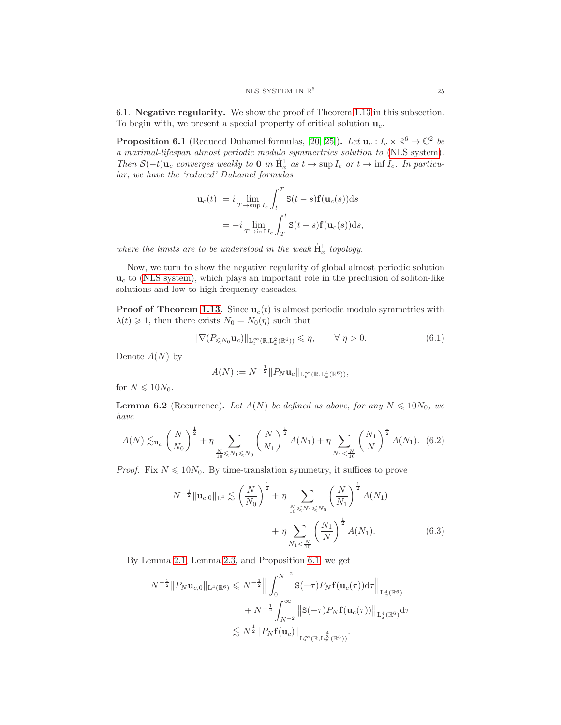<span id="page-24-1"></span>6.1. Negative regularity. We show the proof of Theorem [1.13](#page-5-0) in this subsection. To begin with, we present a special property of critical solution  $\mathbf{u}_c$ .

<span id="page-24-0"></span>**Proposition 6.1** (Reduced Duhamel formulas, [\[20,](#page-32-23) [25\]](#page-32-25)). Let  $\mathbf{u}_c : I_c \times \mathbb{R}^6 \to \mathbb{C}^2$  be *a maximal-lifespan almost periodic modulo symmertries solution to* [\(NLS system\)](#page-0-0)*. Then*  $S(-t)\mathbf{u}_c$  *converges weakly to* 0 *in*  $\dot{H}^1_x$  *as*  $t \to \sup I_c$  *or*  $t \to \inf I_c$ *. In particular, we have the 'reduced' Duhamel formulas*

$$
\mathbf{u}_c(t) = i \lim_{T \to \text{sup } I_c} \int_t^T \mathbf{S}(t - s) \mathbf{f}(\mathbf{u}_c(s)) ds
$$
  
= 
$$
-i \lim_{T \to \text{inf } I_c} \int_T^t \mathbf{S}(t - s) \mathbf{f}(\mathbf{u}_c(s)) ds,
$$

where the limits are to be understood in the weak  $\dot{H}^1_x$  topology.

Now, we turn to show the negative regularity of global almost periodic solution  $\mathbf{u}_c$  to [\(NLS system\)](#page-0-0), which plays an important role in the preclusion of soliton-like solutions and low-to-high frequency cascades.

**Proof of Theorem [1.13.](#page-5-0)** Since  $\mathbf{u}_c(t)$  is almost periodic modulo symmetries with  $\lambda(t) \geq 1$ , then there exists  $N_0 = N_0(\eta)$  such that

$$
\|\nabla (P_{\leq N_0} \mathbf{u}_c)\|_{\mathcal{L}_t^{\infty}(\mathbb{R}, \mathcal{L}_x^2(\mathbb{R}^6))} \leqslant \eta, \qquad \forall \eta > 0.
$$
 (6.1)

Denote  $A(N)$  by

<span id="page-24-2"></span>
$$
A(N) := N^{-\frac{1}{2}} \| P_N \mathbf{u}_c \|_{\mathcal{L}_t^{\infty}(\mathbb{R}, \mathcal{L}_x^4(\mathbb{R}^6))},
$$

for  $N \leq 10N_0$ .

<span id="page-24-4"></span>**Lemma 6.2** (Recurrence). Let  $A(N)$  be defined as above, for any  $N \le 10N_0$ , we *have*

<span id="page-24-3"></span>
$$
A(N) \lesssim_{\mathbf{u}_c} \left(\frac{N}{N_0}\right)^{\frac{1}{2}} + \eta \sum_{\frac{N}{10} \leqslant N_1 \leqslant N_0} \left(\frac{N}{N_1}\right)^{\frac{1}{2}} A(N_1) + \eta \sum_{N_1 < \frac{N}{10}} \left(\frac{N_1}{N}\right)^{\frac{1}{2}} A(N_1). \tag{6.2}
$$

*Proof.* Fix  $N \leq 10N_0$ . By time-translation symmetry, it suffices to prove

$$
N^{-\frac{1}{2}} \|\mathbf{u}_{c,0}\|_{\mathcal{L}^{4}} \lesssim \left(\frac{N}{N_0}\right)^{\frac{1}{2}} + \eta \sum_{\frac{N}{10} \leqslant N_1 \leqslant N_0} \left(\frac{N}{N_1}\right)^{\frac{1}{2}} A(N_1) + \eta \sum_{N_1 < \frac{N}{10}} \left(\frac{N_1}{N}\right)^{\frac{1}{2}} A(N_1). \tag{6.3}
$$

By Lemma [2.1,](#page-6-0) Lemma [2.3,](#page-7-0) and Proposition [6.1,](#page-24-0) we get

$$
N^{-\frac{1}{2}} \|P_N \mathbf{u}_{c,0}\|_{\mathbf{L}^4(\mathbb{R}^6)} \leq N^{-\frac{1}{2}} \Big\| \int_0^{N^{-2}} \mathbf{S}(-\tau) P_N \mathbf{f}(\mathbf{u}_c(\tau)) \mathrm{d}\tau \Big\|_{\mathbf{L}^4_x(\mathbb{R}^6)} + N^{-\frac{1}{2}} \int_{N^{-2}}^{\infty} \| \mathbf{S}(-\tau) P_N \mathbf{f}(\mathbf{u}_c(\tau)) \Big\|_{\mathbf{L}^4_x(\mathbb{R}^6)} \mathrm{d}\tau \lesssim N^{\frac{1}{2}} \| P_N \mathbf{f}(\mathbf{u}_c) \|_{\mathbf{L}^{\infty}_t(\mathbb{R}, \mathbf{L}^{\frac{4}{3}}_x(\mathbb{R}^6))}.
$$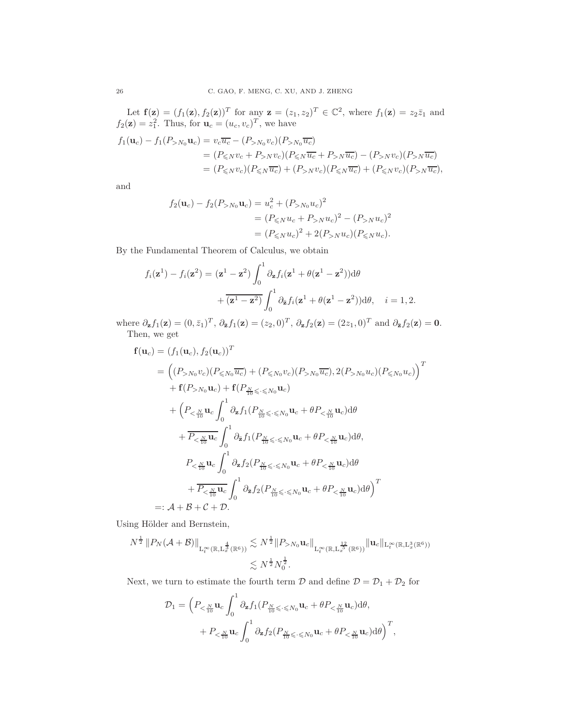Let  $f(z) = (f_1(z), f_2(z))^T$  for any  $z = (z_1, z_2)^T \in \mathbb{C}^2$ , where  $f_1(z) = z_2 \overline{z}_1$  and  $f_2(\mathbf{z}) = z_1^2$ . Thus, for  $\mathbf{u}_c = (u_c, v_c)^T$ , we have

$$
f_1(\mathbf{u}_c) - f_1(P_{>N_0}\mathbf{u}_c) = v_c \overline{u_c} - (P_{>N_0}v_c)(P_{>N_0}\overline{u_c})
$$
  
= 
$$
(P_{\leq N}v_c + P_{>N}v_c)(P_{\leq N}\overline{u_c} + P_{>N}\overline{u_c}) - (P_{>N}v_c)(P_{>N}\overline{u_c})
$$
  
= 
$$
(P_{\leq N}v_c)(P_{\leq N}\overline{u_c}) + (P_{>N}v_c)(P_{\leq N}\overline{u_c}) + (P_{\leq N}v_c)(P_{>N}\overline{u_c}),
$$

and

$$
f_2(\mathbf{u}_c) - f_2(P_{>N_0}\mathbf{u}_c) = u_c^2 + (P_{>N_0}u_c)^2
$$
  
=  $(P_{\leq N}u_c + P_{>N}u_c)^2 - (P_{>N}u_c)^2$   
=  $(P_{\leq N}u_c)^2 + 2(P_{>N}u_c)(P_{\leq N}u_c).$ 

By the Fundamental Theorem of Calculus, we obtain

$$
f_i(\mathbf{z}^1) - f_i(\mathbf{z}^2) = (\mathbf{z}^1 - \mathbf{z}^2) \int_0^1 \partial_{\mathbf{z}} f_i(\mathbf{z}^1 + \theta(\mathbf{z}^1 - \mathbf{z}^2)) d\theta
$$

$$
+ \overline{(\mathbf{z}^1 - \mathbf{z}^2)} \int_0^1 \partial_{\mathbf{\bar{z}}} f_i(\mathbf{z}^1 + \theta(\mathbf{z}^1 - \mathbf{z}^2)) d\theta, \quad i = 1, 2.
$$

where  $\partial_{\mathbf{z}} f_1(\mathbf{z}) = (0, \bar{z}_1)^T$ ,  $\partial_{\mathbf{z}} f_1(\mathbf{z}) = (z_2, 0)^T$ ,  $\partial_{\mathbf{z}} f_2(\mathbf{z}) = (2z_1, 0)^T$  and  $\partial_{\mathbf{z}} f_2(\mathbf{z}) = \mathbf{0}$ . Then, we get

$$
\mathbf{f}(\mathbf{u}_c) = (f_1(\mathbf{u}_c), f_2(\mathbf{u}_c))^T
$$
\n
$$
= ((P_{>N_0}v_c)(P_{\leq N_0}\overline{u_c}) + (P_{\leq N_0}v_c)(P_{>N_0}\overline{u_c}), 2(P_{>N_0}u_c)(P_{\leq N_0}u_c))
$$
\n
$$
+ \mathbf{f}(P_{>N_0}\mathbf{u}_c) + \mathbf{f}(P_{\frac{N}{10}\leq \cdot \leq N_0}\mathbf{u}_c)
$$
\n
$$
+ (P_{<\frac{N}{10}}\mathbf{u}_c \int_0^1 \partial_z f_1(P_{\frac{N}{10}\leq \cdot \leq N_0}\mathbf{u}_c + \theta P_{<\frac{N}{10}}\mathbf{u}_c) d\theta
$$
\n
$$
+ \overline{P_{<\frac{N}{10}}\mathbf{u}_c} \int_0^1 \partial_{\overline{z}} f_1(P_{\frac{N}{10}\leq \cdot \leq N_0}\mathbf{u}_c + \theta P_{<\frac{N}{10}}\mathbf{u}_c) d\theta,
$$
\n
$$
P_{<\frac{N}{10}}\mathbf{u}_c \int_0^1 \partial_{\overline{z}} f_2(P_{\frac{N}{10}\leq \cdot \leq N_0}\mathbf{u}_c + \theta P_{<\frac{N}{10}}\mathbf{u}_c) d\theta
$$
\n
$$
+ \overline{P_{<\frac{N}{10}}\mathbf{u}_c} \int_0^1 \partial_{\overline{z}} f_2(P_{\frac{N}{10}\leq \cdot \leq N_0}\mathbf{u}_c + \theta P_{<\frac{N}{10}}\mathbf{u}_c) d\theta
$$
\n
$$
=: \mathcal{A} + \mathcal{B} + \mathcal{C} + \mathcal{D}.
$$

Using Hölder and Bernstein,

$$
N^{\frac{1}{2}} \|P_N(\mathcal{A} + \mathcal{B})\|_{L_t^{\infty}(\mathbb{R}, L_x^{\frac{4}{3}}(\mathbb{R}^6))} \lesssim N^{\frac{1}{2}} \|P_{>N_0} \mathbf{u}_c\|_{L_t^{\infty}(\mathbb{R}, L_x^{\frac{12}{5}}(\mathbb{R}^6))} \| \mathbf{u}_c \|_{L_t^{\infty}(\mathbb{R}, L_x^3(\mathbb{R}^6))}
$$
  

$$
\lesssim N^{\frac{1}{2}} N_0^{\frac{1}{2}}.
$$

Next, we turn to estimate the fourth term  $\mathcal D$  and define  $\mathcal D = \mathcal D_1 + \mathcal D_2$  for

$$
\mathcal{D}_1 = \left( P_{\leq \frac{N}{10}} \mathbf{u}_c \int_0^1 \partial_{\mathbf{z}} f_1(P_{\frac{N}{10} \leq \cdot \leq N_0} \mathbf{u}_c + \theta P_{\leq \frac{N}{10}} \mathbf{u}_c) d\theta, \right. \\ \left. + P_{\leq \frac{N}{10}} \mathbf{u}_c \int_0^1 \partial_{\mathbf{z}} f_2(P_{\frac{N}{10} \leq \cdot \leq N_0} \mathbf{u}_c + \theta P_{\leq \frac{N}{10}} \mathbf{u}_c) d\theta \right)^T,
$$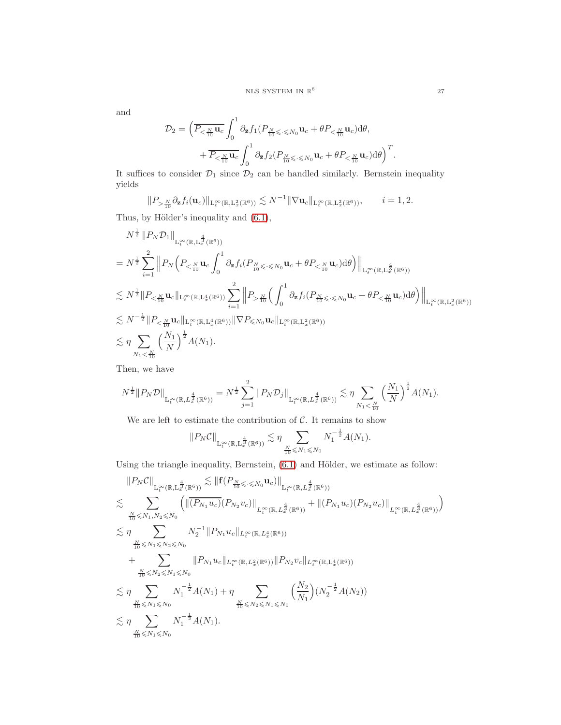and

$$
\mathcal{D}_2 = \left( \overline{P_{\leq \frac{N}{10}} \mathbf{u}_c} \int_0^1 \partial_{\overline{z}} f_1 \left( P_{\frac{N}{10} \leq \cdot \leq N_0} \mathbf{u}_c + \theta P_{\leq \frac{N}{10}} \mathbf{u}_c \right) d\theta, + \overline{P_{\leq \frac{N}{10}} \mathbf{u}_c} \int_0^1 \partial_{\overline{z}} f_2 \left( P_{\frac{N}{10} \leq \cdot \leq N_0} \mathbf{u}_c + \theta P_{\leq \frac{N}{10}} \mathbf{u}_c \right) d\theta \right)^T
$$

It suffices to consider  $\mathcal{D}_1$  since  $\mathcal{D}_2$  can be handled similarly. Bernstein inequality yields

$$
\|P_{>\frac{N}{10}}\partial_{\mathbf{z}}f_i(\mathbf{u}_c)\|_{\mathcal{L}_t^\infty(\mathbb{R},\mathcal{L}_x^2(\mathbb{R}^6))} \lesssim N^{-1} \|\nabla \mathbf{u}_c\|_{\mathcal{L}_t^\infty(\mathbb{R},\mathcal{L}_x^2(\mathbb{R}^6))}, \qquad i=1,2.
$$

Thus, by Hölder's inequality and  $(6.1)$ ,

$$
N^{\frac{1}{2}} \| P_N \mathcal{D}_1 \|_{\mathcal{L}^{\infty}_{t}(\mathbb{R}, \mathcal{L}^{\frac{4}{3}}_{x}(\mathbb{R}^{6}))}
$$
\n
$$
= N^{\frac{1}{2}} \sum_{i=1}^{2} \left\| P_N \left( P_{\leq \frac{N}{10}} \mathbf{u}_c \int_0^1 \partial_{\mathbf{z}} f_i(P_{\frac{N}{10} \leq \cdot \leq N_0} \mathbf{u}_c + \theta P_{\leq \frac{N}{10}} \mathbf{u}_c) d\theta \right) \right\|_{\mathcal{L}^{\infty}_{t}(\mathbb{R}, \mathcal{L}^{\frac{4}{3}}_{x}(\mathbb{R}^{6}))}
$$
\n
$$
\lesssim N^{\frac{1}{2}} \| P_{\leq \frac{N}{10}} \mathbf{u}_c \|_{\mathcal{L}^{\infty}_{t}(\mathbb{R}, \mathcal{L}^4_{x}(\mathbb{R}^{6}))} \sum_{i=1}^{2} \left\| P_{> \frac{N}{10}} \left( \int_0^1 \partial_{\mathbf{z}} f_i(P_{\frac{N}{10} \leq \cdot \leq N_0} \mathbf{u}_c + \theta P_{\leq \frac{N}{10}} \mathbf{u}_c) d\theta \right) \right\|_{\mathcal{L}^{\infty}_{t}(\mathbb{R}, \mathcal{L}^2_{x}(\mathbb{R}^{6}))}
$$
\n
$$
\lesssim N^{-\frac{1}{2}} \| P_{\leq \frac{N}{10}} \mathbf{u}_c \|_{\mathcal{L}^{\infty}_{t}(\mathbb{R}, \mathcal{L}^4_{x}(\mathbb{R}^{6}))} \|\nabla P_{\leq N_0} \mathbf{u}_c \|_{\mathcal{L}^{\infty}_{t}(\mathbb{R}, \mathcal{L}^2_{x}(\mathbb{R}^{6}))}
$$
\n
$$
\lesssim \eta \sum_{N_1 < \frac{N}{10}} \left( \frac{N_1}{N} \right)^{\frac{1}{2}} A(N_1).
$$

Then, we have

$$
N^{\frac{1}{2}}||P_N\mathcal{D}||_{\mathrm{L}_t^{\infty}(\mathbb{R},L_x^{\frac{4}{3}}(\mathbb{R}^6))}=N^{\frac{1}{2}}\sum_{j=1}^2||P_N\mathcal{D}_j||_{\mathrm{L}_t^{\infty}(\mathbb{R},L_x^{\frac{4}{3}}(\mathbb{R}^6))}\lesssim \eta \sum_{N_1<\frac{N}{10}}\left(\frac{N_1}{N}\right)^{\frac{1}{2}}A(N_1).
$$

We are left to estimate the contribution of  $\mathcal{C}$ . It remains to show

$$
\|P_N\mathcal{C}\|_{\mathrm{L}_t^\infty(\mathbb{R},\mathrm{L}_x^\frac{4}{3}(\mathbb{R}^6))} \lesssim \eta \sum_{\frac{N}{10} \leqslant N_1 \leqslant N_0} N_1^{-\frac{1}{2}}A(N_1).
$$

Using the triangle inequality, Bernstein,  $(6.1)$  and Hölder, we estimate as follow:

$$
\|P_{N}C\|_{L^{\infty}_{t}(\mathbb{R},L^{\frac{4}{3}}_{x}(\mathbb{R}^{6}))} \lesssim \|f(P_{\frac{N}{10}\leqslant \leq N_{0}}u_{c})\|_{L^{\infty}_{t}(\mathbb{R},L^{\frac{4}{3}}_{x}(\mathbb{R}^{6}))}
$$
\n
$$
\lesssim \sum_{\frac{N}{10}\leqslant N_{1},N_{2}\leqslant N_{0}} \left(\|\overline{(P_{N_{1}}u_{c})}(P_{N_{2}}v_{c})\|_{L^{\infty}_{t}(\mathbb{R},L^{\frac{4}{3}}_{x}(\mathbb{R}^{6}))} + \|(P_{N_{1}}u_{c})(P_{N_{2}}u_{c})\|_{L^{\infty}_{t}(\mathbb{R},L^{\frac{4}{3}}_{x}(\mathbb{R}^{6}))}\right)
$$
\n
$$
\lesssim \eta \sum_{\frac{N}{10}\leqslant N_{1}\leqslant N_{2}\leqslant N_{0}} N_{2}^{-1} \|P_{N_{1}}u_{c}\|_{L^{\infty}_{t}(\mathbb{R},L^{4}_{x}(\mathbb{R}^{6}))}
$$
\n
$$
+ \sum_{\frac{N}{10}\leqslant N_{2}\leqslant N_{1}\leqslant N_{0}} \|P_{N_{1}}u_{c}\|_{L^{\infty}_{t}(\mathbb{R},L^{2}_{x}(\mathbb{R}^{6}))} \|P_{N_{2}}v_{c}\|_{L^{\infty}_{t}(\mathbb{R},L^{4}_{x}(\mathbb{R}^{6}))}
$$
\n
$$
\lesssim \eta \sum_{\frac{N}{10}\leqslant N_{1}\leqslant N_{0}} N_{1}^{-\frac{1}{2}} A(N_{1}) + \eta \sum_{\frac{N}{10}\leqslant N_{2}\leqslant N_{1}\leqslant N_{0}} \left(\frac{N_{2}}{N_{1}}\right) (N_{2}^{-\frac{1}{2}} A(N_{2}))
$$
\n
$$
\lesssim \eta \sum_{\frac{N}{10}\leqslant N_{1}\leqslant N_{0}} N_{1}^{-\frac{1}{2}} A(N_{1}).
$$

.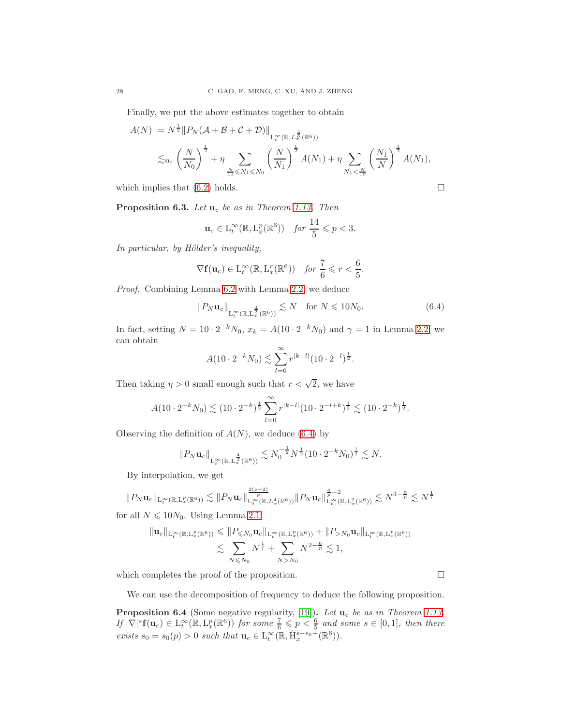Finally, we put the above estimates together to obtain

$$
A(N) = N^{\frac{1}{2}} \| P_N(\mathcal{A} + \mathcal{B} + \mathcal{C} + \mathcal{D}) \|_{L_t^{\infty}(\mathbb{R}, L_x^{\frac{4}{3}}(\mathbb{R}^6))}
$$
  
\$\lesssim\_{\mathbf{u}\_c} \left( \frac{N}{N\_0} \right)^{\frac{1}{2}} + \eta \sum\_{\frac{N}{10} \leqslant N\_1 \leqslant N\_0} \left( \frac{N}{N\_1} \right)^{\frac{1}{2}} A(N\_1) + \eta \sum\_{N\_1 < \frac{N}{10}} \left( \frac{N\_1}{N} \right)^{\frac{1}{2}} A(N\_1),

which implies that  $(6.2)$  holds.

<span id="page-27-2"></span>**Proposition 6.3.** *Let*  $\mathbf{u}_c$  *be as in Theorem [1.13.](#page-5-0) Then* 

$$
\mathbf{u}_c \in \mathcal{L}_t^{\infty}(\mathbb{R}, \mathcal{L}_x^p(\mathbb{R}^6)) \quad \text{for } \frac{14}{5} \leqslant p < 3.
$$

*In particular, by Hölder's inequality,* 

$$
\nabla \mathbf{f}(\mathbf{u}_c) \in \mathcal{L}_t^{\infty}(\mathbb{R}, \mathcal{L}_x^r(\mathbb{R}^6)) \quad \text{for } \frac{7}{6} \leqslant r < \frac{6}{5}.
$$

*Proof.* Combining Lemma [6.2](#page-24-4) with Lemma [2.2,](#page-6-1) we deduce

<span id="page-27-0"></span>
$$
||P_N \mathbf{u}_c||_{L_t^{\infty}(\mathbb{R}, L_x^{\frac{4}{3}}(\mathbb{R}^6))} \lesssim N \quad \text{for } N \leq 10N_0. \tag{6.4}
$$

In fact, setting  $N = 10 \cdot 2^{-k} N_0$ ,  $x_k = A(10 \cdot 2^{-k} N_0)$  and  $\gamma = 1$  in Lemma [2.2,](#page-6-1) we can obtain

$$
A(10 \cdot 2^{-k} N_0) \lesssim \sum_{l=0}^{\infty} r^{|k-l|} (10 \cdot 2^{-l})^{\frac{1}{2}}.
$$

Then taking  $\eta > 0$  small enough such that  $r < \sqrt{2}$ , we have

$$
A(10 \cdot 2^{-k} N_0) \lesssim (10 \cdot 2^{-k})^{\frac{1}{2}} \sum_{l=0}^{\infty} r^{|k-l|} (10 \cdot 2^{-l+k})^{\frac{1}{2}} \lesssim (10 \cdot 2^{-k})^{\frac{1}{2}}.
$$

Observing the definition of  $A(N)$ , we deduce [\(6.4\)](#page-27-0) by

$$
||P_N \mathbf{u}_c||_{L_t^{\infty}(\mathbb{R}, L_x^{\frac{4}{3}}(\mathbb{R}^6))} \lesssim N_0^{-\frac{1}{2}} N^{\frac{1}{2}} (10 \cdot 2^{-k} N_0)^{\frac{1}{2}} \lesssim N.
$$

By interpolation, we get

 $||P_N \mathbf{u}_c||_{\mathrm{L}_t^{\infty}(\mathbb{R},\mathrm{L}_x^p(\mathbb{R}^6))} \lesssim ||P_N \mathbf{u}_c||_{\mathrm{L}_t^{\infty}(\mathbb{R},L_x^4(\mathbb{R}^6))}^{\frac{2(p-2)}{p}} ||P_N \mathbf{u}_c||_{\mathrm{L}_t^{\infty}(\mathbb{R}^6)}^{\frac{4}{p}-2}$  $\frac{\frac{\mathbf{a}}{p}-2}{\mathbf{L}^{\infty}_{t}(\mathbb{R},\mathrm{L}_x^2(\mathbb{R}^6))} \lesssim N^{3-\frac{8}{p}} \lesssim N^{\frac{1}{7}}$ for all  $N \leq 10N_0$ . Using Lemma [2.1,](#page-6-0)

$$
\| \mathbf{u}_c \|_{\mathcal{L}^{\infty}_t(\mathbb{R}, \mathcal{L}^p_x(\mathbb{R}^6))} \leqslant \| P_{\leqslant N_0} \mathbf{u}_c \|_{\mathcal{L}^{\infty}_t(\mathbb{R}, \mathcal{L}^p_x(\mathbb{R}^6))} + \| P_{>N_0} \mathbf{u}_c \|_{\mathcal{L}^{\infty}_t(\mathbb{R}, \mathcal{L}^p_x(\mathbb{R}^6))}
$$
  

$$
\lesssim \sum_{N \leqslant N_0} N^{\frac{1}{7}} + \sum_{N > N_0} N^{2 - \frac{6}{p}} \lesssim 1,
$$

which completes the proof of the proposition.

We can use the decomposition of frequency to deduce the following proposition.

<span id="page-27-1"></span>Proposition 6.4 (Some negative regularity, [\[19\]](#page-32-7)). Let  $\mathbf{u}_c$  be as in Theorem [1.13.](#page-5-0)  $If |\nabla|^s f(\mathbf{u}_c) \in L_t^{\infty}(\mathbb{R}, L_x^p(\mathbb{R}^6))$  *for some*  $\frac{7}{6} \leqslant p < \frac{6}{5}$  *and some*  $s \in [0,1]$ *, then there exists*  $s_0 = s_0(p) > 0$  *such that*  $\mathbf{u}_c \in L_t^{\infty}(\mathbb{R}, \dot{H}_x^{s-s_0+}(\mathbb{R}^6)).$ 

$$
\sqcup
$$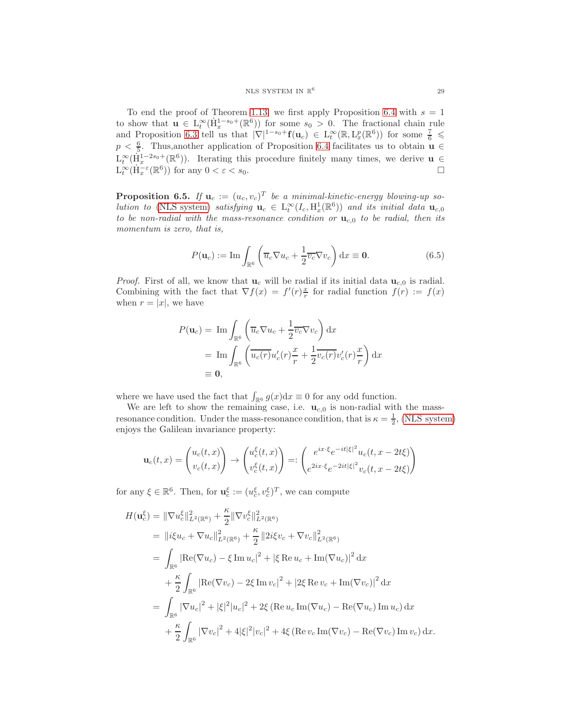To end the proof of Theorem [1.13,](#page-5-0) we first apply Proposition [6.4](#page-27-1) with  $s = 1$ to show that  $\mathbf{u} \in L^{\infty}(\dot{H}^{1-s_0+}_{x}(\mathbb{R}^6))$  for some  $s_0 > 0$ . The fractional chain rule and Proposition [6.3](#page-27-2) tell us that  $|\nabla|^{1-s_0+} f(u_c) \in L_t^{\infty}(\mathbb{R}, L_x^p(\mathbb{R}^6))$  for some  $\frac{7}{6} \leq$  $p < \frac{6}{5}$ . Thus, another application of Proposition [6.4](#page-27-1) facilitates us to obtain  $\mathbf{u} \in$  $L_t^{\infty}(\dot{H}_x^{1-2s_0+}(\mathbb{R}^6)).$  Iterating this procedure finitely many times, we derive  $\mathbf{u} \in$  $\mathcal{L}_t^{\infty}(\dot{\mathbf{H}}_x^{-\varepsilon}(\mathbb{R}^6))$  for any  $0 < \varepsilon < s_0$ .

<span id="page-28-0"></span>**Proposition 6.5.** If  $\mathbf{u}_c := (u_c, v_c)^T$  be a minimal-kinetic-energy blowing-up so*lution to* [\(NLS system\)](#page-0-0) *satisfying*  $\mathbf{u}_c \in L_t^{\infty}(I_c, H_x^1(\mathbb{R}^6))$  *and its initial data*  $\mathbf{u}_{c,0}$ *to be non-radial with the mass-resonance condition or*  $\mathbf{u}_{c,0}$  *to be radial, then its momentum is zero, that is,*

<span id="page-28-1"></span>
$$
P(\mathbf{u}_c) := \mathrm{Im} \int_{\mathbb{R}^6} \left( \overline{u}_c \nabla u_c + \frac{1}{2} \overline{v}_c \nabla v_c \right) dx \equiv \mathbf{0}.
$$
 (6.5)

*Proof.* First of all, we know that  $\mathbf{u}_c$  will be radial if its initial data  $\mathbf{u}_{c,0}$  is radial. Combining with the fact that  $\nabla f(x) = f'(r) \frac{x}{r}$  for radial function  $f(r) := f(x)$ when  $r = |x|$ , we have

$$
P(\mathbf{u}_c) = \operatorname{Im} \int_{\mathbb{R}^6} \left( \overline{u}_c \nabla u_c + \frac{1}{2} \overline{v}_c \nabla v_c \right) dx
$$
  
= 
$$
\operatorname{Im} \int_{\mathbb{R}^6} \left( \overline{u_c(r)} u'_c(r) \frac{x}{r} + \frac{1}{2} \overline{v_c(r)} v'_c(r) \frac{x}{r} \right) dx
$$
  
\equiv 0,

where we have used the fact that  $\int_{\mathbb{R}^6} g(x) dx \equiv 0$  for any odd function.

We are left to show the remaining case, i.e.  $\mathbf{u}_{c,0}$  is non-radial with the massresonance condition. Under the mass-resonance condition, that is  $\kappa = \frac{1}{2}$ , [\(NLS system\)](#page-0-0) enjoys the Galilean invariance property:

$$
\mathbf{u}_c(t,x) = \begin{pmatrix} u_c(t,x) \\ v_c(t,x) \end{pmatrix} \rightarrow \begin{pmatrix} u_c^{\xi}(t,x) \\ v_c^{\xi}(t,x) \end{pmatrix} =: \begin{pmatrix} e^{ix\cdot\xi}e^{-it|\xi|^2}u_c(t,x-2t\xi) \\ e^{2ix\cdot\xi}e^{-2it|\xi|^2}v_c(t,x-2t\xi) \end{pmatrix}
$$

for any  $\xi \in \mathbb{R}^6$ . Then, for  $\mathbf{u}_{c}^{\xi} := (u_{c}^{\xi}, v_{c}^{\xi})^T$ , we can compute

$$
H(\mathbf{u}_c^{\xi}) = \|\nabla u_c^{\xi}\|_{L^2(\mathbb{R}^6)}^2 + \frac{\kappa}{2} \|\nabla v_c^{\xi}\|_{L^2(\mathbb{R}^6)}^2
$$
  
\n
$$
= \|i\xi u_c + \nabla u_c\|_{L^2(\mathbb{R}^6)}^2 + \frac{\kappa}{2} \|2i\xi v_c + \nabla v_c\|_{L^2(\mathbb{R}^6)}^2
$$
  
\n
$$
= \int_{\mathbb{R}^6} |\text{Re}(\nabla u_c) - \xi \text{Im } u_c|^2 + |\xi \text{Re } u_c + \text{Im}(\nabla u_c)|^2 \, dx
$$
  
\n
$$
+ \frac{\kappa}{2} \int_{\mathbb{R}^6} |\text{Re}(\nabla v_c) - 2\xi \text{Im } v_c|^2 + |2\xi \text{Re } v_c + \text{Im}(\nabla v_c)|^2 \, dx
$$
  
\n
$$
= \int_{\mathbb{R}^6} |\nabla u_c|^2 + |\xi|^2 |u_c|^2 + 2\xi (\text{Re } u_c \text{Im}(\nabla u_c) - \text{Re}(\nabla u_c) \text{Im } u_c) \, dx
$$
  
\n
$$
+ \frac{\kappa}{2} \int_{\mathbb{R}^6} |\nabla v_c|^2 + 4|\xi|^2 |v_c|^2 + 4\xi (\text{Re } v_c \text{Im}(\nabla v_c) - \text{Re}(\nabla v_c) \text{Im } v_c) \, dx.
$$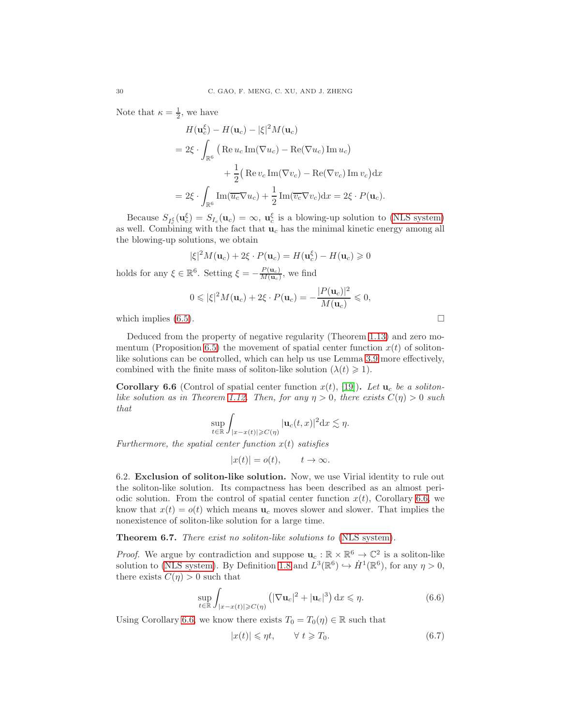Note that  $\kappa = \frac{1}{2}$ , we have

$$
H(\mathbf{u}_c^{\xi}) - H(\mathbf{u}_c) - |\xi|^2 M(\mathbf{u}_c)
$$
  
=  $2\xi \cdot \int_{\mathbb{R}^6} \left( \text{Re } u_c \text{Im}(\nabla u_c) - \text{Re}(\nabla u_c) \text{Im } u_c \right)$   
+  $\frac{1}{2} \left( \text{Re } v_c \text{Im}(\nabla v_c) - \text{Re}(\nabla v_c) \text{Im } v_c \right) dx$   
=  $2\xi \cdot \int_{\mathbb{R}^6} \text{Im}(\overline{u_c} \nabla u_c) + \frac{1}{2} \text{Im}(\overline{v_c} \nabla v_c) dx = 2\xi \cdot P(\mathbf{u}_c).$ 

Because  $S_{I_c^{\xi}}(\mathbf{u}_c^{\xi}) = S_{I_c}(\mathbf{u}_c) = \infty$ ,  $\mathbf{u}_c^{\xi}$  is a blowing-up solution to [\(NLS system\)](#page-0-0) as well. Combining with the fact that  $\mathbf{u}_c$  has the minimal kinetic energy among all the blowing-up solutions, we obtain

$$
|\xi|^2 M(\mathbf{u}_c) + 2\xi \cdot P(\mathbf{u}_c) = H(\mathbf{u}_c^{\xi}) - H(\mathbf{u}_c) \ge 0
$$

holds for any  $\xi \in \mathbb{R}^6$ . Setting  $\xi = -\frac{P(\mathbf{u}_c)}{M(\mathbf{u}_c)}$  $\frac{P(\mathbf{u}_c)}{M(\mathbf{u}_c)}$ , we find

$$
0 \leqslant |\xi|^2 M(\mathbf{u}_c) + 2\xi \cdot P(\mathbf{u}_c) = -\frac{|P(\mathbf{u}_c)|^2}{M(\mathbf{u}_c)} \leqslant 0,
$$

which implies  $(6.5)$ .

Deduced from the property of negative regularity (Theorem [1.13\)](#page-5-0) and zero mo-mentum (Proposition [6.5\)](#page-28-0) the movement of spatial center function  $x(t)$  of solitonlike solutions can be controlled, which can help us use Lemma [3.9](#page-13-2) more effectively, combined with the finite mass of soliton-like solution  $(\lambda(t) \geq 1)$ .

<span id="page-29-0"></span>**Corollary 6.6** (Control of spatial center function  $x(t)$ , [\[19\]](#page-32-7)). Let  $u_c$  be a soliton-*like solution as in Theorem [1.12.](#page-4-2) Then, for any*  $\eta > 0$ *, there exists*  $C(\eta) > 0$  *such that*

$$
\sup_{t\in\mathbb{R}}\int_{|x-x(t)|\geqslant C(\eta)}|{\bf u}_c(t,x)|^2{\mathord{{\rm d}}} x\lesssim \eta.
$$

*Furthermore, the spatial center function* x(t) *satisfies*

$$
|x(t)| = o(t), \qquad t \to \infty.
$$

<span id="page-29-1"></span>6.2. Exclusion of soliton-like solution. Now, we use Virial identity to rule out the soliton-like solution. Its compactness has been described as an almost periodic solution. From the control of spatial center function  $x(t)$ , Corollary [6.6,](#page-29-0) we know that  $x(t) = o(t)$  which means  $\mathbf{u}_c$  moves slower and slower. That implies the nonexistence of soliton-like solution for a large time.

<span id="page-29-4"></span>Theorem 6.7. *There exist no soliton-like solutions to* [\(NLS system\)](#page-0-0)*.*

*Proof.* We argue by contradiction and suppose  $\mathbf{u}_c : \mathbb{R} \times \mathbb{R}^6 \to \mathbb{C}^2$  is a soliton-like solution to [\(NLS system\)](#page-0-0). By Definition [1.8](#page-3-2) and  $L^3(\mathbb{R}^6) \hookrightarrow \dot{H}^1(\mathbb{R}^6)$ , for any  $\eta > 0$ , there exists  $C(\eta) > 0$  such that

<span id="page-29-2"></span>
$$
\sup_{t \in \mathbb{R}} \int_{|x - x(t)| \geqslant C(\eta)} \left( |\nabla \mathbf{u}_c|^2 + |\mathbf{u}_c|^3 \right) dx \leqslant \eta. \tag{6.6}
$$

Using Corollary [6.6,](#page-29-0) we know there exists  $T_0 = T_0(\eta) \in \mathbb{R}$  such that

<span id="page-29-3"></span>
$$
|x(t)| \leq \eta t, \qquad \forall \ t \geq T_0. \tag{6.7}
$$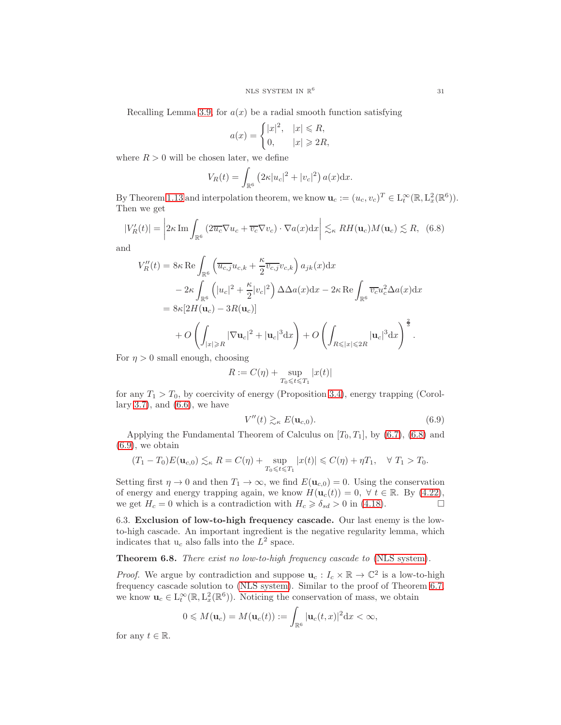Recalling Lemma [3.9,](#page-13-2) for  $a(x)$  be a radial smooth function satisfying

$$
a(x) = \begin{cases} |x|^2, & |x| \le R, \\ 0, & |x| \ge 2R, \end{cases}
$$

where  $R > 0$  will be chosen later, we define

$$
V_R(t) = \int_{\mathbb{R}^6} \left( 2\kappa |u_c|^2 + |v_c|^2 \right) a(x) \mathrm{d}x.
$$

By Theorem [1.13](#page-5-0) and interpolation theorem, we know  $\mathbf{u}_c := (u_c, v_c)^T \in \mathcal{L}_t^{\infty}(\mathbb{R}, \mathcal{L}_x^2(\mathbb{R}^6)).$ Then we get

<span id="page-30-1"></span>
$$
|V_R'(t)| = \left| 2\kappa \operatorname{Im} \int_{\mathbb{R}^6} \left( 2\overline{u_c} \nabla u_c + \overline{v_c} \nabla v_c \right) \cdot \nabla a(x) dx \right| \lesssim_{\kappa} RH(\mathbf{u}_c) M(\mathbf{u}_c) \lesssim R, \tag{6.8}
$$

and

$$
V_R''(t) = 8\kappa \operatorname{Re} \int_{\mathbb{R}^6} \left( \overline{u_{c,j}} u_{c,k} + \frac{\kappa}{2} \overline{v_{c,j}} v_{c,k} \right) a_{jk}(x) dx
$$
  
\n
$$
- 2\kappa \int_{\mathbb{R}^6} \left( |u_c|^2 + \frac{\kappa}{2} |v_c|^2 \right) \Delta \Delta a(x) dx - 2\kappa \operatorname{Re} \int_{\mathbb{R}^6} \overline{v_c} u_c^2 \Delta a(x) dx
$$
  
\n
$$
= 8\kappa [2H(\mathbf{u}_c) - 3R(\mathbf{u}_c)]
$$
  
\n
$$
+ O\left( \int_{|x| \ge R} |\nabla \mathbf{u}_c|^2 + |\mathbf{u}_c|^3 dx \right) + O\left( \int_{R \le |x| \le 2R} |\mathbf{u}_c|^3 dx \right)^{\frac{2}{3}}.
$$

For  $\eta > 0$  small enough, choosing

$$
R:=C(\eta)+\sup_{T_0\leqslant t\leqslant T_1}|x(t)|
$$

for any  $T_1 > T_0$ , by coercivity of energy (Proposition [3.4\)](#page-10-0), energy trapping (Corol-lary [3.7\)](#page-12-3), and  $(6.6)$ , we have

<span id="page-30-2"></span>
$$
V''(t) \gtrsim_{\kappa} E(\mathbf{u}_{c,0}).\tag{6.9}
$$

Applying the Fundamental Theorem of Calculus on  $[T_0, T_1]$ , by [\(6.7\)](#page-29-3), [\(6.8\)](#page-30-1) and  $(6.9)$ , we obtain

$$
(T_1 - T_0)E(\mathbf{u}_{c,0}) \lesssim_{\kappa} R = C(\eta) + \sup_{T_0 \leq t \leq T_1} |x(t)| \leq C(\eta) + \eta T_1, \quad \forall T_1 > T_0.
$$

Setting first  $\eta \to 0$  and then  $T_1 \to \infty$ , we find  $E(\mathbf{u}_{c,0}) = 0$ . Using the conservation of energy and energy trapping again, we know  $H(\mathbf{u}_c(t)) = 0, \forall t \in \mathbb{R}$ . By [\(4.22\)](#page-20-3), we get  $H_c = 0$  which is a contradiction with  $H_c \geq \delta_{sd} > 0$  in (4.18). we get  $H_c = 0$  which is a contradiction with  $H_c \ge \delta_{sd} > 0$  in [\(4.18\)](#page-19-2).

<span id="page-30-0"></span>6.3. Exclusion of low-to-high frequency cascade. Our last enemy is the lowto-high cascade. An important ingredient is the negative regularity lemma, which indicates that  $u_c$  also falls into the  $L^2$  space.

Theorem 6.8. *There exist no low-to-high frequency cascade to* [\(NLS system\)](#page-0-0)*.*

*Proof.* We argue by contradiction and suppose  $\mathbf{u}_c : I_c \times \mathbb{R} \to \mathbb{C}^2$  is a low-to-high frequency cascade solution to [\(NLS system\)](#page-0-0). Similar to the proof of Theorem [6.7,](#page-29-4) we know  $\mathbf{u}_c \in L_t^{\infty}(\mathbb{R}, L_x^2(\mathbb{R}^6))$ . Noticing the conservation of mass, we obtain

$$
0 \leqslant M(\mathbf{u}_c) = M(\mathbf{u}_c(t)) := \int_{\mathbb{R}^6} |\mathbf{u}_c(t,x)|^2 \mathrm{d}x < \infty,
$$

for any  $t \in \mathbb{R}$ .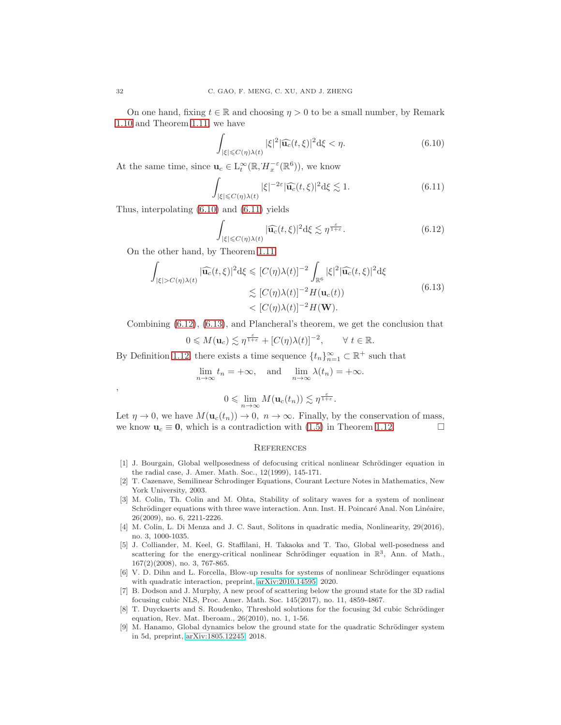On one hand, fixing  $t \in \mathbb{R}$  and choosing  $\eta > 0$  to be a small number, by Remark [1.10](#page-4-3) and Theorem [1.11,](#page-4-1) we have

<span id="page-31-9"></span>
$$
\int_{|\xi| \leq C(\eta)\lambda(t)} |\xi|^2 |\widehat{\mathbf{u}_c}(t,\xi)|^2 \mathrm{d}\xi < \eta. \tag{6.10}
$$

At the same time, since  $\mathbf{u}_c \in L_t^{\infty}(\mathbb{R}, H_x^{-\varepsilon}(\mathbb{R}^6))$ , we know

<span id="page-31-10"></span>
$$
\int_{|\xi| \leq C(\eta)\lambda(t)} |\xi|^{-2\varepsilon} |\widehat{\mathbf{u}_c}(t,\xi)|^2 \mathrm{d}\xi \lesssim 1. \tag{6.11}
$$

Thus, interpolating [\(6.10\)](#page-31-9) and [\(6.11\)](#page-31-10) yields

<span id="page-31-11"></span>
$$
\int_{|\xi| \leq C(\eta)\lambda(t)} |\widehat{\mathbf{u}_c}(t,\xi)|^2 \mathrm{d}\xi \lesssim \eta^{\frac{\varepsilon}{1+\varepsilon}}.\tag{6.12}
$$

On the other hand, by Theorem [1.11,](#page-4-1)

<span id="page-31-12"></span>
$$
\int_{|\xi| > C(\eta)\lambda(t)} |\widehat{\mathbf{u}_c}(t,\xi)|^2 \mathrm{d}\xi \leq [C(\eta)\lambda(t)]^{-2} \int_{\mathbb{R}^6} |\xi|^2 |\widehat{\mathbf{u}_c}(t,\xi)|^2 \mathrm{d}\xi
$$
\n
$$
\lesssim [C(\eta)\lambda(t)]^{-2} H(\mathbf{u}_c(t))
$$
\n
$$
< [C(\eta)\lambda(t)]^{-2} H(\mathbf{W}).
$$
\n(6.13)

Combining [\(6.12\)](#page-31-11), [\(6.13\)](#page-31-12), and Plancheral's theorem, we get the conclusion that

$$
0 \leqslant M(\mathbf{u}_c) \lesssim \eta^{\frac{\varepsilon}{1+\varepsilon}} + [C(\eta)\lambda(t)]^{-2}, \qquad \forall \ t \in \mathbb{R}.
$$

By Definition [1.12,](#page-4-2) there exists a time sequence  $\{t_n\}_{n=1}^{\infty} \subset \mathbb{R}^+$  such that

$$
\lim_{n \to \infty} t_n = +\infty, \text{ and } \lim_{n \to \infty} \lambda(t_n) = +\infty.
$$

,

 $0 \leqslant \lim_{n \to \infty} M(\mathbf{u}_c(t_n)) \lesssim \eta^{\frac{\varepsilon}{1+\varepsilon}}.$ 

Let  $\eta \to 0$ , we have  $M(\mathbf{u}_c(t_n)) \to 0$ ,  $n \to \infty$ . Finally, by the conservation of mass, we know  $\mathbf{u}_c \equiv \mathbf{0}$ , which is a contradiction with (1.5) in Theorem 1.12. we know  $u_c \equiv 0$ , which is a contradiction with [\(1.5\)](#page-4-4) in Theorem [1.12.](#page-4-2)

### **REFERENCES**

- <span id="page-31-4"></span>[1] J. Bourgain, Global wellposedness of defocusing critical nonlinear Schrödinger equation in the radial case, J. Amer. Math. Soc., 12(1999), 145-171.
- <span id="page-31-7"></span>[2] T. Cazenave, Semilinear Schrodinger Equations, Courant Lecture Notes in Mathematics, New York University, 2003.
- <span id="page-31-0"></span>[3] M. Colin, Th. Colin and M. Ohta, Stability of solitary waves for a system of nonlinear Schrödinger equations with three wave interaction. Ann. Inst. H. Poincaré Anal. Non Linéaire, 26(2009), no. 6, 2211-2226.
- <span id="page-31-1"></span>[4] M. Colin, L. Di Menza and J. C. Saut, Solitons in quadratic media, Nonlinearity, 29(2016), no. 3, 1000-1035.
- <span id="page-31-5"></span>[5] J. Colliander, M. Keel, G. Staffilani, H. Takaoka and T. Tao, Global well-posedness and scattering for the energy-critical nonlinear Schrödinger equation in  $\mathbb{R}^3$ , Ann. of Math., 167(2)(2008), no. 3, 767-865.
- <span id="page-31-8"></span>[6] V. D. Dihn and L. Forcella, Blow-up results for systems of nonlinear Schrödinger equations with quadratic interaction, preprint, [arXiv:2010.14595,](http://arxiv.org/abs/2010.14595) 2020.
- <span id="page-31-2"></span>[7] B. Dodson and J. Murphy, A new proof of scattering below the ground state for the 3D radial focusing cubic NLS, Proc. Amer. Math. Soc. 145(2017), no. 11, 4859-4867.
- <span id="page-31-3"></span>[8] T. Duyckaerts and S. Roudenko, Threshold solutions for the focusing 3d cubic Schrödinger equation, Rev. Mat. Iberoam., 26(2010), no. 1, 1-56.
- <span id="page-31-6"></span>[9] M. Hanamo, Global dynamics below the ground state for the quadratic Schrödinger system in 5d, preprint, [arXiv:1805.12245,](http://arxiv.org/abs/1805.12245) 2018.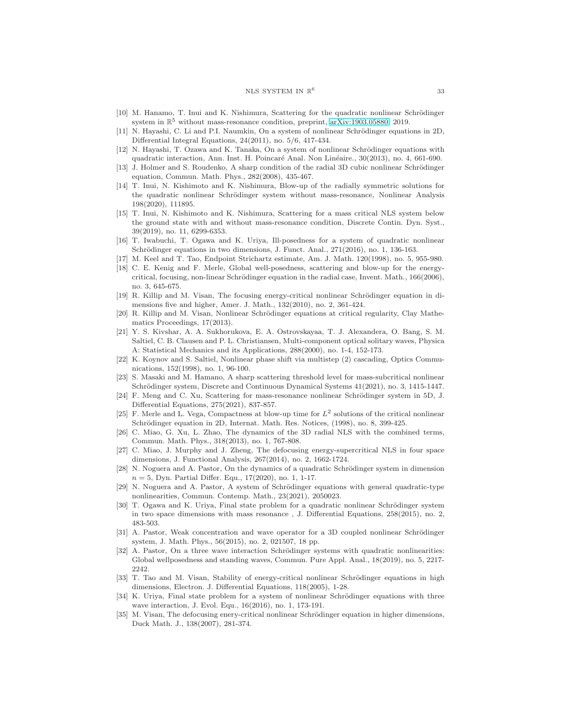#### NLS SYSTEM IN  $\mathbb{R}^6$

- <span id="page-32-19"></span><span id="page-32-15"></span>[10] M. Hanamo, T. Inui and K. Nishimura, Scattering for the quadratic nonlinear Schrödinger system in  $\mathbb{R}^5$  without mass-resonance condition, preprint, [arXiv:1903.05880,](http://arxiv.org/abs/1903.05880) 2019.
- [11] N. Hayashi, C. Li and P.I. Naumkin, On a system of nonlinear Schrödinger equations in 2D, Differential Integral Equations, 24(2011), no. 5/6, 417-434.
- <span id="page-32-12"></span>[12] N. Hayashi, T. Ozawa and K. Tanaka, On a system of nonlinear Schrödinger equations with quadratic interaction, Ann. Inst. H. Poincaré Anal. Non Linéaire., 30(2013), no. 4, 661-690.
- <span id="page-32-3"></span>[13] J. Holmer and S. Roudenko, A sharp condition of the radial 3D cubic nonlinear Schrödinger equation, Commun. Math. Phys., 282(2008), 435-467.
- <span id="page-32-13"></span>[14] T. Inui, N. Kishimoto and K. Nishimura, Blow-up of the radially symmetric solutions for the quadratic nonlinear Schrödinger system without mass-resonance, Nonlinear Analysis 198(2020), 111895.
- <span id="page-32-18"></span>[15] T. Inui, N. Kishimoto and K. Nishimura, Scattering for a mass critical NLS system below the ground state with and without mass-resonance condition, Discrete Contin. Dyn. Syst., 39(2019), no. 11, 6299-6353.
- <span id="page-32-16"></span>[16] T. Iwabuchi, T. Ogawa and K. Uriya, Ill-posedness for a system of quadratic nonlinear Schrödinger equations in two dimensions, J. Funct. Anal.,  $271(2016)$ , no. 1, 136-163.
- <span id="page-32-24"></span><span id="page-32-22"></span>[17] M. Keel and T. Tao, Endpoint Strichartz estimate, Am. J. Math. 120(1998), no. 5, 955-980.
- [18] C. E. Kenig and F. Merle, Global well-posedness, scattering and blow-up for the energycritical, focusing, non-linear Schrödinger equation in the radial case, Invent. Math., 166(2006), no. 3, 645-675.
- <span id="page-32-7"></span>[19] R. Killip and M. Visan, The focusing energy-critical nonlinear Schrödinger equation in dimensions five and higher, Amer. J. Math., 132(2010), no. 2, 361-424.
- <span id="page-32-23"></span>[20] R. Killip and M. Visan, Nonlinear Schrödinger equations at critical regularity, Clay Mathematics Proceedings, 17(2013).
- <span id="page-32-0"></span>[21] Y. S. Kivshar, A. A. Sukhorukova, E. A. Ostrovskayaa, T. J. Alexandera, O. Bang, S. M. Saltiel, C. B. Clausen and P. L. Christiansen, Multi-component optical solitary waves, Physica A: Statistical Mechanics and its Applications, 288(2000), no. 1-4, 152-173.
- <span id="page-32-1"></span>[22] K. Koynov and S. Saltiel, Nonlinear phase shift via multistep (2) cascading, Optics Communications, 152(1998), no. 1, 96-100.
- <span id="page-32-2"></span>[23] S. Masaki and M. Hamano, A sharp scattering threshold level for mass-subcritical nonlinear Schrödinger system, Discrete and Continuous Dynamical Systems  $41(2021)$ , no. 3, 1415-1447.
- <span id="page-32-20"></span>[24] F. Meng and C. Xu, Scattering for mass-resonance nonlinear Schrödinger system in 5D, J. Differential Equations, 275(2021), 837-857.
- <span id="page-32-25"></span>[25] F. Merle and L. Vega, Compactness at blow-up time for  $L^2$  solutions of the critical nonlinear Schrödinger equation in 2D, Internat. Math. Res. Notices, (1998), no. 8, 399-425.
- <span id="page-32-4"></span>[26] C. Miao, G. Xu, L. Zhao, The dynamics of the 3D radial NLS with the combined terms, Commun. Math. Phys., 318(2013), no. 1, 767-808.
- <span id="page-32-5"></span>[27] C. Miao, J. Murphy and J. Zheng, The defocusing energy-supercritical NLS in four space dimensions, J. Functional Analysis, 267(2014), no. 2, 1662-1724.
- <span id="page-32-21"></span>[28] N. Noguera and A. Pastor, On the dynamics of a quadratic Schrödinger system in dimension  $n = 5$ , Dyn. Partial Differ. Equ., 17(2020), no. 1, 1-17.
- <span id="page-32-14"></span>[29] N. Noguera and A. Pastor, A system of Schrödinger equations with general quadratic-type nonlinearities, Commun. Contemp. Math., 23(2021), 2050023.
- <span id="page-32-17"></span>[30] T. Ogawa and K. Uriya, Final state problem for a quadratic nonlinear Schrödinger system in two space dimensions with mass resonance , J. Differential Equations, 258(2015), no. 2, 483-503.
- <span id="page-32-9"></span>[31] A. Pastor, Weak concentration and wave operator for a 3D coupled nonlinear Schrödinger system, J. Math. Phys., 56(2015), no. 2, 021507, 18 pp.
- <span id="page-32-10"></span>[32] A. Pastor, On a three wave interaction Schrödinger systems with quadratic nonlinearities: Global wellposedness and standing waves, Commun. Pure Appl. Anal., 18(2019), no. 5, 2217- 2242.
- <span id="page-32-8"></span>[33] T. Tao and M. Visan, Stability of energy-critical nonlinear Schrödinger equations in high dimensions, Electron. J. Differential Equations, 118(2005), 1-28.
- <span id="page-32-11"></span>[34] K. Uriya, Final state problem for a system of nonlinear Schrödinger equations with three wave interaction, J. Evol. Equ., 16(2016), no. 1, 173-191.
- <span id="page-32-6"></span>[35] M. Visan, The defocusing enery-critical nonlinear Schrödinger equation in higher dimensions, Duck Math. J., 138(2007), 281-374.